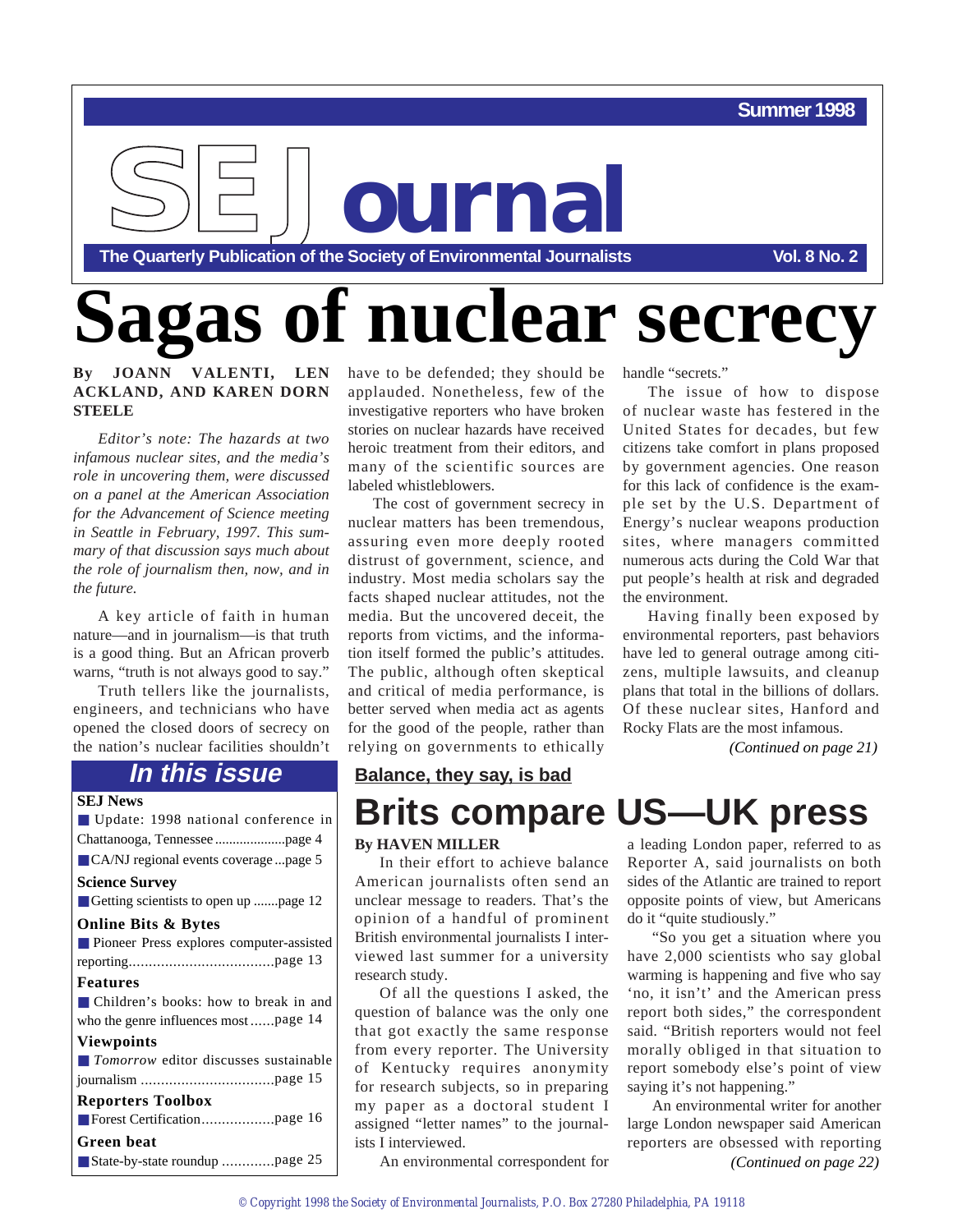#### **Summer 1998**



# agas of nuclear secrecy

#### **By JOANN VALENTI, LEN ACKLAND, AND KAREN DORN STEELE**

*Editor's note: The hazards at two infamous nuclear sites, and the media's role in uncovering them, were discussed on a panel at the American Association for the Advancement of Science meeting in Seattle in February, 1997. This summary of that discussion says much about the role of journalism then, now, and in the future.*

A key article of faith in human nature—and in journalism—is that truth is a good thing. But an African proverb warns, "truth is not always good to say."

Truth tellers like the journalists, engineers, and technicians who have opened the closed doors of secrecy on the nation's nuclear facilities shouldn't

#### **In this issue**

| <b>SEJ News</b>                                      |
|------------------------------------------------------|
| ■ Update: 1998 national conference in                |
|                                                      |
| ■ CA/NJ regional events coverage page 5              |
| <b>Science Survey</b>                                |
| Getting scientists to open up page 12                |
| <b>Online Bits &amp; Bytes</b>                       |
| <b>Pioneer Press explores computer-assisted</b>      |
|                                                      |
| <b>Features</b>                                      |
| ■ Children's books: how to break in and              |
| who the genre influences most page 14                |
| <b>Viewpoints</b>                                    |
| $\blacksquare$ Tomorrow editor discusses sustainable |
|                                                      |
| <b>Reporters Toolbox</b>                             |
|                                                      |
| Green beat                                           |
|                                                      |

have to be defended; they should be applauded. Nonetheless, few of the investigative reporters who have broken stories on nuclear hazards have received heroic treatment from their editors, and many of the scientific sources are labeled whistleblowers.

The cost of government secrecy in nuclear matters has been tremendous, assuring even more deeply rooted distrust of government, science, and industry. Most media scholars say the facts shaped nuclear attitudes, not the media. But the uncovered deceit, the reports from victims, and the information itself formed the public's attitudes. The public, although often skeptical and critical of media performance, is better served when media act as agents for the good of the people, rather than relying on governments to ethically

handle "secrets."

The issue of how to dispose of nuclear waste has festered in the United States for decades, but few citizens take comfort in plans proposed by government agencies. One reason for this lack of confidence is the example set by the U.S. Department of Energy's nuclear weapons production sites, where managers committed numerous acts during the Cold War that put people's health at risk and degraded the environment.

Having finally been exposed by environmental reporters, past behaviors have led to general outrage among citizens, multiple lawsuits, and cleanup plans that total in the billions of dollars. Of these nuclear sites, Hanford and Rocky Flats are the most infamous.

*(Continued on page 21)* 

#### **Balance, they say, is bad**

## **Brits compare US—UK press**

#### **By HAVEN MILLER**

In their effort to achieve balance American journalists often send an unclear message to readers. That's the opinion of a handful of prominent British environmental journalists I interviewed last summer for a university research study.

Of all the questions I asked, the question of balance was the only one that got exactly the same response from every reporter. The University of Kentucky requires anonymity for research subjects, so in preparing my paper as a doctoral student I assigned "letter names" to the journalists I interviewed.

a leading London paper, referred to as Reporter A, said journalists on both sides of the Atlantic are trained to report opposite points of view, but Americans do it "quite studiously."

"So you get a situation where you have 2,000 scientists who say global warming is happening and five who say 'no, it isn't' and the American press report both sides," the correspondent said. "British reporters would not feel morally obliged in that situation to report somebody else's point of view saying it's not happening."

An environmental writer for another large London newspaper said American reporters are obsessed with reporting *(Continued on page 22)*

An environmental correspondent for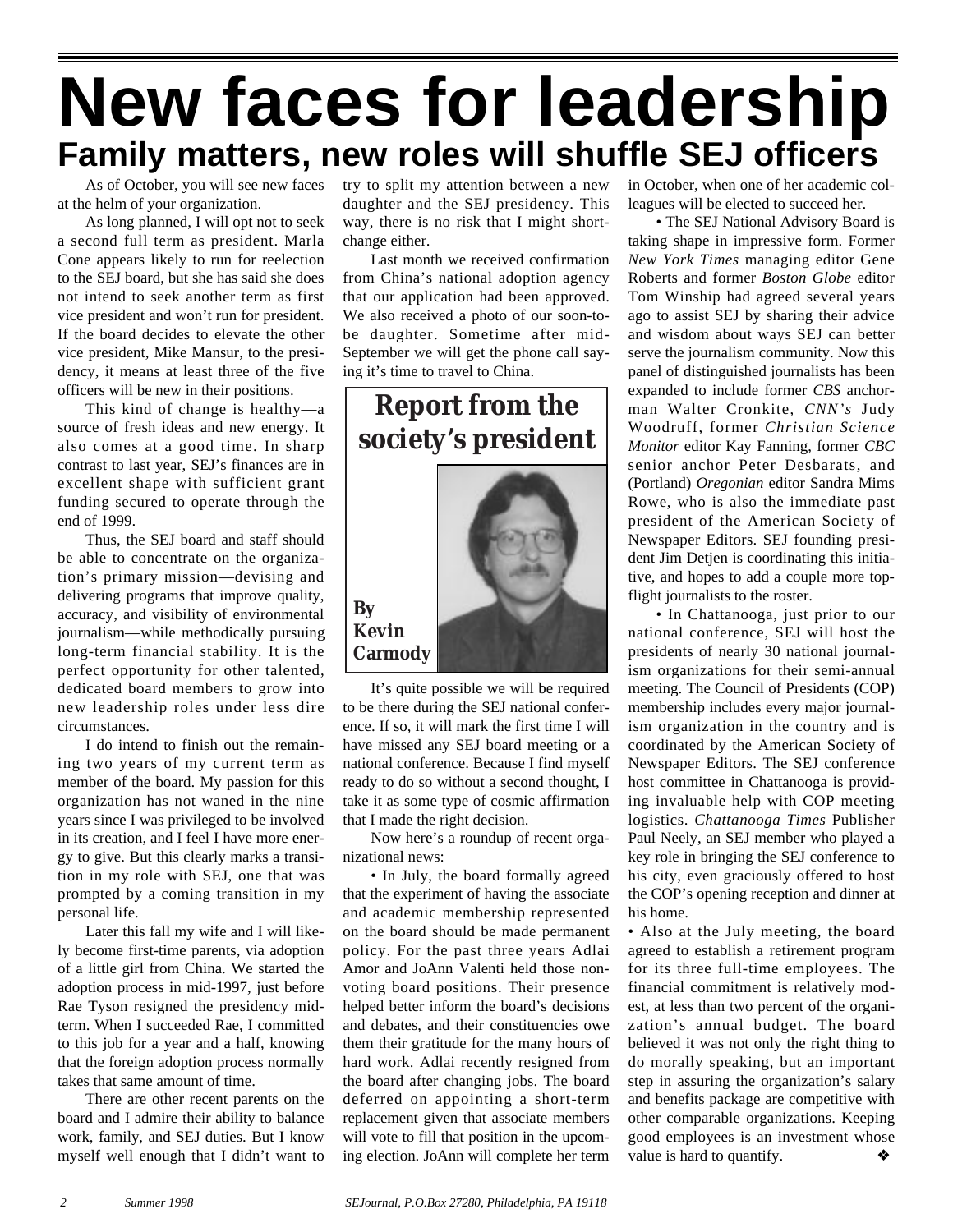## **New faces for leadership Family matters, new roles will shuffle SEJ officers**

As of October, you will see new faces at the helm of your organization.

As long planned, I will opt not to seek a second full term as president. Marla Cone appears likely to run for reelection to the SEJ board, but she has said she does not intend to seek another term as first vice president and won't run for president. If the board decides to elevate the other vice president, Mike Mansur, to the presidency, it means at least three of the five officers will be new in their positions.

This kind of change is healthy—a source of fresh ideas and new energy. It also comes at a good time. In sharp contrast to last year, SEJ's finances are in excellent shape with sufficient grant funding secured to operate through the end of 1999.

Thus, the SEJ board and staff should be able to concentrate on the organization's primary mission—devising and delivering programs that improve quality, accuracy, and visibility of environmental journalism—while methodically pursuing long-term financial stability. It is the perfect opportunity for other talented, dedicated board members to grow into new leadership roles under less dire circumstances.

I do intend to finish out the remaining two years of my current term as member of the board. My passion for this organization has not waned in the nine years since I was privileged to be involved in its creation, and I feel I have more energy to give. But this clearly marks a transition in my role with SEJ, one that was prompted by a coming transition in my personal life.

Later this fall my wife and I will likely become first-time parents, via adoption of a little girl from China. We started the adoption process in mid-1997, just before Rae Tyson resigned the presidency midterm. When I succeeded Rae, I committed to this job for a year and a half, knowing that the foreign adoption process normally takes that same amount of time.

There are other recent parents on the board and I admire their ability to balance work, family, and SEJ duties. But I know myself well enough that I didn't want to

try to split my attention between a new daughter and the SEJ presidency. This way, there is no risk that I might shortchange either.

Last month we received confirmation from China's national adoption agency that our application had been approved. We also received a photo of our soon-tobe daughter. Sometime after mid-September we will get the phone call saying it's time to travel to China.

**Report from the society's president**



It's quite possible we will be required to be there during the SEJ national conference. If so, it will mark the first time I will have missed any SEJ board meeting or a national conference. Because I find myself ready to do so without a second thought, I take it as some type of cosmic affirmation that I made the right decision.

Now here's a roundup of recent organizational news:

• In July, the board formally agreed that the experiment of having the associate and academic membership represented on the board should be made permanent policy. For the past three years Adlai Amor and JoAnn Valenti held those nonvoting board positions. Their presence helped better inform the board's decisions and debates, and their constituencies owe them their gratitude for the many hours of hard work. Adlai recently resigned from the board after changing jobs. The board deferred on appointing a short-term replacement given that associate members will vote to fill that position in the upcoming election. JoAnn will complete her term

in October, when one of her academic colleagues will be elected to succeed her.

• The SEJ National Advisory Board is taking shape in impressive form. Former *New York Times* managing editor Gene Roberts and former *Boston Globe* editor Tom Winship had agreed several years ago to assist SEJ by sharing their advice and wisdom about ways SEJ can better serve the journalism community. Now this panel of distinguished journalists has been expanded to include former *CBS* anchorman Walter Cronkite, *CNN's* Judy Woodruff, former *Christian Science Monitor* editor Kay Fanning, former *CBC* senior anchor Peter Desbarats, and (Portland) *Oregonian* editor Sandra Mims Rowe, who is also the immediate past president of the American Society of Newspaper Editors. SEJ founding president Jim Detjen is coordinating this initiative, and hopes to add a couple more topflight journalists to the roster.

• In Chattanooga, just prior to our national conference, SEJ will host the presidents of nearly 30 national journalism organizations for their semi-annual meeting. The Council of Presidents (COP) membership includes every major journalism organization in the country and is coordinated by the American Society of Newspaper Editors. The SEJ conference host committee in Chattanooga is providing invaluable help with COP meeting logistics. *Chattanooga Times* Publisher Paul Neely, an SEJ member who played a key role in bringing the SEJ conference to his city, even graciously offered to host the COP's opening reception and dinner at his home.

• Also at the July meeting, the board agreed to establish a retirement program for its three full-time employees. The financial commitment is relatively modest, at less than two percent of the organization's annual budget. The board believed it was not only the right thing to do morally speaking, but an important step in assuring the organization's salary and benefits package are competitive with other comparable organizations. Keeping good employees is an investment whose value is hard to quantify.  $\diamond$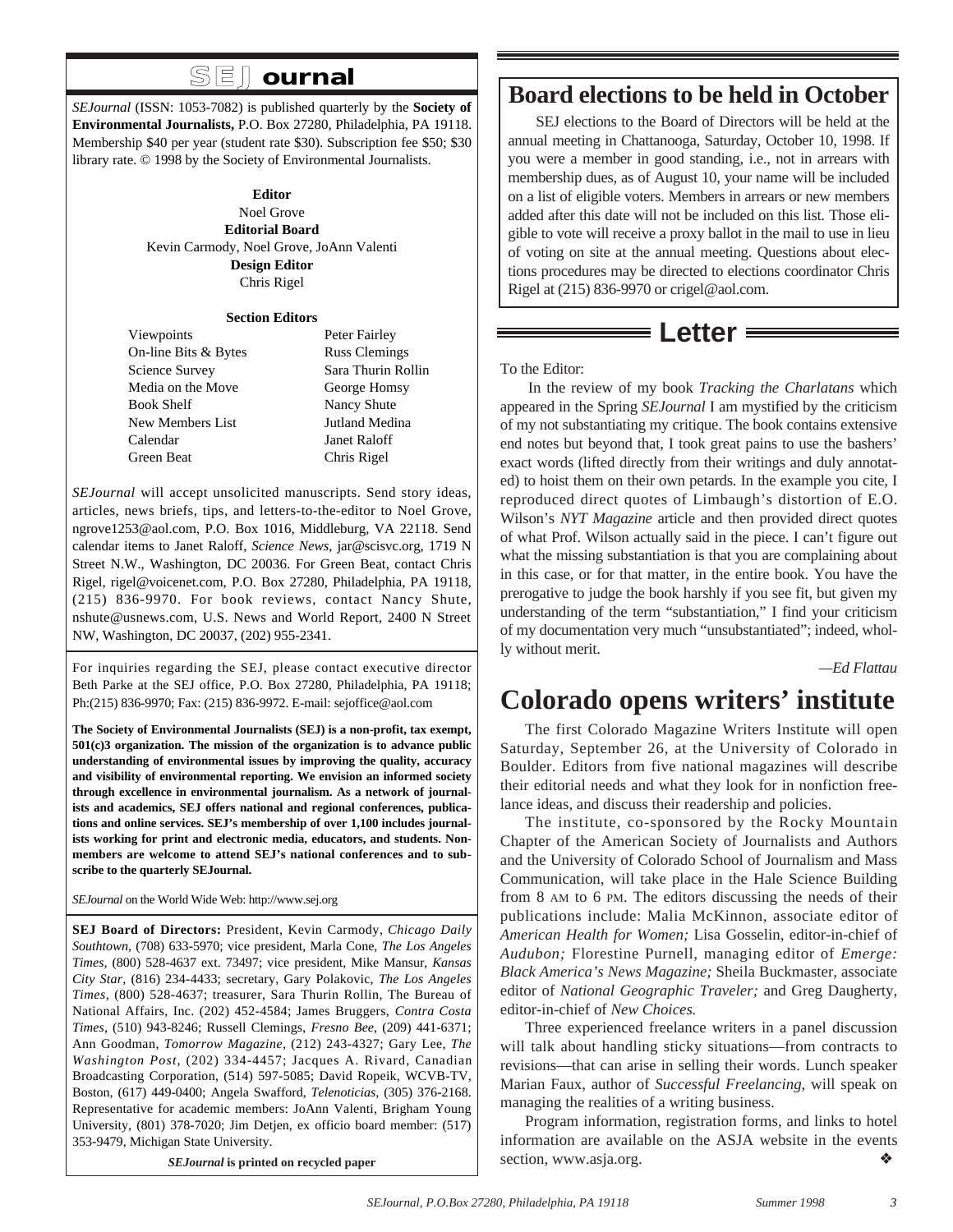## **SEJournal**

*SEJournal* (ISSN: 1053-7082) is published quarterly by the **Society of Environmental Journalists,** P.O. Box 27280, Philadelphia, PA 19118. Membership \$40 per year (student rate \$30). Subscription fee \$50; \$30 library rate. © 1998 by the Society of Environmental Journalists.

#### **Editor** Noel Grove **Editorial Board**

Kevin Carmody, Noel Grove, JoAnn Valenti **Design Editor** Chris Rigel

#### **Section Editors**

Viewpoints Peter Fairley On-line Bits & Bytes Russ Clemings Science Survey Sara Thurin Rollin Media on the Move George Homsy Book Shelf Nancy Shute New Members List Jutland Medina Calendar Janet Raloff Green Beat Chris Rigel

*SEJournal* will accept unsolicited manuscripts. Send story ideas, articles, news briefs, tips, and letters-to-the-editor to Noel Grove, ngrove1253@aol.com, P.O. Box 1016, Middleburg, VA 22118. Send calendar items to Janet Raloff, *Science News,* jar@scisvc.org, 1719 N Street N.W., Washington, DC 20036. For Green Beat, contact Chris Rigel, rigel@voicenet.com, P.O. Box 27280, Philadelphia, PA 19118, (215) 836-9970. For book reviews, contact Nancy Shute, nshute@usnews.com, U.S. News and World Report, 2400 N Street NW, Washington, DC 20037, (202) 955-2341.

For inquiries regarding the SEJ, please contact executive director Beth Parke at the SEJ office, P.O. Box 27280, Philadelphia, PA 19118; Ph:(215) 836-9970; Fax: (215) 836-9972. E-mail: sejoffice@aol.com

**The Society of Environmental Journalists (SEJ) is a non-profit, tax exempt, 501(c)3 organization. The mission of the organization is to advance public understanding of environmental issues by improving the quality, accuracy and visibility of environmental reporting. We envision an informed society through excellence in environmental journalism. As a network of journalists and academics, SEJ offers national and regional conferences, publications and online services. SEJ's membership of over 1,100 includes journalists working for print and electronic media, educators, and students. Nonmembers are welcome to attend SEJ's national conferences and to subscribe to the quarterly SEJournal.** 

*SEJournal* on the World Wide Web: http://www.sej.org

**SEJ Board of Directors:** President, Kevin Carmody, *Chicago Daily Southtown,* (708) 633-5970; vice president, Marla Cone, *The Los Angeles Times,* (800) 528-4637 ext. 73497; vice president, Mike Mansur, *Kansas City Star,* (816) 234-4433; secretary, Gary Polakovic, *The Los Angeles Times,* (800) 528-4637; treasurer, Sara Thurin Rollin, The Bureau of National Affairs, Inc. (202) 452-4584; James Bruggers, *Contra Costa Times,* (510) 943-8246; Russell Clemings, *Fresno Bee,* (209) 441-6371; Ann Goodman, *Tomorrow Magazine,* (212) 243-4327; Gary Lee, *The Washington Post,* (202) 334-4457; Jacques A. Rivard, Canadian Broadcasting Corporation, (514) 597-5085; David Ropeik, WCVB-TV, Boston, (617) 449-0400; Angela Swafford, *Telenoticias,* (305) 376-2168. Representative for academic members: JoAnn Valenti, Brigham Young University, (801) 378-7020; Jim Detjen, ex officio board member: (517) 353-9479, Michigan State University.

*SEJournal* **is printed on recycled paper**

### **Board elections to be held in October**

SEJ elections to the Board of Directors will be held at the annual meeting in Chattanooga, Saturday, October 10, 1998. If you were a member in good standing, i.e., not in arrears with membership dues, as of August 10, your name will be included on a list of eligible voters. Members in arrears or new members added after this date will not be included on this list. Those eligible to vote will receive a proxy ballot in the mail to use in lieu of voting on site at the annual meeting. Questions about elections procedures may be directed to elections coordinator Chris Rigel at (215) 836-9970 or crigel@aol.com.

#### **Letter**

#### To the Editor:

In the review of my book *Tracking the Charlatans* which appeared in the Spring *SEJournal* I am mystified by the criticism of my not substantiating my critique. The book contains extensive end notes but beyond that, I took great pains to use the bashers' exact words (lifted directly from their writings and duly annotated) to hoist them on their own petards. In the example you cite, I reproduced direct quotes of Limbaugh's distortion of E.O. Wilson's *NYT Magazine* article and then provided direct quotes of what Prof. Wilson actually said in the piece. I can't figure out what the missing substantiation is that you are complaining about in this case, or for that matter, in the entire book. You have the prerogative to judge the book harshly if you see fit, but given my understanding of the term "substantiation," I find your criticism of my documentation very much "unsubstantiated"; indeed, wholly without merit.

*—Ed Flattau*

## **Colorado opens writers' institute**

The first Colorado Magazine Writers Institute will open Saturday, September 26, at the University of Colorado in Boulder. Editors from five national magazines will describe their editorial needs and what they look for in nonfiction freelance ideas, and discuss their readership and policies.

The institute, co-sponsored by the Rocky Mountain Chapter of the American Society of Journalists and Authors and the University of Colorado School of Journalism and Mass Communication, will take place in the Hale Science Building from 8 AM to 6 PM. The editors discussing the needs of their publications include: Malia McKinnon, associate editor of *American Health for Women;* Lisa Gosselin, editor-in-chief of *Audubon;* Florestine Purnell, managing editor of *Emerge: Black America's News Magazine;* Sheila Buckmaster, associate editor of *National Geographic Traveler;* and Greg Daugherty, editor-in-chief of *New Choices.*

Three experienced freelance writers in a panel discussion will talk about handling sticky situations—from contracts to revisions—that can arise in selling their words. Lunch speaker Marian Faux, author of *Successful Freelancing*, will speak on managing the realities of a writing business.

Program information, registration forms, and links to hotel information are available on the ASJA website in the events section, www.asja.org. ❖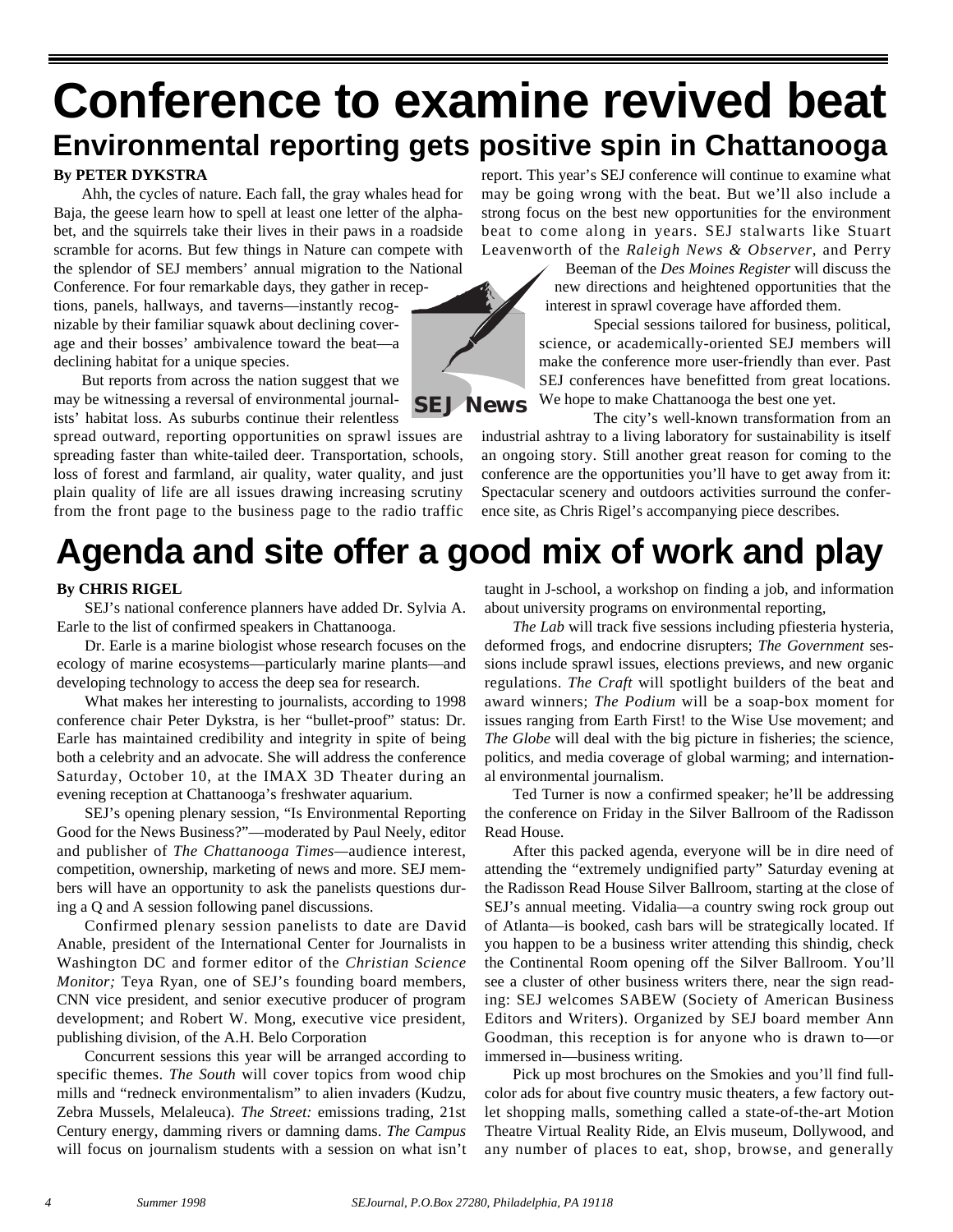## **Conference to examine revived beat Environmental reporting gets positive spin in Chattanooga**

#### **By PETER DYKSTRA**

Ahh, the cycles of nature. Each fall, the gray whales head for Baja, the geese learn how to spell at least one letter of the alphabet, and the squirrels take their lives in their paws in a roadside scramble for acorns. But few things in Nature can compete with the splendor of SEJ members' annual migration to the National

Conference. For four remarkable days, they gather in receptions, panels, hallways, and taverns—instantly recognizable by their familiar squawk about declining coverage and their bosses' ambivalence toward the beat—a declining habitat for a unique species.

But reports from across the nation suggest that we may be witnessing a reversal of environmental journalists' habitat loss. As suburbs continue their relentless

spread outward, reporting opportunities on sprawl issues are spreading faster than white-tailed deer. Transportation, schools, loss of forest and farmland, air quality, water quality, and just plain quality of life are all issues drawing increasing scrutiny from the front page to the business page to the radio traffic

report. This year's SEJ conference will continue to examine what may be going wrong with the beat. But we'll also include a strong focus on the best new opportunities for the environment beat to come along in years. SEJ stalwarts like Stuart Leavenworth of the *Raleigh News & Observer,* and Perry

> Beeman of the *Des Moines Register* will discuss the new directions and heightened opportunities that the interest in sprawl coverage have afforded them.

> Special sessions tailored for business, political, science, or academically-oriented SEJ members will make the conference more user-friendly than ever. Past SEJ conferences have benefitted from great locations. We hope to make Chattanooga the best one yet.

The city's well-known transformation from an industrial ashtray to a living laboratory for sustainability is itself an ongoing story. Still another great reason for coming to the conference are the opportunities you'll have to get away from it: Spectacular scenery and outdoors activities surround the conference site, as Chris Rigel's accompanying piece describes.

## **Agenda and site offer a good mix of work and play**

#### **By CHRIS RIGEL**

SEJ's national conference planners have added Dr. Sylvia A. Earle to the list of confirmed speakers in Chattanooga.

Dr. Earle is a marine biologist whose research focuses on the ecology of marine ecosystems—particularly marine plants—and developing technology to access the deep sea for research.

What makes her interesting to journalists, according to 1998 conference chair Peter Dykstra, is her "bullet-proof" status: Dr. Earle has maintained credibility and integrity in spite of being both a celebrity and an advocate. She will address the conference Saturday, October 10, at the IMAX 3D Theater during an evening reception at Chattanooga's freshwater aquarium.

SEJ's opening plenary session, "Is Environmental Reporting Good for the News Business?"—moderated by Paul Neely, editor and publisher of *The Chattanooga Times—*audience interest, competition, ownership, marketing of news and more. SEJ members will have an opportunity to ask the panelists questions during a Q and A session following panel discussions.

Confirmed plenary session panelists to date are David Anable, president of the International Center for Journalists in Washington DC and former editor of the *Christian Science Monitor;* Teya Ryan, one of SEJ's founding board members, CNN vice president, and senior executive producer of program development; and Robert W. Mong, executive vice president, publishing division, of the A.H. Belo Corporation

Concurrent sessions this year will be arranged according to specific themes. *The South* will cover topics from wood chip mills and "redneck environmentalism" to alien invaders (Kudzu, Zebra Mussels, Melaleuca). *The Street:* emissions trading, 21st Century energy, damming rivers or damning dams. *The Campus* will focus on journalism students with a session on what isn't

taught in J-school, a workshop on finding a job, and information about university programs on environmental reporting,

*The Lab* will track five sessions including pfiesteria hysteria, deformed frogs, and endocrine disrupters; *The Government* sessions include sprawl issues, elections previews, and new organic regulations. *The Craft* will spotlight builders of the beat and award winners; *The Podium* will be a soap-box moment for issues ranging from Earth First! to the Wise Use movement; and *The Globe* will deal with the big picture in fisheries; the science, politics, and media coverage of global warming; and international environmental journalism.

Ted Turner is now a confirmed speaker; he'll be addressing the conference on Friday in the Silver Ballroom of the Radisson Read House.

After this packed agenda, everyone will be in dire need of attending the "extremely undignified party" Saturday evening at the Radisson Read House Silver Ballroom, starting at the close of SEJ's annual meeting. Vidalia—a country swing rock group out of Atlanta—is booked, cash bars will be strategically located. If you happen to be a business writer attending this shindig, check the Continental Room opening off the Silver Ballroom. You'll see a cluster of other business writers there, near the sign reading: SEJ welcomes SABEW (Society of American Business Editors and Writers). Organized by SEJ board member Ann Goodman, this reception is for anyone who is drawn to—or immersed in—business writing.

Pick up most brochures on the Smokies and you'll find fullcolor ads for about five country music theaters, a few factory outlet shopping malls, something called a state-of-the-art Motion Theatre Virtual Reality Ride, an Elvis museum, Dollywood, and any number of places to eat, shop, browse, and generally

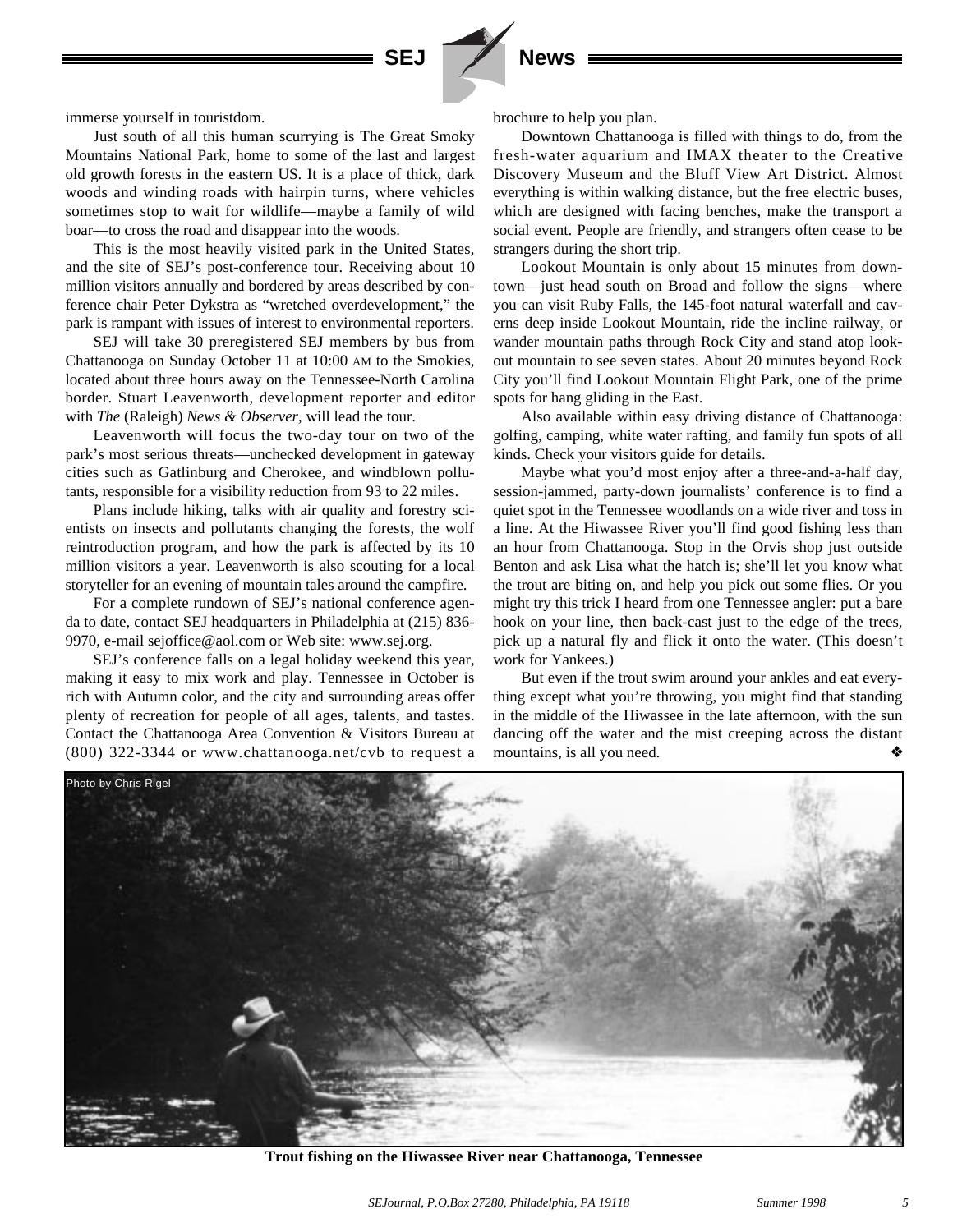



Just south of all this human scurrying is The Great Smoky Mountains National Park, home to some of the last and largest old growth forests in the eastern US. It is a place of thick, dark woods and winding roads with hairpin turns, where vehicles sometimes stop to wait for wildlife—maybe a family of wild boar—to cross the road and disappear into the woods.

This is the most heavily visited park in the United States, and the site of SEJ's post-conference tour. Receiving about 10 million visitors annually and bordered by areas described by conference chair Peter Dykstra as "wretched overdevelopment," the park is rampant with issues of interest to environmental reporters.

SEJ will take 30 preregistered SEJ members by bus from Chattanooga on Sunday October 11 at 10:00 AM to the Smokies, located about three hours away on the Tennessee-North Carolina border. Stuart Leavenworth, development reporter and editor with *The* (Raleigh) *News & Observer,* will lead the tour.

Leavenworth will focus the two-day tour on two of the park's most serious threats—unchecked development in gateway cities such as Gatlinburg and Cherokee, and windblown pollutants, responsible for a visibility reduction from 93 to 22 miles.

Plans include hiking, talks with air quality and forestry scientists on insects and pollutants changing the forests, the wolf reintroduction program, and how the park is affected by its 10 million visitors a year. Leavenworth is also scouting for a local storyteller for an evening of mountain tales around the campfire.

For a complete rundown of SEJ's national conference agenda to date, contact SEJ headquarters in Philadelphia at (215) 836- 9970, e-mail sejoffice@aol.com or Web site: www.sej.org.

SEJ's conference falls on a legal holiday weekend this year, making it easy to mix work and play. Tennessee in October is rich with Autumn color, and the city and surrounding areas offer plenty of recreation for people of all ages, talents, and tastes. Contact the Chattanooga Area Convention & Visitors Bureau at (800) 322-3344 or www.chattanooga.net/cvb to request a brochure to help you plan.

Downtown Chattanooga is filled with things to do, from the fresh-water aquarium and IMAX theater to the Creative Discovery Museum and the Bluff View Art District. Almost everything is within walking distance, but the free electric buses, which are designed with facing benches, make the transport a social event. People are friendly, and strangers often cease to be strangers during the short trip.

Lookout Mountain is only about 15 minutes from downtown—just head south on Broad and follow the signs—where you can visit Ruby Falls, the 145-foot natural waterfall and caverns deep inside Lookout Mountain, ride the incline railway, or wander mountain paths through Rock City and stand atop lookout mountain to see seven states. About 20 minutes beyond Rock City you'll find Lookout Mountain Flight Park, one of the prime spots for hang gliding in the East.

Also available within easy driving distance of Chattanooga: golfing, camping, white water rafting, and family fun spots of all kinds. Check your visitors guide for details.

Maybe what you'd most enjoy after a three-and-a-half day, session-jammed, party-down journalists' conference is to find a quiet spot in the Tennessee woodlands on a wide river and toss in a line. At the Hiwassee River you'll find good fishing less than an hour from Chattanooga. Stop in the Orvis shop just outside Benton and ask Lisa what the hatch is; she'll let you know what the trout are biting on, and help you pick out some flies. Or you might try this trick I heard from one Tennessee angler: put a bare hook on your line, then back-cast just to the edge of the trees, pick up a natural fly and flick it onto the water. (This doesn't work for Yankees.)

But even if the trout swim around your ankles and eat everything except what you're throwing, you might find that standing in the middle of the Hiwassee in the late afternoon, with the sun dancing off the water and the mist creeping across the distant mountains, is all you need. ❖



**Trout fishing on the Hiwassee River near Chattanooga, Tennessee**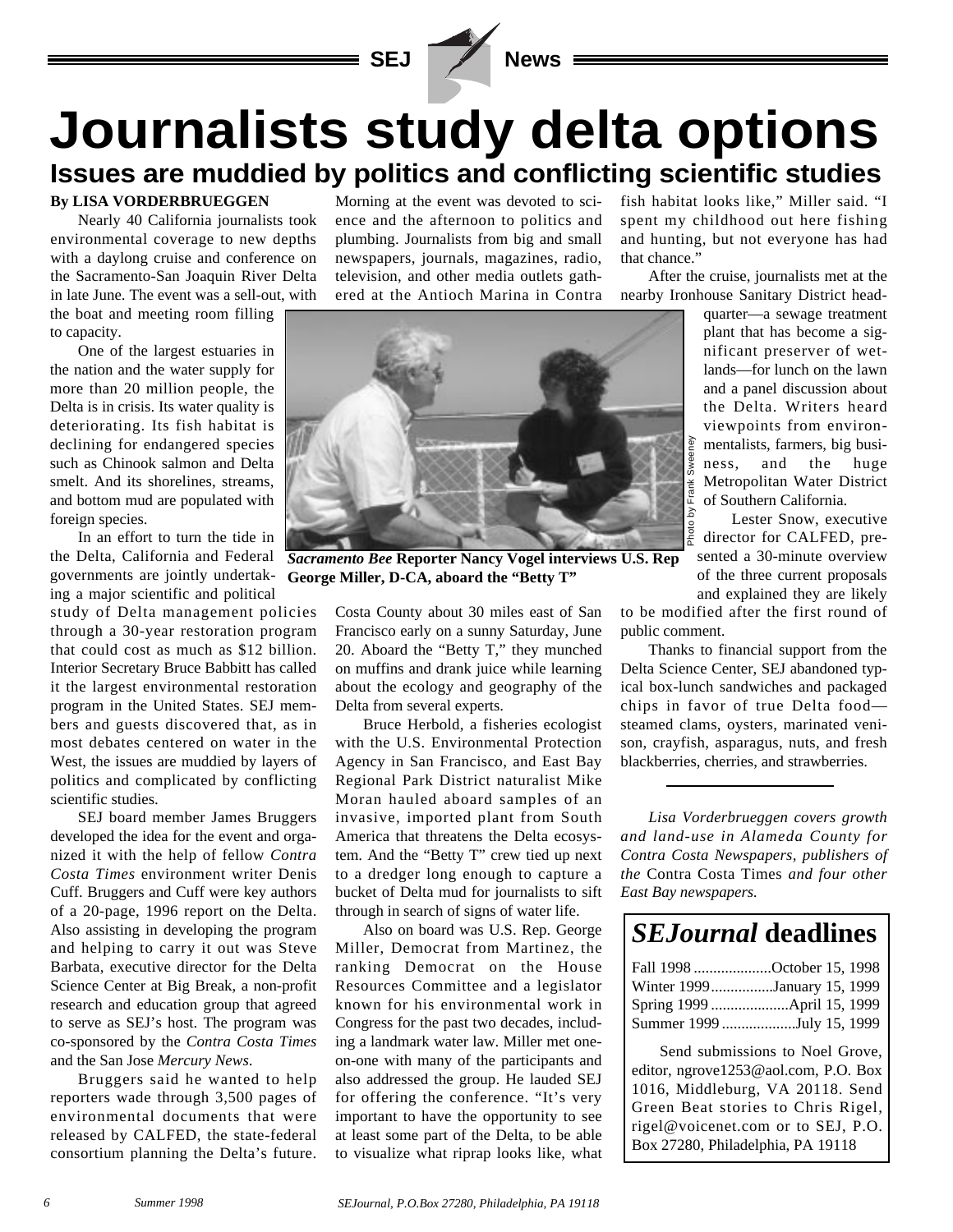

## **Journalists study delta options Issues are muddied by politics and conflicting scientific studies**

#### **By LISA VORDERBRUEGGEN**

Nearly 40 California journalists took environmental coverage to new depths with a daylong cruise and conference on the Sacramento-San Joaquin River Delta in late June. The event was a sell-out, with

the boat and meeting room filling to capacity.

One of the largest estuaries in the nation and the water supply for more than 20 million people, the Delta is in crisis. Its water quality is deteriorating. Its fish habitat is declining for endangered species such as Chinook salmon and Delta smelt. And its shorelines, streams, and bottom mud are populated with foreign species.

In an effort to turn the tide in the Delta, California and Federal governments are jointly undertaking a major scientific and political

study of Delta management policies through a 30-year restoration program that could cost as much as \$12 billion. Interior Secretary Bruce Babbitt has called it the largest environmental restoration program in the United States. SEJ members and guests discovered that, as in most debates centered on water in the West, the issues are muddied by layers of politics and complicated by conflicting scientific studies.

SEJ board member James Bruggers developed the idea for the event and organized it with the help of fellow *Contra Costa Times* environment writer Denis Cuff. Bruggers and Cuff were key authors of a 20-page, 1996 report on the Delta. Also assisting in developing the program and helping to carry it out was Steve Barbata, executive director for the Delta Science Center at Big Break, a non-profit research and education group that agreed to serve as SEJ's host. The program was co-sponsored by the *Contra Costa Times* and the San Jose *Mercury News*.

Bruggers said he wanted to help reporters wade through 3,500 pages of environmental documents that were released by CALFED, the state-federal consortium planning the Delta's future.

Morning at the event was devoted to science and the afternoon to politics and plumbing. Journalists from big and small newspapers, journals, magazines, radio, television, and other media outlets gathered at the Antioch Marina in Contra

fish habitat looks like," Miller said. "I spent my childhood out here fishing and hunting, but not everyone has had that chance."

After the cruise, journalists met at the nearby Ironhouse Sanitary District head-



*Sacramento Bee* **Reporter Nancy Vogel interviews U.S. Rep George Miller, D-CA, aboard the "Betty T"**

Costa County about 30 miles east of San Francisco early on a sunny Saturday, June 20. Aboard the "Betty T," they munched on muffins and drank juice while learning about the ecology and geography of the Delta from several experts.

Bruce Herbold, a fisheries ecologist with the U.S. Environmental Protection Agency in San Francisco, and East Bay Regional Park District naturalist Mike Moran hauled aboard samples of an invasive, imported plant from South America that threatens the Delta ecosystem. And the "Betty T" crew tied up next to a dredger long enough to capture a bucket of Delta mud for journalists to sift through in search of signs of water life.

Also on board was U.S. Rep. George Miller, Democrat from Martinez, the ranking Democrat on the House Resources Committee and a legislator known for his environmental work in Congress for the past two decades, including a landmark water law. Miller met oneon-one with many of the participants and also addressed the group. He lauded SEJ for offering the conference. "It's very important to have the opportunity to see at least some part of the Delta, to be able to visualize what riprap looks like, what

quarter—a sewage treatment plant that has become a significant preserver of wetlands—for lunch on the lawn and a panel discussion about the Delta. Writers heard viewpoints from environmentalists, farmers, big business, and the huge Metropolitan Water District of Southern California.

Lester Snow, executive director for CALFED, presented a 30-minute overview of the three current proposals and explained they are likely

to be modified after the first round of public comment.

Thanks to financial support from the Delta Science Center, SEJ abandoned typical box-lunch sandwiches and packaged chips in favor of true Delta food steamed clams, oysters, marinated venison, crayfish, asparagus, nuts, and fresh blackberries, cherries, and strawberries. Example 12<br>
Solutern California.<br>
Solutern California Water Dianos, and the 1<br>
Solutern California Water Dianos, execution and Solutern California<br>
Solutern California Example 1<br>
Solutern Show, execution of the three curr

*Lisa Vorderbrueggen covers growth and land-use in Alameda County for Contra Costa Newspapers, publishers of the* Contra Costa Times *and four other East Bay newspapers.*

## *SEJournal* **deadlines**

| Fall 1998 October 15, 1998  |  |
|-----------------------------|--|
| Winter 1999January 15, 1999 |  |
|                             |  |
| Summer 1999 July 15, 1999   |  |

Send submissions to Noel Grove, editor, ngrove1253@aol.com, P.O. Box 1016, Middleburg, VA 20118. Send Green Beat stories to Chris Rigel, rigel@voicenet.com or to SEJ, P.O.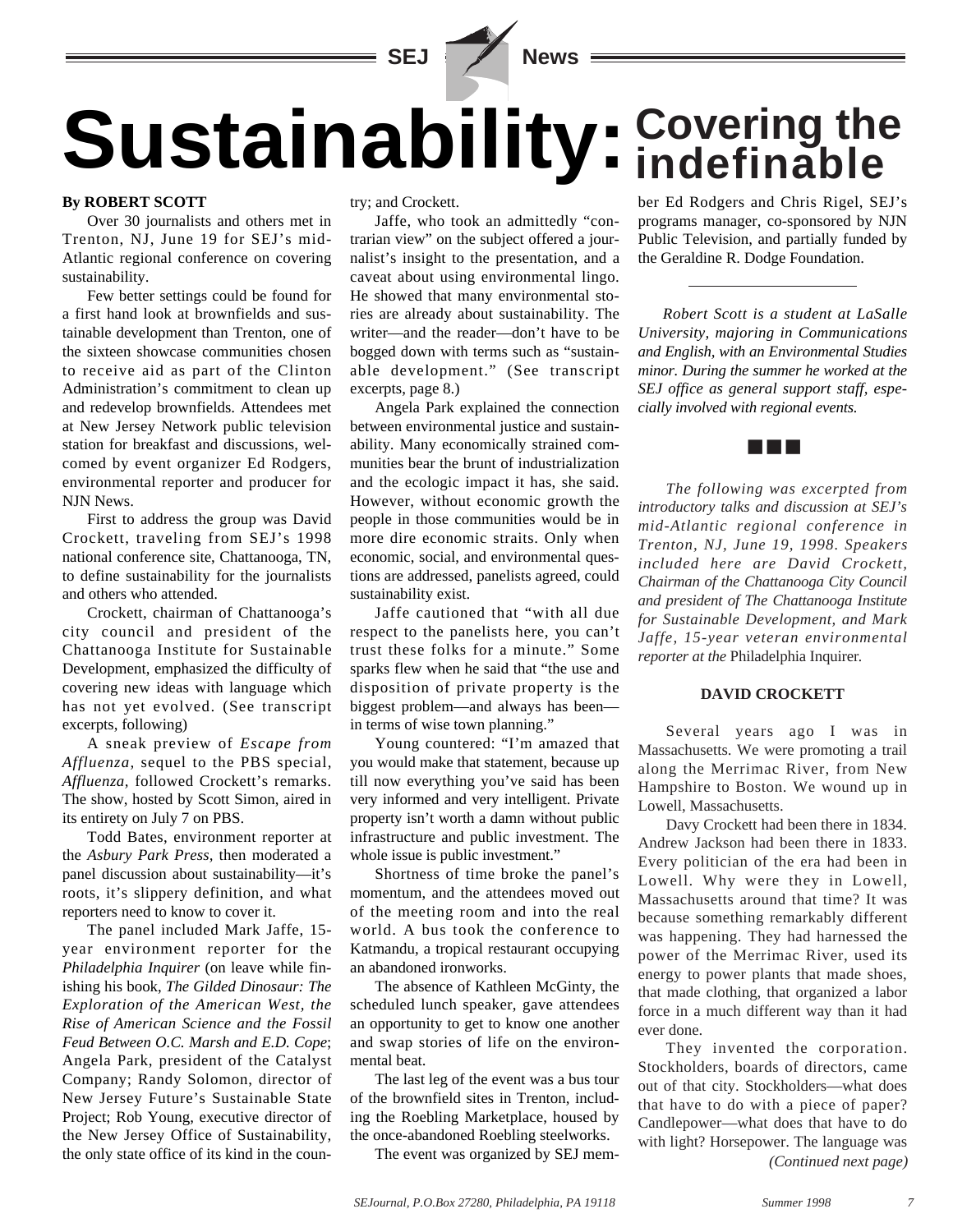

Sustainability: Covering the

#### **By ROBERT SCOTT**

Over 30 journalists and others met in Trenton, NJ, June 19 for SEJ's mid-Atlantic regional conference on covering sustainability.

Few better settings could be found for a first hand look at brownfields and sustainable development than Trenton, one of the sixteen showcase communities chosen to receive aid as part of the Clinton Administration's commitment to clean up and redevelop brownfields. Attendees met at New Jersey Network public television station for breakfast and discussions, welcomed by event organizer Ed Rodgers, environmental reporter and producer for NJN News.

First to address the group was David Crockett, traveling from SEJ's 1998 national conference site, Chattanooga, TN, to define sustainability for the journalists and others who attended.

Crockett, chairman of Chattanooga's city council and president of the Chattanooga Institute for Sustainable Development, emphasized the difficulty of covering new ideas with language which has not yet evolved. (See transcript excerpts, following)

A sneak preview of *Escape from Affluenza,* sequel to the PBS special, *Affluenza,* followed Crockett's remarks. The show, hosted by Scott Simon, aired in its entirety on July 7 on PBS.

Todd Bates, environment reporter at the *Asbury Park Press,* then moderated a panel discussion about sustainability—it's roots, it's slippery definition, and what reporters need to know to cover it.

The panel included Mark Jaffe, 15 year environment reporter for the *Philadelphia Inquirer* (on leave while finishing his book, *The Gilded Dinosaur: The Exploration of the American West, the Rise of American Science and the Fossil Feud Between O.C. Marsh and E.D. Cope*; Angela Park, president of the Catalyst Company; Randy Solomon, director of New Jersey Future's Sustainable State Project; Rob Young, executive director of the New Jersey Office of Sustainability, the only state office of its kind in the country; and Crockett.

Jaffe, who took an admittedly "contrarian view" on the subject offered a journalist's insight to the presentation, and a caveat about using environmental lingo. He showed that many environmental stories are already about sustainability. The writer—and the reader—don't have to be bogged down with terms such as "sustainable development." (See transcript excerpts, page 8.)

Angela Park explained the connection between environmental justice and sustainability. Many economically strained communities bear the brunt of industrialization and the ecologic impact it has, she said. However, without economic growth the people in those communities would be in more dire economic straits. Only when economic, social, and environmental questions are addressed, panelists agreed, could sustainability exist.

Jaffe cautioned that "with all due respect to the panelists here, you can't trust these folks for a minute." Some sparks flew when he said that "the use and disposition of private property is the biggest problem—and always has been in terms of wise town planning."

Young countered: "I'm amazed that you would make that statement, because up till now everything you've said has been very informed and very intelligent. Private property isn't worth a damn without public infrastructure and public investment. The whole issue is public investment."

Shortness of time broke the panel's momentum, and the attendees moved out of the meeting room and into the real world. A bus took the conference to Katmandu, a tropical restaurant occupying an abandoned ironworks.

The absence of Kathleen McGinty, the scheduled lunch speaker, gave attendees an opportunity to get to know one another and swap stories of life on the environmental beat.

The last leg of the event was a bus tour of the brownfield sites in Trenton, including the Roebling Marketplace, housed by the once-abandoned Roebling steelworks.

The event was organized by SEJ mem-

# **indefinable**

ber Ed Rodgers and Chris Rigel, SEJ's programs manager, co-sponsored by NJN Public Television, and partially funded by the Geraldine R. Dodge Foundation.

*Robert Scott is a student at LaSalle University, majoring in Communications and English, with an Environmental Studies minor. During the summer he worked at the SEJ office as general support staff, especially involved with regional events.*



*The following was excerpted from introductory talks and discussion at SEJ's mid-Atlantic regional conference in Trenton, NJ, June 19, 1998. Speakers included here are David Crockett, Chairman of the Chattanooga City Council and president of The Chattanooga Institute for Sustainable Development, and Mark Jaffe, 15-year veteran environmental reporter at the* Philadelphia Inquirer*.* 

#### **DAVID CROCKETT**

Several years ago I was in Massachusetts. We were promoting a trail along the Merrimac River, from New Hampshire to Boston. We wound up in Lowell, Massachusetts.

Davy Crockett had been there in 1834. Andrew Jackson had been there in 1833. Every politician of the era had been in Lowell. Why were they in Lowell, Massachusetts around that time? It was because something remarkably different was happening. They had harnessed the power of the Merrimac River, used its energy to power plants that made shoes, that made clothing, that organized a labor force in a much different way than it had ever done.

They invented the corporation. Stockholders, boards of directors, came out of that city. Stockholders—what does that have to do with a piece of paper? Candlepower—what does that have to do with light? Horsepower. The language was *(Continued next page)*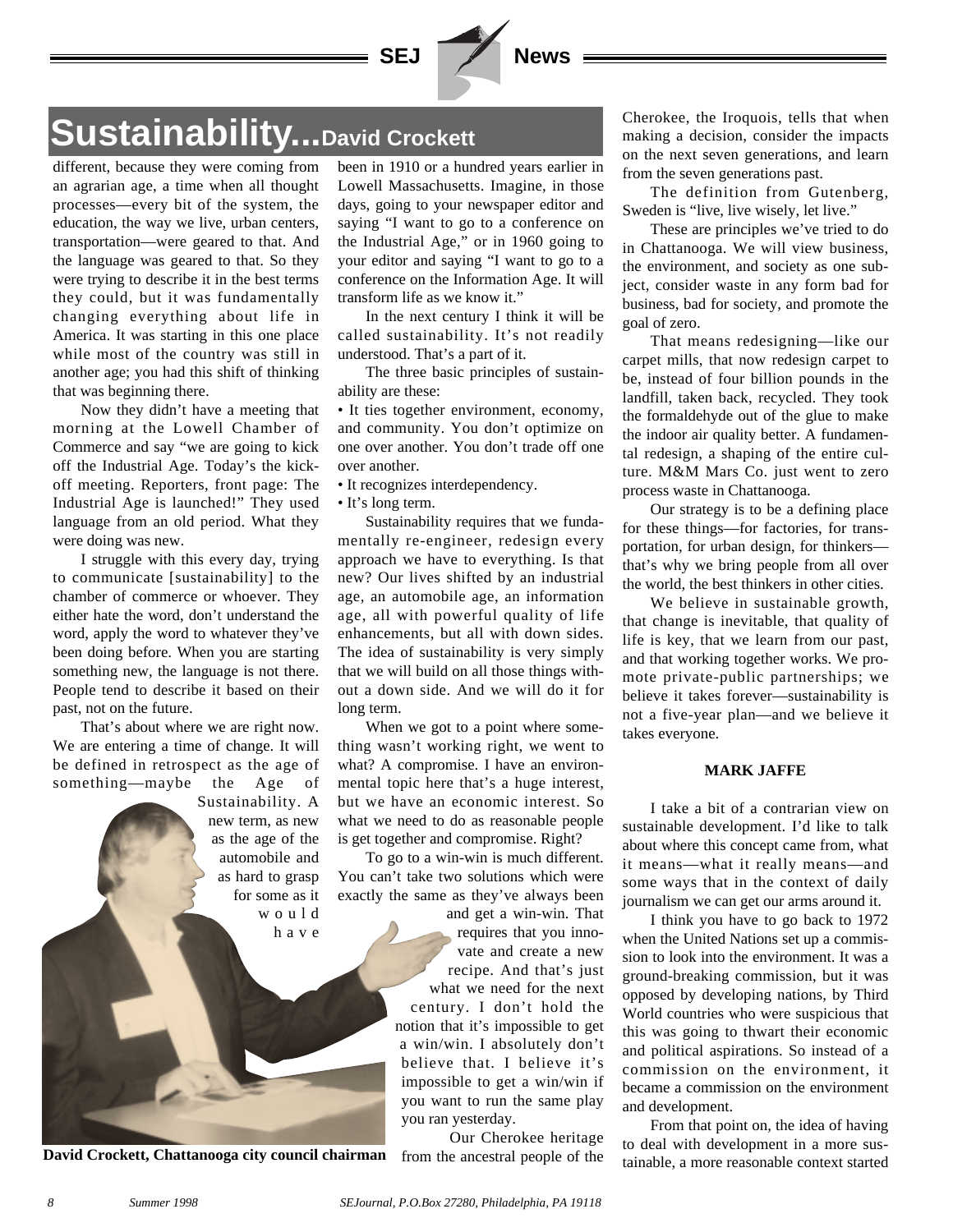

## **Sustainability...David Crockett**

different, because they were coming from an agrarian age, a time when all thought processes—every bit of the system, the education, the way we live, urban centers, transportation—were geared to that. And the language was geared to that. So they were trying to describe it in the best terms they could, but it was fundamentally changing everything about life in America. It was starting in this one place while most of the country was still in another age; you had this shift of thinking that was beginning there.

Now they didn't have a meeting that morning at the Lowell Chamber of Commerce and say "we are going to kick off the Industrial Age. Today's the kickoff meeting. Reporters, front page: The Industrial Age is launched!" They used language from an old period. What they were doing was new.

I struggle with this every day, trying to communicate [sustainability] to the chamber of commerce or whoever. They either hate the word, don't understand the word, apply the word to whatever they've been doing before. When you are starting something new, the language is not there. People tend to describe it based on their past, not on the future.

That's about where we are right now. We are entering a time of change. It will be defined in retrospect as the age of something—maybe the Age of

> Sustainability. A new term, as new as the age of the automobile and as hard to grasp for some as it would have



been in 1910 or a hundred years earlier in Lowell Massachusetts. Imagine, in those days, going to your newspaper editor and saying "I want to go to a conference on the Industrial Age," or in 1960 going to your editor and saying "I want to go to a conference on the Information Age. It will transform life as we know it."

In the next century I think it will be called sustainability. It's not readily understood. That's a part of it.

The three basic principles of sustainability are these:

• It ties together environment, economy, and community. You don't optimize on one over another. You don't trade off one over another.

• It recognizes interdependency.

• It's long term.

Sustainability requires that we fundamentally re-engineer, redesign every approach we have to everything. Is that new? Our lives shifted by an industrial age, an automobile age, an information age, all with powerful quality of life enhancements, but all with down sides. The idea of sustainability is very simply that we will build on all those things without a down side. And we will do it for long term.

When we got to a point where something wasn't working right, we went to what? A compromise. I have an environmental topic here that's a huge interest, but we have an economic interest. So what we need to do as reasonable people is get together and compromise. Right?

To go to a win-win is much different. You can't take two solutions which were exactly the same as they've always been

and get a win-win. That requires that you innovate and create a new recipe. And that's just what we need for the next century. I don't hold the notion that it's impossible to get a win/win. I absolutely don't believe that. I believe it's impossible to get a win/win if you want to run the same play you ran yesterday.

Our Cherokee heritage from the ancestral people of the

Cherokee, the Iroquois, tells that when making a decision, consider the impacts on the next seven generations, and learn from the seven generations past.

The definition from Gutenberg, Sweden is "live, live wisely, let live."

These are principles we've tried to do in Chattanooga. We will view business, the environment, and society as one subject, consider waste in any form bad for business, bad for society, and promote the goal of zero.

That means redesigning—like our carpet mills, that now redesign carpet to be, instead of four billion pounds in the landfill, taken back, recycled. They took the formaldehyde out of the glue to make the indoor air quality better. A fundamental redesign, a shaping of the entire culture. M&M Mars Co. just went to zero process waste in Chattanooga.

Our strategy is to be a defining place for these things—for factories, for transportation, for urban design, for thinkers that's why we bring people from all over the world, the best thinkers in other cities.

We believe in sustainable growth, that change is inevitable, that quality of life is key, that we learn from our past, and that working together works. We promote private-public partnerships; we believe it takes forever—sustainability is not a five-year plan—and we believe it takes everyone.

#### **MARK JAFFE**

I take a bit of a contrarian view on sustainable development. I'd like to talk about where this concept came from, what it means—what it really means—and some ways that in the context of daily journalism we can get our arms around it.

I think you have to go back to 1972 when the United Nations set up a commission to look into the environment. It was a ground-breaking commission, but it was opposed by developing nations, by Third World countries who were suspicious that this was going to thwart their economic and political aspirations. So instead of a commission on the environment, it became a commission on the environment and development.

From that point on, the idea of having to deal with development in a more sus-David Crockett, Chattanooga city council chairman from the ancestral people of the tainable, a more reasonable context started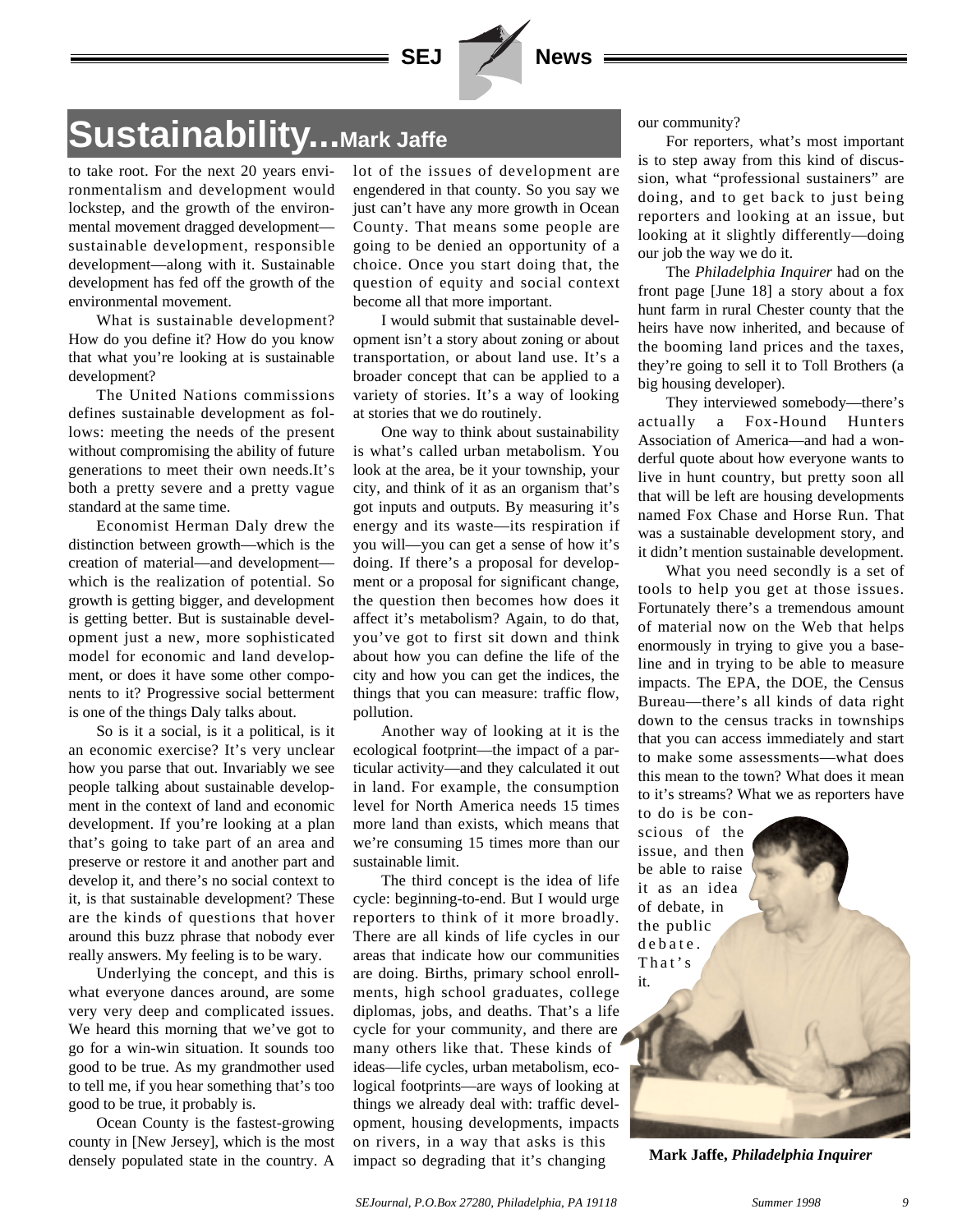

## **Sustainability...Mark Jaffe**

to take root. For the next 20 years environmentalism and development would lockstep, and the growth of the environmental movement dragged development sustainable development, responsible development—along with it. Sustainable development has fed off the growth of the environmental movement.

What is sustainable development? How do you define it? How do you know that what you're looking at is sustainable development?

The United Nations commissions defines sustainable development as follows: meeting the needs of the present without compromising the ability of future generations to meet their own needs.It's both a pretty severe and a pretty vague standard at the same time.

Economist Herman Daly drew the distinction between growth—which is the creation of material—and development which is the realization of potential. So growth is getting bigger, and development is getting better. But is sustainable development just a new, more sophisticated model for economic and land development, or does it have some other components to it? Progressive social betterment is one of the things Daly talks about.

So is it a social, is it a political, is it an economic exercise? It's very unclear how you parse that out. Invariably we see people talking about sustainable development in the context of land and economic development. If you're looking at a plan that's going to take part of an area and preserve or restore it and another part and develop it, and there's no social context to it, is that sustainable development? These are the kinds of questions that hover around this buzz phrase that nobody ever really answers. My feeling is to be wary.

Underlying the concept, and this is what everyone dances around, are some very very deep and complicated issues. We heard this morning that we've got to go for a win-win situation. It sounds too good to be true. As my grandmother used to tell me, if you hear something that's too good to be true, it probably is.

Ocean County is the fastest-growing county in [New Jersey], which is the most densely populated state in the country. A lot of the issues of development are engendered in that county. So you say we just can't have any more growth in Ocean County. That means some people are going to be denied an opportunity of a choice. Once you start doing that, the question of equity and social context become all that more important.

I would submit that sustainable development isn't a story about zoning or about transportation, or about land use. It's a broader concept that can be applied to a variety of stories. It's a way of looking at stories that we do routinely.

One way to think about sustainability is what's called urban metabolism. You look at the area, be it your township, your city, and think of it as an organism that's got inputs and outputs. By measuring it's energy and its waste—its respiration if you will—you can get a sense of how it's doing. If there's a proposal for development or a proposal for significant change, the question then becomes how does it affect it's metabolism? Again, to do that, you've got to first sit down and think about how you can define the life of the city and how you can get the indices, the things that you can measure: traffic flow, pollution.

Another way of looking at it is the ecological footprint—the impact of a particular activity—and they calculated it out in land. For example, the consumption level for North America needs 15 times more land than exists, which means that we're consuming 15 times more than our sustainable limit.

The third concept is the idea of life cycle: beginning-to-end. But I would urge reporters to think of it more broadly. There are all kinds of life cycles in our areas that indicate how our communities are doing. Births, primary school enrollments, high school graduates, college diplomas, jobs, and deaths. That's a life cycle for your community, and there are many others like that. These kinds of ideas—life cycles, urban metabolism, ecological footprints—are ways of looking at things we already deal with: traffic development, housing developments, impacts on rivers, in a way that asks is this impact so degrading that it's changing

our community?

For reporters, what's most important is to step away from this kind of discussion, what "professional sustainers" are doing, and to get back to just being reporters and looking at an issue, but looking at it slightly differently—doing our job the way we do it.

The *Philadelphia Inquirer* had on the front page [June 18] a story about a fox hunt farm in rural Chester county that the heirs have now inherited, and because of the booming land prices and the taxes, they're going to sell it to Toll Brothers (a big housing developer).

They interviewed somebody—there's actually a Fox-Hound Hunters Association of America—and had a wonderful quote about how everyone wants to live in hunt country, but pretty soon all that will be left are housing developments named Fox Chase and Horse Run. That was a sustainable development story, and it didn't mention sustainable development.

What you need secondly is a set of tools to help you get at those issues. Fortunately there's a tremendous amount of material now on the Web that helps enormously in trying to give you a baseline and in trying to be able to measure impacts. The EPA, the DOE, the Census Bureau—there's all kinds of data right down to the census tracks in townships that you can access immediately and start to make some assessments—what does this mean to the town? What does it mean to it's streams? What we as reporters have

to do is be conscious of the issue, and then be able to raise it as an idea of debate, in the public debate. That's it.

**Mark Jaffe,** *Philadelphia Inquirer*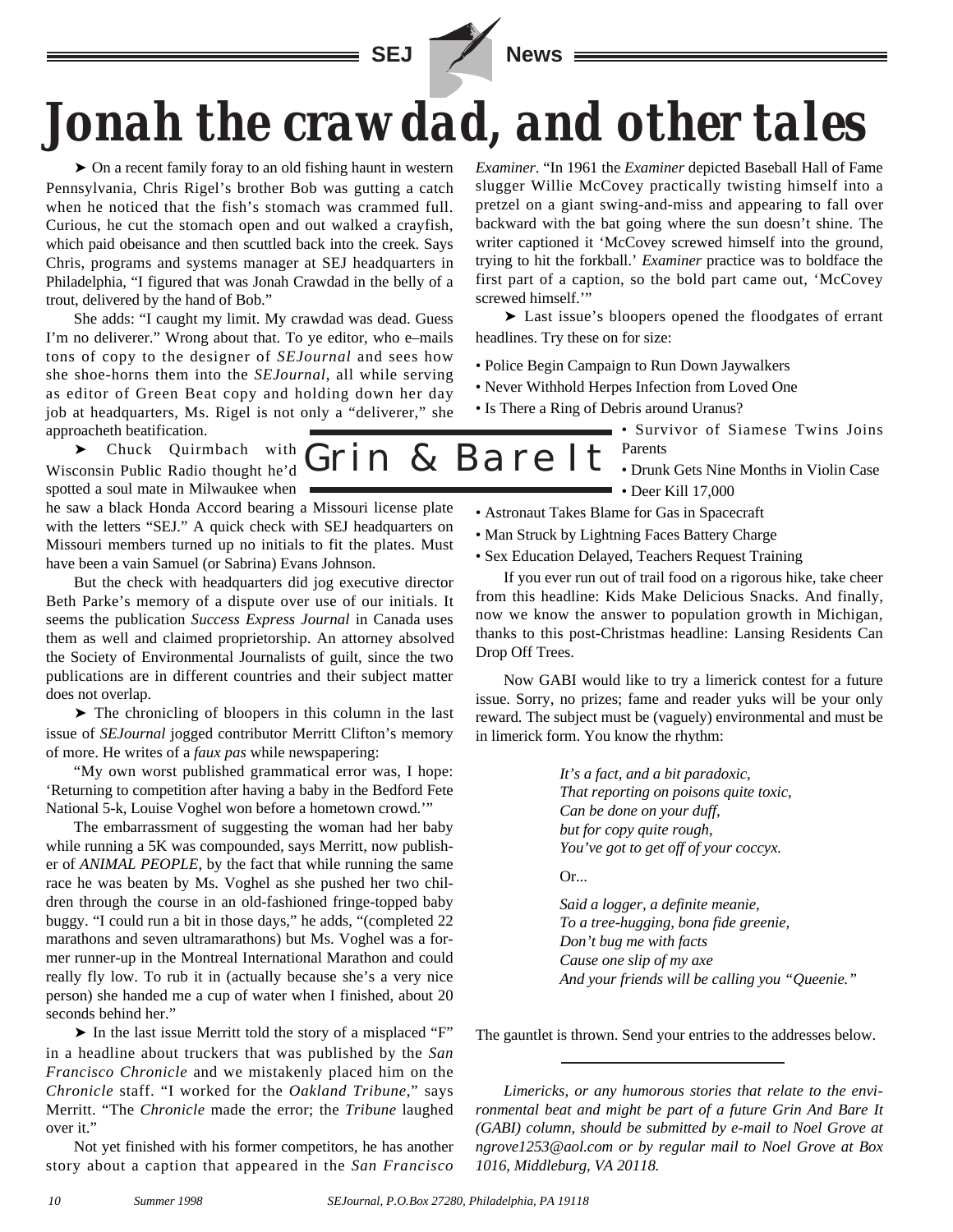



# *Jonah the crawdad, and other tales*

➤ On a recent family foray to an old fishing haunt in western Pennsylvania, Chris Rigel's brother Bob was gutting a catch when he noticed that the fish's stomach was crammed full. Curious, he cut the stomach open and out walked a crayfish, which paid obeisance and then scuttled back into the creek. Says Chris, programs and systems manager at SEJ headquarters in Philadelphia, "I figured that was Jonah Crawdad in the belly of a trout, delivered by the hand of Bob."

She adds: "I caught my limit. My crawdad was dead. Guess I'm no deliverer." Wrong about that. To ye editor, who e–mails tons of copy to the designer of *SEJournal* and sees how she shoe-horns them into the *SEJournal*, all while serving as editor of Green Beat copy and holding down her day job at headquarters, Ms. Rigel is not only a "deliverer," she approacheth beatification.

 $\blacktriangleright$  Chuck Quirmbach with  $Grin$  & Bare It Wisconsin Public Radio thought he'd spotted a soul mate in Milwaukee when

he saw a black Honda Accord bearing a Missouri license plate with the letters "SEJ." A quick check with SEJ headquarters on Missouri members turned up no initials to fit the plates. Must have been a vain Samuel (or Sabrina) Evans Johnson.

But the check with headquarters did jog executive director Beth Parke's memory of a dispute over use of our initials. It seems the publication *Success Express Journal* in Canada uses them as well and claimed proprietorship. An attorney absolved the Society of Environmental Journalists of guilt, since the two publications are in different countries and their subject matter does not overlap.

➤ The chronicling of bloopers in this column in the last issue of *SEJournal* jogged contributor Merritt Clifton's memory of more. He writes of a *faux pas* while newspapering:

"My own worst published grammatical error was, I hope: 'Returning to competition after having a baby in the Bedford Fete National 5-k, Louise Voghel won before a hometown crowd.'"

The embarrassment of suggesting the woman had her baby while running a 5K was compounded, says Merritt, now publisher of *ANIMAL PEOPLE*, by the fact that while running the same race he was beaten by Ms. Voghel as she pushed her two children through the course in an old-fashioned fringe-topped baby buggy. "I could run a bit in those days," he adds, "(completed 22 marathons and seven ultramarathons) but Ms. Voghel was a former runner-up in the Montreal International Marathon and could really fly low. To rub it in (actually because she's a very nice person) she handed me a cup of water when I finished, about 20 seconds behind her."

➤ In the last issue Merritt told the story of a misplaced "F" in a headline about truckers that was published by the *San Francisco Chronicle* and we mistakenly placed him on the *Chronicle* staff. "I worked for the *Oakland Tribune*," says Merritt. "The *Chronicle* made the error; the *Tribune* laughed over it."

Not yet finished with his former competitors, he has another story about a caption that appeared in the *San Francisco* *Examiner*. "In 1961 the *Examiner* depicted Baseball Hall of Fame slugger Willie McCovey practically twisting himself into a pretzel on a giant swing-and-miss and appearing to fall over backward with the bat going where the sun doesn't shine. The writer captioned it 'McCovey screwed himself into the ground, trying to hit the forkball.' *Examiner* practice was to boldface the first part of a caption, so the bold part came out, 'McCovey screwed himself."

➤ Last issue's bloopers opened the floodgates of errant headlines. Try these on for size:

- Police Begin Campaign to Run Down Jaywalkers
- Never Withhold Herpes Infection from Loved One
- Is There a Ring of Debris around Uranus?

• Survivor of Siamese Twins Joins Parents

- Drunk Gets Nine Months in Violin Case  $\bullet$  **Deer Kill 17,000**
- Astronaut Takes Blame for Gas in Spacecraft
- Man Struck by Lightning Faces Battery Charge
- Sex Education Delayed, Teachers Request Training

If you ever run out of trail food on a rigorous hike, take cheer from this headline: Kids Make Delicious Snacks. And finally, now we know the answer to population growth in Michigan, thanks to this post-Christmas headline: Lansing Residents Can Drop Off Trees.

Now GABI would like to try a limerick contest for a future issue. Sorry, no prizes; fame and reader yuks will be your only reward. The subject must be (vaguely) environmental and must be in limerick form. You know the rhythm:

> *It's a fact, and a bit paradoxic, That reporting on poisons quite toxic, Can be done on your duff, but for copy quite rough, You've got to get off of your coccyx.*

 $Or...$ 

*Said a logger, a definite meanie, To a tree-hugging, bona fide greenie, Don't bug me with facts Cause one slip of my axe And your friends will be calling you "Queenie."* 

The gauntlet is thrown. Send your entries to the addresses below.

*Limericks, or any humorous stories that relate to the environmental beat and might be part of a future Grin And Bare It (GABI) column, should be submitted by e-mail to Noel Grove at ngrove1253@aol.com or by regular mail to Noel Grove at Box 1016, Middleburg, VA 20118.*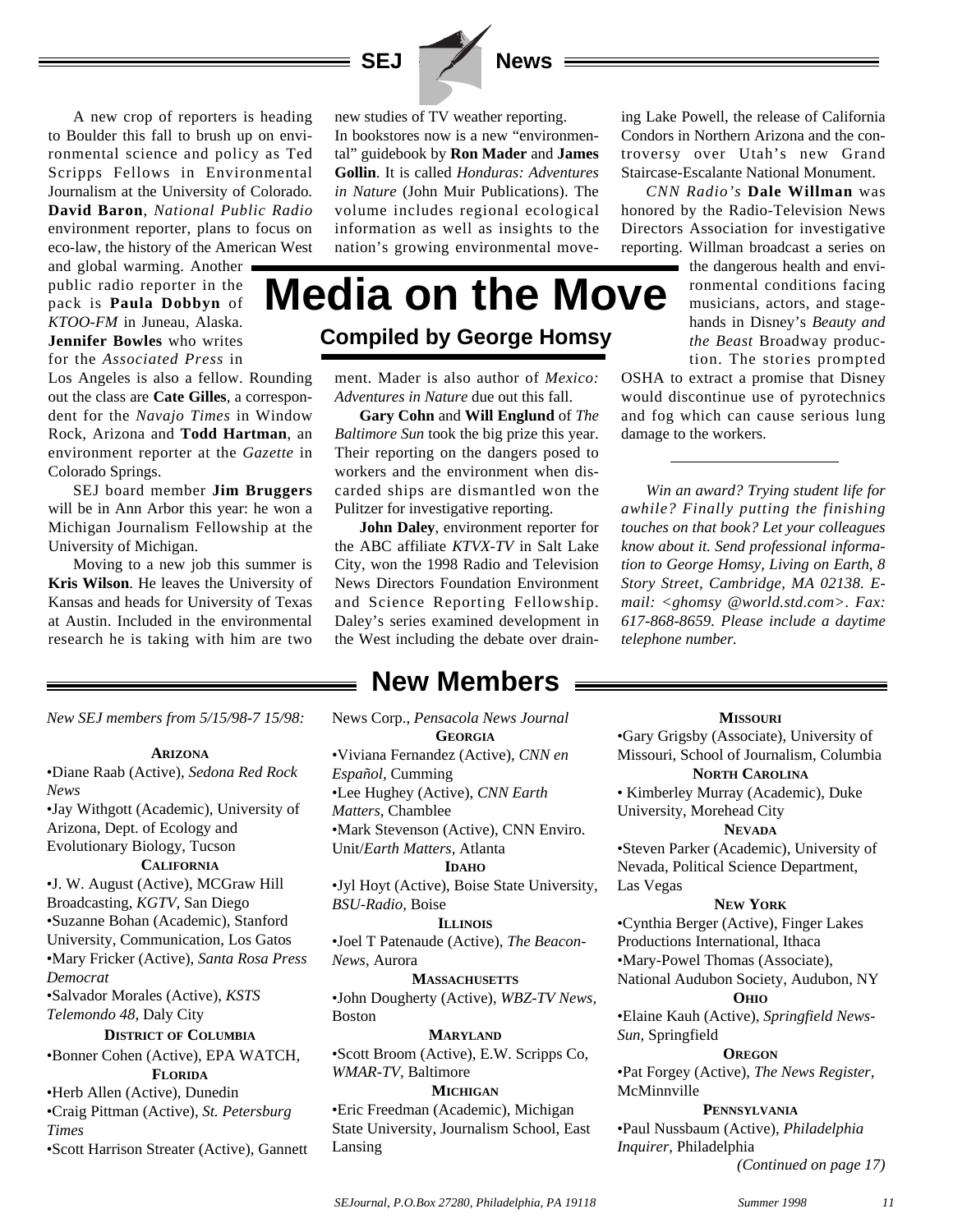



## **Media on the Move Compiled by George Homsy**

ment. Mader is also author of *Mexico: Adventures in Nature* due out this fall.

**Gary Cohn** and **Will Englund** of *The Baltimore Sun* took the big prize this year. Their reporting on the dangers posed to workers and the environment when discarded ships are dismantled won the Pulitzer for investigative reporting.

**John Daley**, environment reporter for the ABC affiliate *KTVX-TV* in Salt Lake City, won the 1998 Radio and Television News Directors Foundation Environment and Science Reporting Fellowship. Daley's series examined development in the West including the debate over drain-

ing Lake Powell, the release of California Condors in Northern Arizona and the controversy over Utah's new Grand Staircase-Escalante National Monument.

*CNN Radio's* **Dale Willman** was honored by the Radio-Television News Directors Association for investigative reporting. Willman broadcast a series on

> the dangerous health and environmental conditions facing musicians, actors, and stagehands in Disney's *Beauty and the Beast* Broadway production. The stories prompted

OSHA to extract a promise that Disney would discontinue use of pyrotechnics and fog which can cause serious lung damage to the workers.

*Win an award? Trying student life for awhile? Finally putting the finishing touches on that book? Let your colleagues know about it. Send professional information to George Homsy, Living on Earth, 8 Story Street, Cambridge, MA 02138. Email: <ghomsy @world.std.com>. Fax: 617-868-8659. Please include a daytime telephone number.*

#### *New SEJ members from 5/15/98-7 15/98:*

and global warming. Another public radio reporter in the pack is **Paula Dobbyn** of *KTOO-FM* in Juneau, Alaska. **Jennifer Bowles** who writes for the *Associated Press* in

Colorado Springs.

University of Michigan.

Los Angeles is also a fellow. Rounding out the class are **Cate Gilles**, a correspondent for the *Navajo Times* in Window Rock, Arizona and **Todd Hartman**, an environment reporter at the *Gazette* in

SEJ board member **Jim Bruggers** will be in Ann Arbor this year: he won a Michigan Journalism Fellowship at the

Moving to a new job this summer is **Kris Wilson**. He leaves the University of Kansas and heads for University of Texas at Austin. Included in the environmental research he is taking with him are two

#### **ARIZONA**

•Diane Raab (Active), *Sedona Red Rock News*

•Jay Withgott (Academic), University of Arizona, Dept. of Ecology and Evolutionary Biology, Tucson **CALIFORNIA**

•J. W. August (Active), MCGraw Hill Broadcasting, *KGTV,* San Diego •Suzanne Bohan (Academic), Stanford University, Communication, Los Gatos •Mary Fricker (Active), *Santa Rosa Press Democrat*

•Salvador Morales (Active), *KSTS Telemondo 48,* Daly City

#### **DISTRICT OF COLUMBIA**

•Bonner Cohen (Active), EPA WATCH, **FLORIDA**

•Herb Allen (Active), Dunedin

•Craig Pittman (Active), *St. Petersburg Times* •Scott Harrison Streater (Active), Gannett **New Members**

News Corp., *Pensacola News Journal*

**GEORGIA**

- •Viviana Fernandez (Active), *CNN en*
- *Español,* Cumming

•Lee Hughey (Active), *CNN Earth*

*Matters,* Chamblee

•Mark Stevenson (Active), CNN Enviro.

#### Unit/*Earth Matters,* Atlanta

#### **IDAHO**

•Jyl Hoyt (Active), Boise State University, *BSU-Radio,* Boise

#### **ILLINOIS**

•Joel T Patenaude (Active), *The Beacon-News,* Aurora

**MASSACHUSETTS** •John Dougherty (Active), *WBZ-TV News,* Boston

**MARYLAND** •Scott Broom (Active), E.W. Scripps Co, *WMAR-TV,* Baltimore

#### **MICHIGAN**

•Eric Freedman (Academic), Michigan State University, Journalism School, East Lansing

#### **MISSOURI**

•Gary Grigsby (Associate), University of Missouri, School of Journalism, Columbia

#### **NORTH CAROLINA**

• Kimberley Murray (Academic), Duke University, Morehead City

#### **NEVADA**

•Steven Parker (Academic), University of Nevada, Political Science Department, Las Vegas

#### **NEW YORK**

•Cynthia Berger (Active), Finger Lakes Productions International, Ithaca •Mary-Powel Thomas (Associate), National Audubon Society, Audubon, NY

#### **OHIO**

•Elaine Kauh (Active), *Springfield News-Sun,* Springfield

#### **OREGON**

•Pat Forgey (Active), *The News Register,* McMinnville

#### **PENNSYLVANIA**

•Paul Nussbaum (Active), *Philadelphia Inquirer,* Philadelphia *(Continued on page 17)*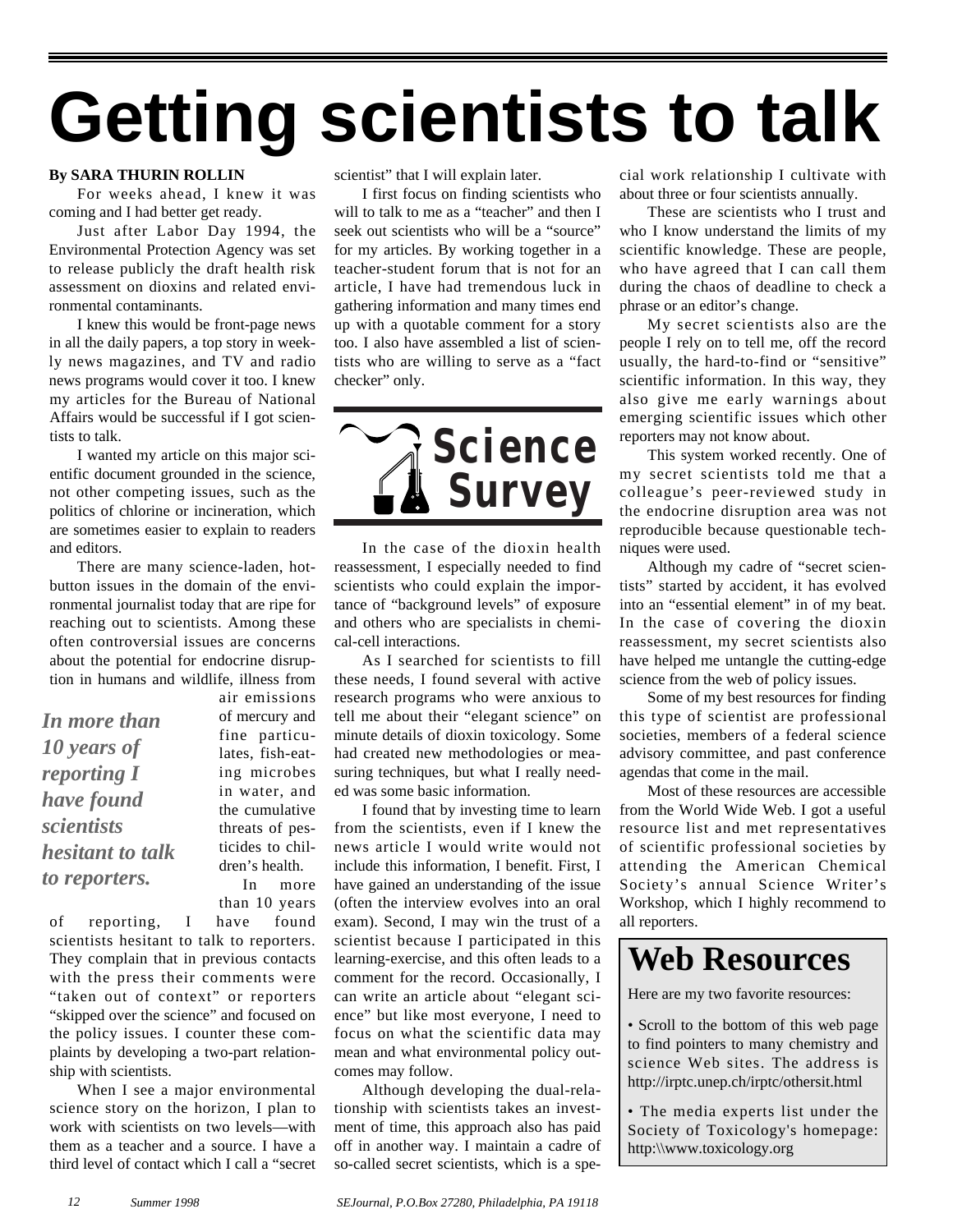# **Getting scientists to talk**

#### **By SARA THURIN ROLLIN**

For weeks ahead, I knew it was coming and I had better get ready.

Just after Labor Day 1994, the Environmental Protection Agency was set to release publicly the draft health risk assessment on dioxins and related environmental contaminants.

I knew this would be front-page news in all the daily papers, a top story in weekly news magazines, and TV and radio news programs would cover it too. I knew my articles for the Bureau of National Affairs would be successful if I got scientists to talk.

I wanted my article on this major scientific document grounded in the science, not other competing issues, such as the politics of chlorine or incineration, which are sometimes easier to explain to readers and editors.

There are many science-laden, hotbutton issues in the domain of the environmental journalist today that are ripe for reaching out to scientists. Among these often controversial issues are concerns about the potential for endocrine disruption in humans and wildlife, illness from

*In more than 10 years of reporting I have found scientists hesitant to talk to reporters.*

air emissions of mercury and fine particulates, fish-eating microbes in water, and the cumulative threats of pesticides to children's health. In more than 10 years

of reporting, I have found scientists hesitant to talk to reporters. They complain that in previous contacts with the press their comments were "taken out of context" or reporters "skipped over the science" and focused on the policy issues. I counter these complaints by developing a two-part relationship with scientists.

When I see a major environmental science story on the horizon, I plan to work with scientists on two levels—with them as a teacher and a source. I have a third level of contact which I call a "secret scientist" that I will explain later.

I first focus on finding scientists who will to talk to me as a "teacher" and then I seek out scientists who will be a "source" for my articles. By working together in a teacher-student forum that is not for an article, I have had tremendous luck in gathering information and many times end up with a quotable comment for a story too. I also have assembled a list of scientists who are willing to serve as a "fact checker" only.



In the case of the dioxin health reassessment, I especially needed to find scientists who could explain the importance of "background levels" of exposure and others who are specialists in chemical-cell interactions.

As I searched for scientists to fill these needs, I found several with active research programs who were anxious to tell me about their "elegant science" on minute details of dioxin toxicology. Some had created new methodologies or measuring techniques, but what I really needed was some basic information.

I found that by investing time to learn from the scientists, even if I knew the news article I would write would not include this information, I benefit. First, I have gained an understanding of the issue (often the interview evolves into an oral exam). Second, I may win the trust of a scientist because I participated in this learning-exercise, and this often leads to a comment for the record. Occasionally, I can write an article about "elegant science" but like most everyone, I need to focus on what the scientific data may mean and what environmental policy outcomes may follow.

Although developing the dual-relationship with scientists takes an investment of time, this approach also has paid off in another way. I maintain a cadre of so-called secret scientists, which is a special work relationship I cultivate with about three or four scientists annually.

These are scientists who I trust and who I know understand the limits of my scientific knowledge. These are people, who have agreed that I can call them during the chaos of deadline to check a phrase or an editor's change.

My secret scientists also are the people I rely on to tell me, off the record usually, the hard-to-find or "sensitive" scientific information. In this way, they also give me early warnings about emerging scientific issues which other reporters may not know about.

This system worked recently. One of my secret scientists told me that a colleague's peer-reviewed study in the endocrine disruption area was not reproducible because questionable techniques were used.

Although my cadre of "secret scientists" started by accident, it has evolved into an "essential element" in of my beat. In the case of covering the dioxin reassessment, my secret scientists also have helped me untangle the cutting-edge science from the web of policy issues.

Some of my best resources for finding this type of scientist are professional societies, members of a federal science advisory committee, and past conference agendas that come in the mail.

Most of these resources are accessible from the World Wide Web. I got a useful resource list and met representatives of scientific professional societies by attending the American Chemical Society's annual Science Writer's Workshop, which I highly recommend to all reporters.

## **Web Resources**

Here are my two favorite resources:

• Scroll to the bottom of this web page to find pointers to many chemistry and science Web sites. The address is http://irptc.unep.ch/irptc/othersit.html

• The media experts list under the Society of Toxicology's homepage: http:\\www.toxicology.org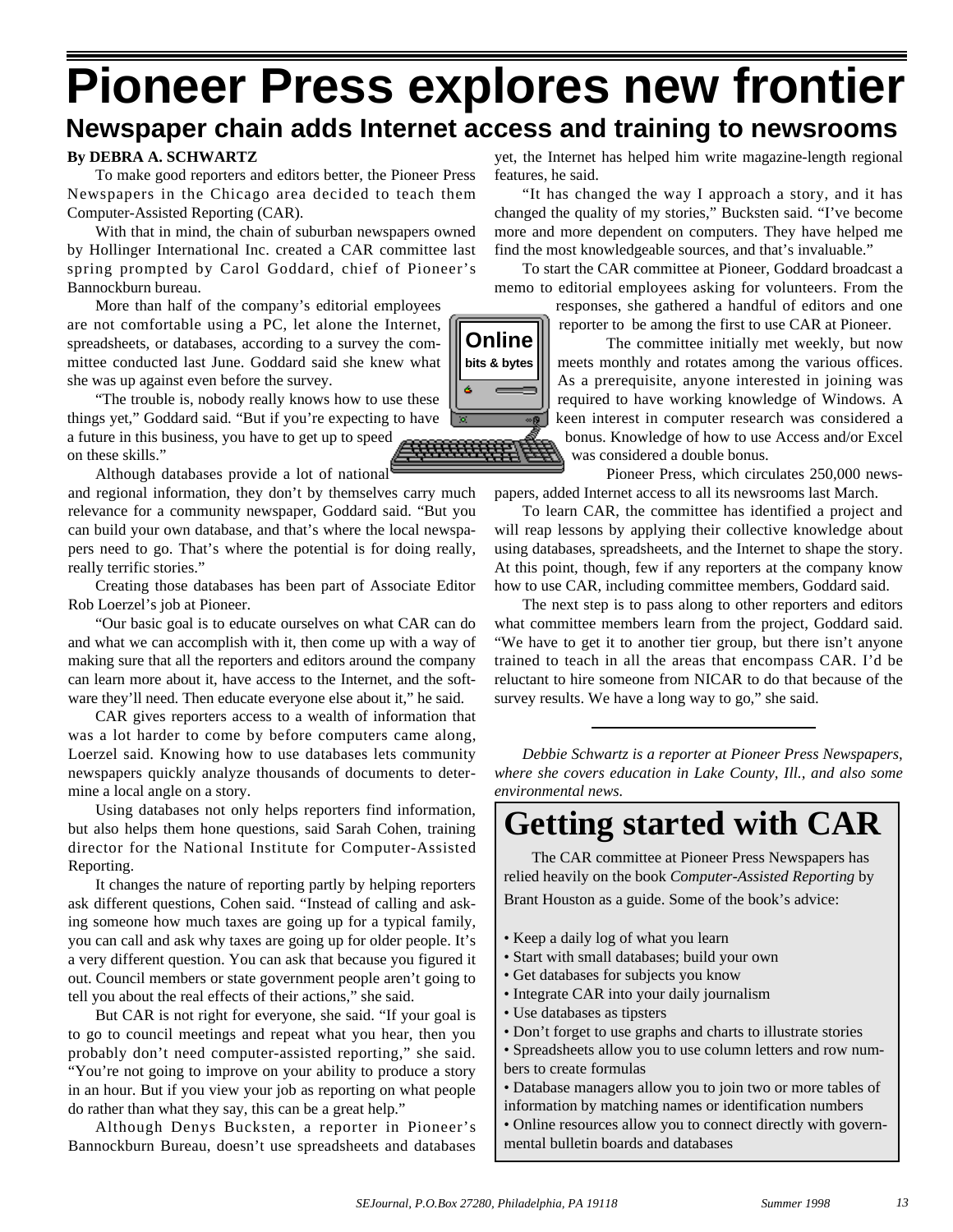## **Pioneer Press explores new frontier Newspaper chain adds Internet access and training to newsrooms**

#### **By DEBRA A. SCHWARTZ**

To make good reporters and editors better, the Pioneer Press Newspapers in the Chicago area decided to teach them Computer-Assisted Reporting (CAR).

With that in mind, the chain of suburban newspapers owned by Hollinger International Inc. created a CAR committee last spring prompted by Carol Goddard, chief of Pioneer's Bannockburn bureau.

More than half of the company's editorial employees are not comfortable using a PC, let alone the Internet, spreadsheets, or databases, according to a survey the committee conducted last June. Goddard said she knew what she was up against even before the survey.

"The trouble is, nobody really knows how to use these things yet," Goddard said. "But if you're expecting to have a future in this business, you have to get up to speed on these skills."

Although databases provide a lot of national

and regional information, they don't by themselves carry much relevance for a community newspaper, Goddard said. "But you can build your own database, and that's where the local newspapers need to go. That's where the potential is for doing really, really terrific stories."

Creating those databases has been part of Associate Editor Rob Loerzel's job at Pioneer.

"Our basic goal is to educate ourselves on what CAR can do and what we can accomplish with it, then come up with a way of making sure that all the reporters and editors around the company can learn more about it, have access to the Internet, and the software they'll need. Then educate everyone else about it," he said.

CAR gives reporters access to a wealth of information that was a lot harder to come by before computers came along, Loerzel said. Knowing how to use databases lets community newspapers quickly analyze thousands of documents to determine a local angle on a story.

Using databases not only helps reporters find information, but also helps them hone questions, said Sarah Cohen, training director for the National Institute for Computer-Assisted Reporting.

It changes the nature of reporting partly by helping reporters ask different questions, Cohen said. "Instead of calling and asking someone how much taxes are going up for a typical family, you can call and ask why taxes are going up for older people. It's a very different question. You can ask that because you figured it out. Council members or state government people aren't going to tell you about the real effects of their actions," she said.

But CAR is not right for everyone, she said. "If your goal is to go to council meetings and repeat what you hear, then you probably don't need computer-assisted reporting," she said. "You're not going to improve on your ability to produce a story in an hour. But if you view your job as reporting on what people do rather than what they say, this can be a great help."

Although Denys Bucksten, a reporter in Pioneer's Bannockburn Bureau, doesn't use spreadsheets and databases

yet, the Internet has helped him write magazine-length regional features, he said.

"It has changed the way I approach a story, and it has changed the quality of my stories," Bucksten said. "I've become more and more dependent on computers. They have helped me find the most knowledgeable sources, and that's invaluable."

To start the CAR committee at Pioneer, Goddard broadcast a memo to editorial employees asking for volunteers. From the responses, she gathered a handful of editors and one

reporter to be among the first to use CAR at Pioneer.

The committee initially met weekly, but now meets monthly and rotates among the various offices. As a prerequisite, anyone interested in joining was required to have working knowledge of Windows. A keen interest in computer research was considered a bonus. Knowledge of how to use Access and/or Excel was considered a double bonus.

Pioneer Press, which circulates 250,000 newspapers, added Internet access to all its newsrooms last March.

To learn CAR, the committee has identified a project and will reap lessons by applying their collective knowledge about using databases, spreadsheets, and the Internet to shape the story. At this point, though, few if any reporters at the company know how to use CAR, including committee members, Goddard said.

The next step is to pass along to other reporters and editors what committee members learn from the project, Goddard said. "We have to get it to another tier group, but there isn't anyone trained to teach in all the areas that encompass CAR. I'd be reluctant to hire someone from NICAR to do that because of the survey results. We have a long way to go," she said.

*Debbie Schwartz is a reporter at Pioneer Press Newspapers, where she covers education in Lake County, Ill., and also some environmental news.*

## **Getting started with CAR**

The CAR committee at Pioneer Press Newspapers has relied heavily on the book *Computer-Assisted Reporting* by Brant Houston as a guide. Some of the book's advice:

- Keep a daily log of what you learn
- Start with small databases; build your own
- Get databases for subjects you know
- Integrate CAR into your daily journalism
- Use databases as tipsters
- Don't forget to use graphs and charts to illustrate stories
- Spreadsheets allow you to use column letters and row numbers to create formulas
- Database managers allow you to join two or more tables of
- information by matching names or identification numbers
- Online resources allow you to connect directly with governmental bulletin boards and databases

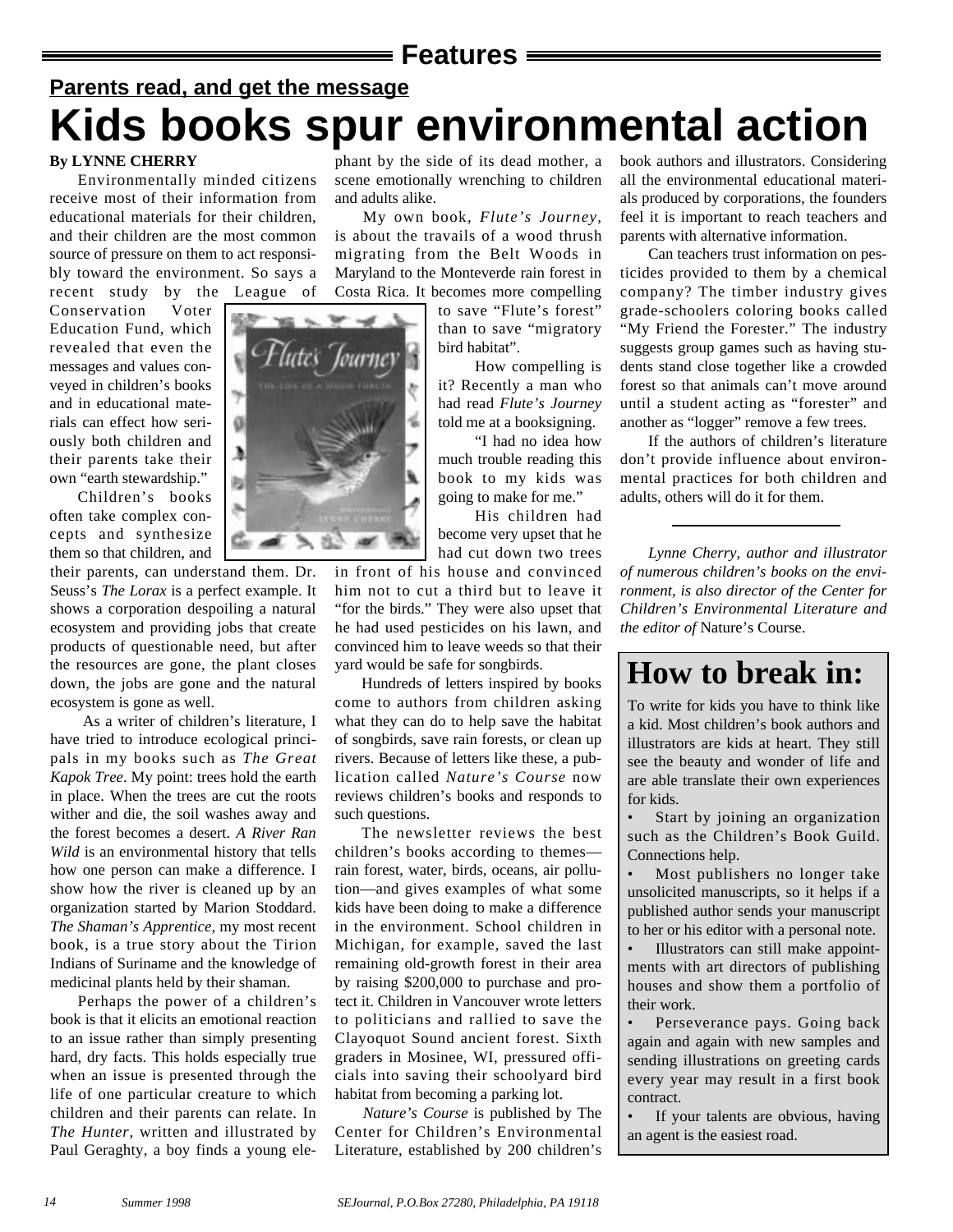#### **Features**

## **Parents read, and get the message Kids books spur environmental action**

#### **By LYNNE CHERRY**

Environmentally minded citizens receive most of their information from educational materials for their children, and their children are the most common source of pressure on them to act responsibly toward the environment. So says a recent study by the League of

Conservation Voter Education Fund, which revealed that even the messages and values conveyed in children's books and in educational materials can effect how seriously both children and their parents take their own "earth stewardship."

Children's books often take complex concepts and synthesize them so that children, and

their parents, can understand them. Dr. Seuss's *The Lorax* is a perfect example. It shows a corporation despoiling a natural ecosystem and providing jobs that create products of questionable need, but after the resources are gone, the plant closes down, the jobs are gone and the natural ecosystem is gone as well.

As a writer of children's literature, I have tried to introduce ecological principals in my books such as *The Great Kapok Tree*. My point: trees hold the earth in place. When the trees are cut the roots wither and die, the soil washes away and the forest becomes a desert. *A River Ran Wild* is an environmental history that tells how one person can make a difference. I show how the river is cleaned up by an organization started by Marion Stoddard. *The Shaman's Apprentice,* my most recent book, is a true story about the Tirion Indians of Suriname and the knowledge of medicinal plants held by their shaman.

Perhaps the power of a children's book is that it elicits an emotional reaction to an issue rather than simply presenting hard, dry facts. This holds especially true when an issue is presented through the life of one particular creature to which children and their parents can relate. In *The Hunter,* written and illustrated by Paul Geraghty, a boy finds a young ele-

phant by the side of its dead mother, a scene emotionally wrenching to children and adults alike.

My own book, *Flute's Journey,*  is about the travails of a wood thrush migrating from the Belt Woods in Maryland to the Monteverde rain forest in Costa Rica. It becomes more compelling

to save "Flute's forest" than to save "migratory bird habitat".

How compelling is it? Recently a man who had read *Flute's Journey* told me at a booksigning.

"I had no idea how much trouble reading this book to my kids was going to make for me."

His children had become very upset that he had cut down two trees

in front of his house and convinced him not to cut a third but to leave it "for the birds." They were also upset that he had used pesticides on his lawn, and convinced him to leave weeds so that their yard would be safe for songbirds.

Hundreds of letters inspired by books come to authors from children asking what they can do to help save the habitat of songbirds, save rain forests, or clean up rivers. Because of letters like these, a publication called *Nature's Course* now reviews children's books and responds to such questions.

The newsletter reviews the best children's books according to themes rain forest, water, birds, oceans, air pollution—and gives examples of what some kids have been doing to make a difference in the environment. School children in Michigan, for example, saved the last remaining old-growth forest in their area by raising \$200,000 to purchase and protect it. Children in Vancouver wrote letters to politicians and rallied to save the Clayoquot Sound ancient forest. Sixth graders in Mosinee, WI, pressured officials into saving their schoolyard bird habitat from becoming a parking lot.

*Nature's Course* is published by The Center for Children's Environmental Literature, established by 200 children's book authors and illustrators. Considering all the environmental educational materials produced by corporations, the founders feel it is important to reach teachers and parents with alternative information.

Can teachers trust information on pesticides provided to them by a chemical company? The timber industry gives grade-schoolers coloring books called "My Friend the Forester." The industry suggests group games such as having students stand close together like a crowded forest so that animals can't move around until a student acting as "forester" and another as "logger" remove a few trees.

If the authors of children's literature don't provide influence about environmental practices for both children and adults, others will do it for them.

*Lynne Cherry, author and illustrator of numerous children's books on the environment, is also director of the Center for Children's Environmental Literature and the editor of* Nature's Course.

## **How to break in:**

To write for kids you have to think like a kid. Most children's book authors and illustrators are kids at heart. They still see the beauty and wonder of life and are able translate their own experiences for kids.

Start by joining an organization such as the Children's Book Guild. Connections help.

Most publishers no longer take unsolicited manuscripts, so it helps if a published author sends your manuscript to her or his editor with a personal note.

• Illustrators can still make appointments with art directors of publishing houses and show them a portfolio of their work.

Perseverance pays. Going back again and again with new samples and sending illustrations on greeting cards every year may result in a first book contract.

If your talents are obvious, having an agent is the easiest road.

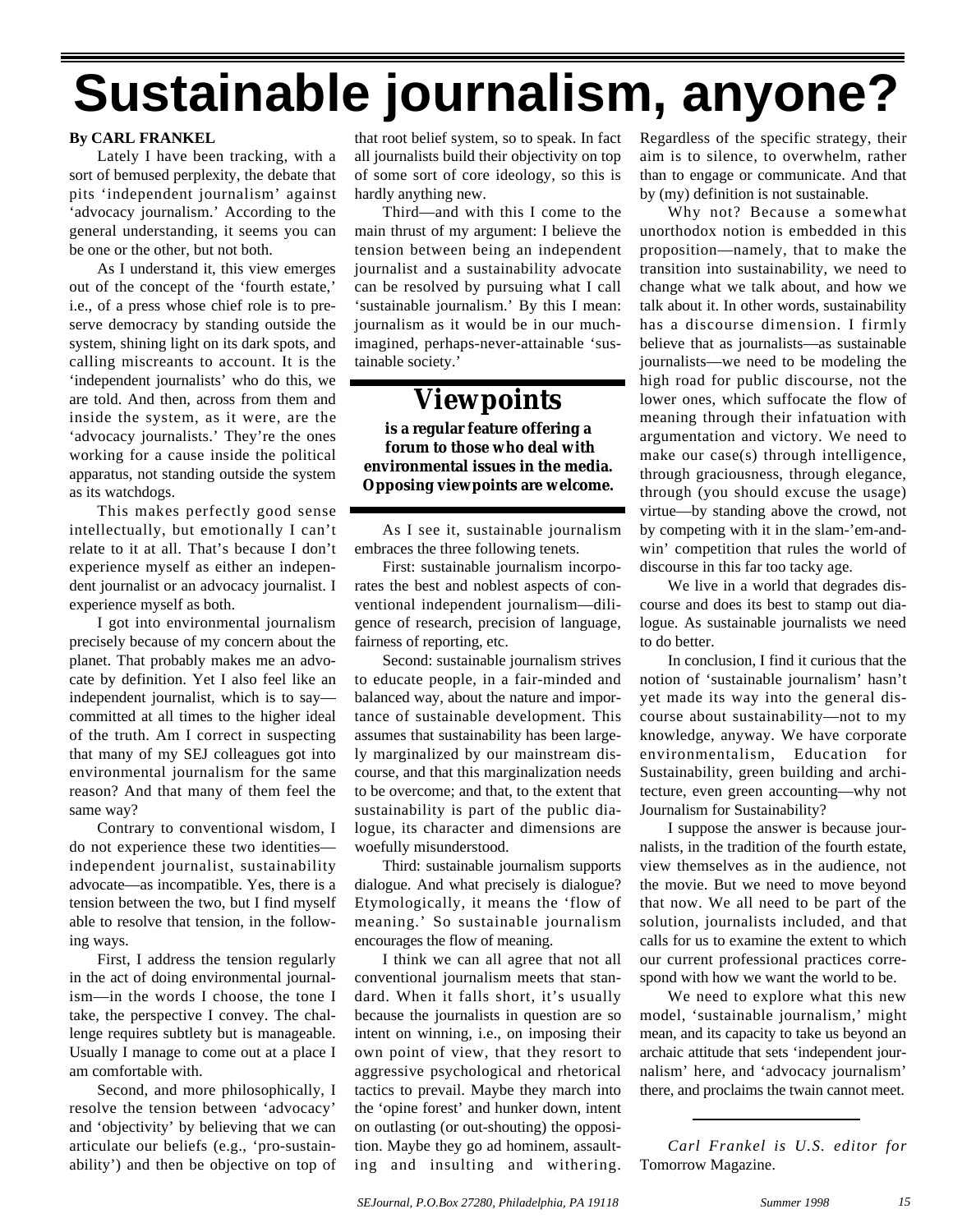## **Sustainable journalism, anyone?**

#### **By CARL FRANKEL**

Lately I have been tracking, with a sort of bemused perplexity, the debate that pits 'independent journalism' against 'advocacy journalism.' According to the general understanding, it seems you can be one or the other, but not both.

As I understand it, this view emerges out of the concept of the 'fourth estate,' i.e., of a press whose chief role is to preserve democracy by standing outside the system, shining light on its dark spots, and calling miscreants to account. It is the 'independent journalists' who do this, we are told. And then, across from them and inside the system, as it were, are the 'advocacy journalists.' They're the ones working for a cause inside the political apparatus, not standing outside the system as its watchdogs.

This makes perfectly good sense intellectually, but emotionally I can't relate to it at all. That's because I don't experience myself as either an independent journalist or an advocacy journalist. I experience myself as both.

I got into environmental journalism precisely because of my concern about the planet. That probably makes me an advocate by definition. Yet I also feel like an independent journalist, which is to say committed at all times to the higher ideal of the truth. Am I correct in suspecting that many of my SEJ colleagues got into environmental journalism for the same reason? And that many of them feel the same way?

Contrary to conventional wisdom, I do not experience these two identities independent journalist, sustainability advocate—as incompatible. Yes, there is a tension between the two, but I find myself able to resolve that tension, in the following ways.

First, I address the tension regularly in the act of doing environmental journalism—in the words I choose, the tone I take, the perspective I convey. The challenge requires subtlety but is manageable. Usually I manage to come out at a place I am comfortable with.

Second, and more philosophically, I resolve the tension between 'advocacy' and 'objectivity' by believing that we can articulate our beliefs (e.g., 'pro-sustainability') and then be objective on top of

that root belief system, so to speak. In fact all journalists build their objectivity on top of some sort of core ideology, so this is hardly anything new.

Third—and with this I come to the main thrust of my argument: I believe the tension between being an independent journalist and a sustainability advocate can be resolved by pursuing what I call 'sustainable journalism.' By this I mean: journalism as it would be in our muchimagined, perhaps-never-attainable 'sustainable society.'

## **Viewpoints**

**is a regular feature offering a forum to those who deal with environmental issues in the media. Opposing viewpoints are welcome.**

As I see it, sustainable journalism embraces the three following tenets.

First: sustainable journalism incorporates the best and noblest aspects of conventional independent journalism—diligence of research, precision of language, fairness of reporting, etc.

Second: sustainable journalism strives to educate people, in a fair-minded and balanced way, about the nature and importance of sustainable development. This assumes that sustainability has been largely marginalized by our mainstream discourse, and that this marginalization needs to be overcome; and that, to the extent that sustainability is part of the public dialogue, its character and dimensions are woefully misunderstood.

Third: sustainable journalism supports dialogue. And what precisely is dialogue? Etymologically, it means the 'flow of meaning.' So sustainable journalism encourages the flow of meaning.

I think we can all agree that not all conventional journalism meets that standard. When it falls short, it's usually because the journalists in question are so intent on winning, i.e., on imposing their own point of view, that they resort to aggressive psychological and rhetorical tactics to prevail. Maybe they march into the 'opine forest' and hunker down, intent on outlasting (or out-shouting) the opposition. Maybe they go ad hominem, assaulting and insulting and withering.

Regardless of the specific strategy, their aim is to silence, to overwhelm, rather than to engage or communicate. And that by (my) definition is not sustainable.

Why not? Because a somewhat unorthodox notion is embedded in this proposition—namely, that to make the transition into sustainability, we need to change what we talk about, and how we talk about it. In other words, sustainability has a discourse dimension. I firmly believe that as journalists—as sustainable journalists—we need to be modeling the high road for public discourse, not the lower ones, which suffocate the flow of meaning through their infatuation with argumentation and victory. We need to make our case(s) through intelligence, through graciousness, through elegance, through (you should excuse the usage) virtue—by standing above the crowd, not by competing with it in the slam-'em-andwin' competition that rules the world of discourse in this far too tacky age.

We live in a world that degrades discourse and does its best to stamp out dialogue. As sustainable journalists we need to do better.

In conclusion, I find it curious that the notion of 'sustainable journalism' hasn't yet made its way into the general discourse about sustainability—not to my knowledge, anyway. We have corporate environmentalism, Education for Sustainability, green building and architecture, even green accounting—why not Journalism for Sustainability?

I suppose the answer is because journalists, in the tradition of the fourth estate, view themselves as in the audience, not the movie. But we need to move beyond that now. We all need to be part of the solution, journalists included, and that calls for us to examine the extent to which our current professional practices correspond with how we want the world to be.

We need to explore what this new model, 'sustainable journalism,' might mean, and its capacity to take us beyond an archaic attitude that sets 'independent journalism' here, and 'advocacy journalism' there, and proclaims the twain cannot meet.

*Carl Frankel is U.S. editor for* Tomorrow Magazine.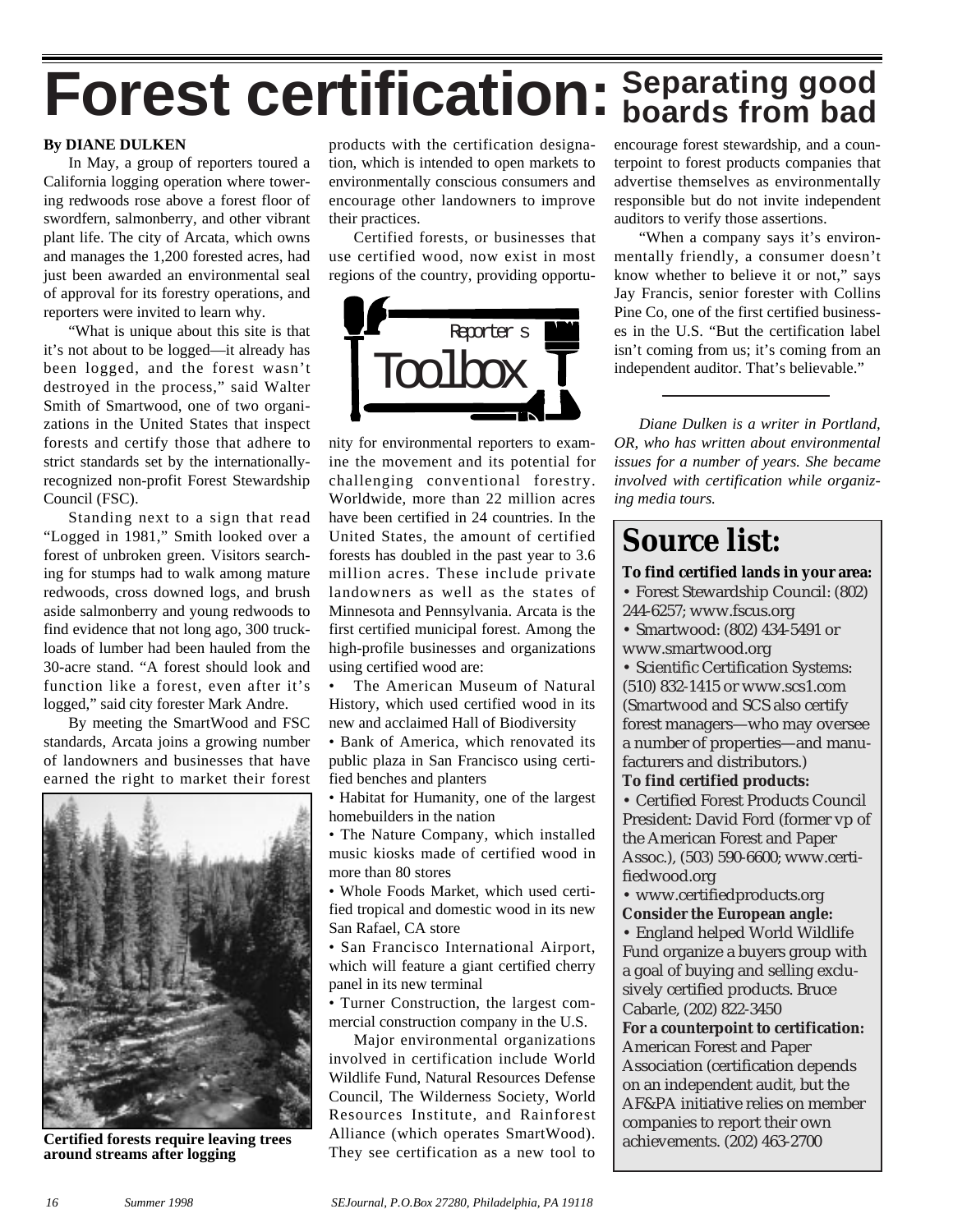# **Forest certification: Separating good boards from bad**

#### **By DIANE DULKEN**

In May, a group of reporters toured a California logging operation where towering redwoods rose above a forest floor of swordfern, salmonberry, and other vibrant plant life. The city of Arcata, which owns and manages the 1,200 forested acres, had just been awarded an environmental seal of approval for its forestry operations, and reporters were invited to learn why.

"What is unique about this site is that it's not about to be logged—it already has been logged, and the forest wasn't destroyed in the process," said Walter Smith of Smartwood, one of two organizations in the United States that inspect forests and certify those that adhere to strict standards set by the internationallyrecognized non-profit Forest Stewardship Council (FSC).

Standing next to a sign that read "Logged in 1981," Smith looked over a forest of unbroken green. Visitors searching for stumps had to walk among mature redwoods, cross downed logs, and brush aside salmonberry and young redwoods to find evidence that not long ago, 300 truckloads of lumber had been hauled from the 30-acre stand. "A forest should look and function like a forest, even after it's logged," said city forester Mark Andre.

By meeting the SmartWood and FSC standards, Arcata joins a growing number of landowners and businesses that have earned the right to market their forest



**Certified forests require leaving trees around streams after logging**

products with the certification designation, which is intended to open markets to environmentally conscious consumers and encourage other landowners to improve their practices.

Certified forests, or businesses that use certified wood, now exist in most regions of the country, providing opportu-



nity for environmental reporters to examine the movement and its potential for challenging conventional forestry. Worldwide, more than 22 million acres have been certified in 24 countries. In the United States, the amount of certified forests has doubled in the past year to 3.6 million acres. These include private landowners as well as the states of Minnesota and Pennsylvania. Arcata is the first certified municipal forest. Among the high-profile businesses and organizations using certified wood are:

The American Museum of Natural History, which used certified wood in its new and acclaimed Hall of Biodiversity

• Bank of America, which renovated its public plaza in San Francisco using certified benches and planters

• Habitat for Humanity, one of the largest homebuilders in the nation

• The Nature Company, which installed music kiosks made of certified wood in more than 80 stores

• Whole Foods Market, which used certified tropical and domestic wood in its new San Rafael, CA store

• San Francisco International Airport, which will feature a giant certified cherry panel in its new terminal

• Turner Construction, the largest commercial construction company in the U.S.

Major environmental organizations involved in certification include World Wildlife Fund, Natural Resources Defense Council, The Wilderness Society, World Resources Institute, and Rainforest Alliance (which operates SmartWood). They see certification as a new tool to encourage forest stewardship, and a counterpoint to forest products companies that advertise themselves as environmentally responsible but do not invite independent auditors to verify those assertions.

"When a company says it's environmentally friendly, a consumer doesn't know whether to believe it or not," says Jay Francis, senior forester with Collins Pine Co, one of the first certified businesses in the U.S. "But the certification label isn't coming from us; it's coming from an independent auditor. That's believable."

*Diane Dulken is a writer in Portland, OR, who has written about environmental issues for a number of years. She became involved with certification while organizing media tours.*

## **Source list:**

**To find certified lands in your area:** • Forest Stewardship Council: (802)

244-6257; www.fscus.org

• Smartwood: (802) 434-5491 or www.smartwood.org

• Scientific Certification Systems: (510) 832-1415 or www.scs1.com (Smartwood and SCS also certify forest managers—who may oversee a number of properties—and manufacturers and distributors.)

#### **To find certified products:**

• Certified Forest Products Council President: David Ford (former vp of the American Forest and Paper Assoc.), (503) 590-6600; www.certifiedwood.org

• www.certifiedproducts.org **Consider the European angle:**

• England helped World Wildlife Fund organize a buyers group with a goal of buying and selling exclusively certified products. Bruce Cabarle, (202) 822-3450

**For a counterpoint to certification:** American Forest and Paper Association (certification depends on an independent audit, but the AF&PA initiative relies on member companies to report their own achievements. (202) 463-2700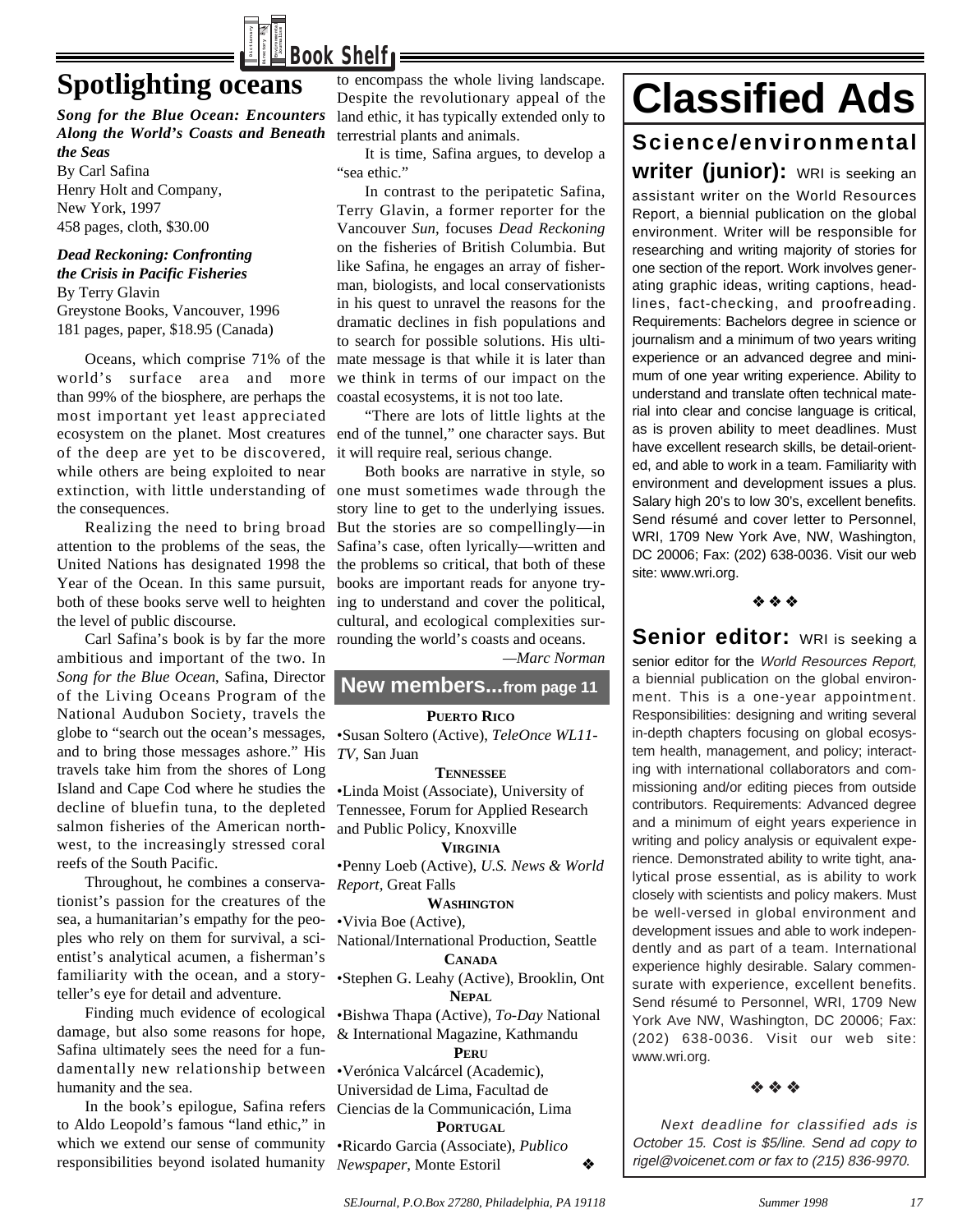

## **Spotlighting oceans**

*Song for the Blue Ocean: Encounters Along the World's Coasts and Beneath the Seas* By Carl Safina Henry Holt and Company, New York, 1997 458 pages, cloth, \$30.00

*Dead Reckoning: Confronting the Crisis in Pacific Fisheries* By Terry Glavin Greystone Books, Vancouver, 1996 181 pages, paper, \$18.95 (Canada)

Oceans, which comprise 71% of the world's surface area and more we think in terms of our impact on the than 99% of the biosphere, are perhaps the coastal ecosystems, it is not too late. most important yet least appreciated ecosystem on the planet. Most creatures end of the tunnel," one character says. But of the deep are yet to be discovered, it will require real, serious change. while others are being exploited to near extinction, with little understanding of one must sometimes wade through the the consequences.

Realizing the need to bring broad attention to the problems of the seas, the United Nations has designated 1998 the Year of the Ocean. In this same pursuit, the level of public discourse.

Carl Safina's book is by far the more rounding the world's coasts and oceans. ambitious and important of the two. In *Song for the Blue Ocean*, Safina, Director of the Living Oceans Program of the National Audubon Society, travels the globe to "search out the ocean's messages, and to bring those messages ashore." His travels take him from the shores of Long Island and Cape Cod where he studies the decline of bluefin tuna, to the depleted salmon fisheries of the American northwest, to the increasingly stressed coral reefs of the South Pacific.

Throughout, he combines a conservationist's passion for the creatures of the sea, a humanitarian's empathy for the peoples who rely on them for survival, a scientist's analytical acumen, a fisherman's familiarity with the ocean, and a storyteller's eye for detail and adventure.

Finding much evidence of ecological damage, but also some reasons for hope, Safina ultimately sees the need for a fundamentally new relationship between •Verónica Valcárcel (Academic), humanity and the sea.

In the book's epilogue, Safina refers Ciencias de la Communicación, Lima to Aldo Leopold's famous "land ethic," in which we extend our sense of community responsibilities beyond isolated humanity

to encompass the whole living landscape. Despite the revolutionary appeal of the land ethic, it has typically extended only to terrestrial plants and animals.

It is time, Safina argues, to develop a "sea ethic."

In contrast to the peripatetic Safina, Terry Glavin, a former reporter for the Vancouver *Sun*, focuses *Dead Reckoning* on the fisheries of British Columbia. But like Safina, he engages an array of fisherman, biologists, and local conservationists in his quest to unravel the reasons for the dramatic declines in fish populations and to search for possible solutions. His ultimate message is that while it is later than

"There are lots of little lights at the

both of these books serve well to heighten ing to understand and cover the political, Both books are narrative in style, so story line to get to the underlying issues. But the stories are so compellingly—in Safina's case, often lyrically—written and the problems so critical, that both of these books are important reads for anyone trycultural, and ecological complexities sur-

*—Marc Norman* 

#### **New members...from page 11**

#### **PUERTO RICO**

•Susan Soltero (Active), *TeleOnce WL11- TV,* San Juan

**TENNESSEE**

•Linda Moist (Associate), University of Tennessee, Forum for Applied Research and Public Policy, Knoxville

**VIRGINIA**

•Penny Loeb (Active), *U.S. News & World Report,* Great Falls

#### **WASHINGTON**

•Vivia Boe (Active),

National/International Production, Seattle **CANADA**

•Stephen G. Leahy (Active), Brooklin, Ont **NEPAL**

•Bishwa Thapa (Active), *To-Day* National & International Magazine, Kathmandu **PERU**

Universidad de Lima, Facultad de

#### **PORTUGAL**

•Ricardo Garcia (Associate), *Publico Newspaper*, Monte Estoril ◆

## **Classified Ads Science/environmental writer (junior):** WRI is seeking an

assistant writer on the World Resources Report, a biennial publication on the global environment. Writer will be responsible for researching and writing majority of stories for one section of the report. Work involves generating graphic ideas, writing captions, headlines, fact-checking, and proofreading. Requirements: Bachelors degree in science or journalism and a minimum of two years writing experience or an advanced degree and minimum of one year writing experience. Ability to understand and translate often technical material into clear and concise language is critical, as is proven ability to meet deadlines. Must have excellent research skills, be detail-oriented, and able to work in a team. Familiarity with environment and development issues a plus. Salary high 20's to low 30's, excellent benefits. Send résumé and cover letter to Personnel, WRI, 1709 New York Ave, NW, Washington, DC 20006; Fax: (202) 638-0036. Visit our web site: www.wri.org.

❖❖❖

Senior editor: WRI is seeking a senior editor for the World Resources Report.

a biennial publication on the global environment. This is a one-year appointment. Responsibilities: designing and writing several in-depth chapters focusing on global ecosystem health, management, and policy; interacting with international collaborators and commissioning and/or editing pieces from outside contributors. Requirements: Advanced degree and a minimum of eight years experience in writing and policy analysis or equivalent experience. Demonstrated ability to write tight, analytical prose essential, as is ability to work closely with scientists and policy makers. Must be well-versed in global environment and development issues and able to work independently and as part of a team. International experience highly desirable. Salary commensurate with experience, excellent benefits. Send résumé to Personnel, WRI, 1709 New York Ave NW, Washington, DC 20006; Fax: (202) 638-0036. Visit our web site: www.wri.org.

#### ❖❖❖

Next deadline for classified ads is October 15. Cost is \$5/line. Send ad copy to rigel@voicenet.com or fax to (215) 836-9970.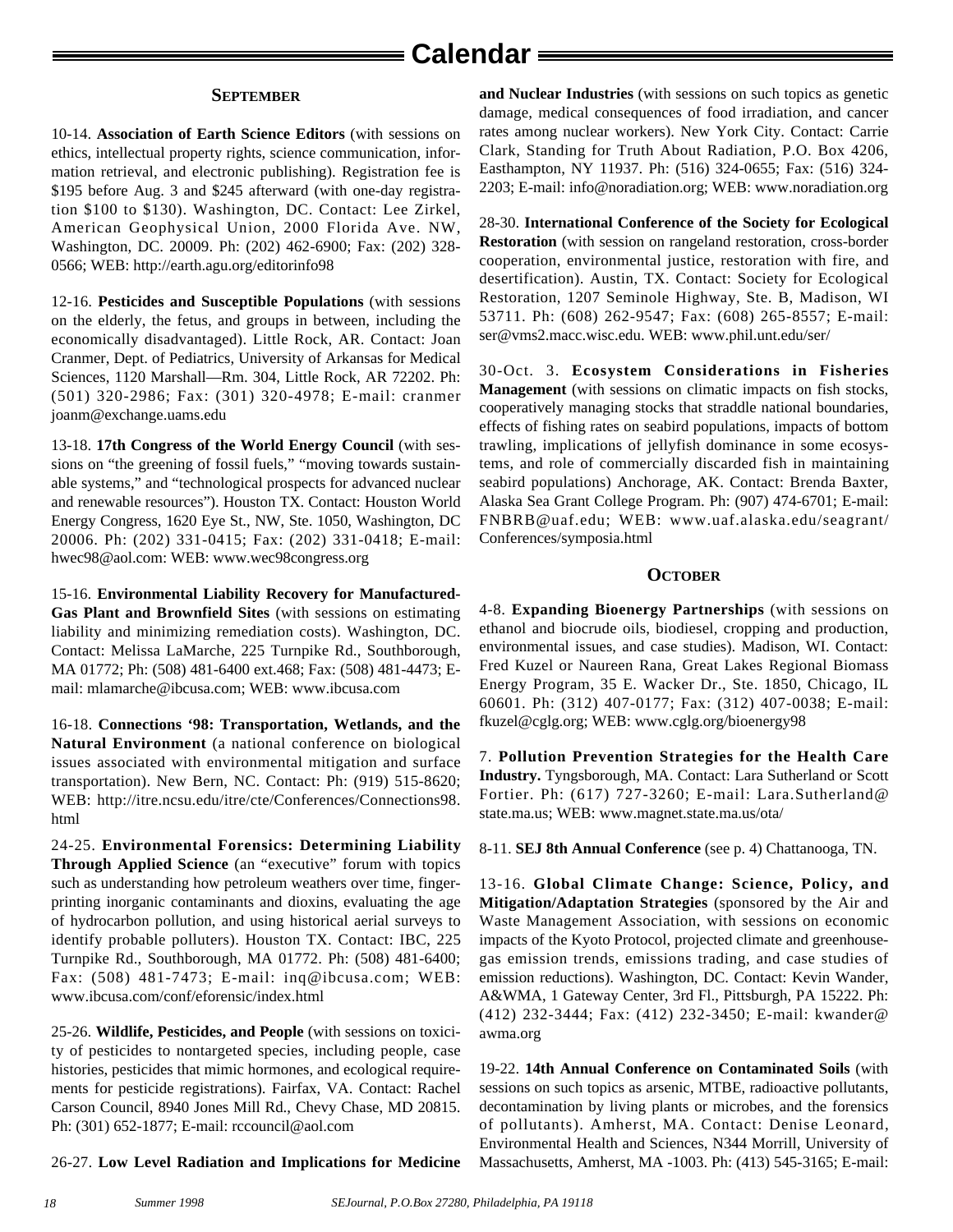## **Calendar**

#### **SEPTEMBER**

10-14. **Association of Earth Science Editors** (with sessions on ethics, intellectual property rights, science communication, information retrieval, and electronic publishing). Registration fee is \$195 before Aug. 3 and \$245 afterward (with one-day registration \$100 to \$130). Washington, DC. Contact: Lee Zirkel, American Geophysical Union, 2000 Florida Ave. NW, Washington, DC. 20009. Ph: (202) 462-6900; Fax: (202) 328- 0566; WEB: http://earth.agu.org/editorinfo98

12-16. **Pesticides and Susceptible Populations** (with sessions on the elderly, the fetus, and groups in between, including the economically disadvantaged). Little Rock, AR. Contact: Joan Cranmer, Dept. of Pediatrics, University of Arkansas for Medical Sciences, 1120 Marshall—Rm. 304, Little Rock, AR 72202. Ph: (501) 320-2986; Fax: (301) 320-4978; E-mail: cranmer joanm@exchange.uams.edu

13-18. **17th Congress of the World Energy Council** (with sessions on "the greening of fossil fuels," "moving towards sustainable systems," and "technological prospects for advanced nuclear and renewable resources"). Houston TX. Contact: Houston World Energy Congress, 1620 Eye St., NW, Ste. 1050, Washington, DC 20006. Ph: (202) 331-0415; Fax: (202) 331-0418; E-mail: hwec98@aol.com: WEB: www.wec98congress.org

15-16. **Environmental Liability Recovery for Manufactured-Gas Plant and Brownfield Sites** (with sessions on estimating liability and minimizing remediation costs). Washington, DC. Contact: Melissa LaMarche, 225 Turnpike Rd., Southborough, MA 01772; Ph: (508) 481-6400 ext.468; Fax: (508) 481-4473; Email: mlamarche@ibcusa.com; WEB: www.ibcusa.com

16-18. **Connections '98: Transportation, Wetlands, and the Natural Environment** (a national conference on biological issues associated with environmental mitigation and surface transportation). New Bern, NC. Contact: Ph: (919) 515-8620; WEB: http://itre.ncsu.edu/itre/cte/Conferences/Connections98. html

24-25. **Environmental Forensics: Determining Liability Through Applied Science** (an "executive" forum with topics such as understanding how petroleum weathers over time, fingerprinting inorganic contaminants and dioxins, evaluating the age of hydrocarbon pollution, and using historical aerial surveys to identify probable polluters). Houston TX. Contact: IBC, 225 Turnpike Rd., Southborough, MA 01772. Ph: (508) 481-6400; Fax: (508) 481-7473; E-mail: inq@ibcusa.com; WEB: www.ibcusa.com/conf/eforensic/index.html

25-26. **Wildlife, Pesticides, and People** (with sessions on toxicity of pesticides to nontargeted species, including people, case histories, pesticides that mimic hormones, and ecological requirements for pesticide registrations). Fairfax, VA. Contact: Rachel Carson Council, 8940 Jones Mill Rd., Chevy Chase, MD 20815. Ph: (301) 652-1877; E-mail: rccouncil@aol.com

26-27. **Low Level Radiation and Implications for Medicine**

**and Nuclear Industries** (with sessions on such topics as genetic damage, medical consequences of food irradiation, and cancer rates among nuclear workers). New York City. Contact: Carrie Clark, Standing for Truth About Radiation, P.O. Box 4206, Easthampton, NY 11937. Ph: (516) 324-0655; Fax: (516) 324- 2203; E-mail: info@noradiation.org; WEB: www.noradiation.org

28-30. **International Conference of the Society for Ecological Restoration** (with session on rangeland restoration, cross-border cooperation, environmental justice, restoration with fire, and desertification). Austin, TX. Contact: Society for Ecological Restoration, 1207 Seminole Highway, Ste. B, Madison, WI 53711. Ph: (608) 262-9547; Fax: (608) 265-8557; E-mail: ser@vms2.macc.wisc.edu. WEB: www.phil.unt.edu/ser/

30-Oct. 3. **Ecosystem Considerations in Fisheries Management** (with sessions on climatic impacts on fish stocks, cooperatively managing stocks that straddle national boundaries, effects of fishing rates on seabird populations, impacts of bottom trawling, implications of jellyfish dominance in some ecosystems, and role of commercially discarded fish in maintaining seabird populations) Anchorage, AK. Contact: Brenda Baxter, Alaska Sea Grant College Program. Ph: (907) 474-6701; E-mail: FNBRB@uaf.edu; WEB: www.uaf.alaska.edu/seagrant/ Conferences/symposia.html

#### **OCTOBER**

4-8. **Expanding Bioenergy Partnerships** (with sessions on ethanol and biocrude oils, biodiesel, cropping and production, environmental issues, and case studies). Madison, WI. Contact: Fred Kuzel or Naureen Rana, Great Lakes Regional Biomass Energy Program, 35 E. Wacker Dr., Ste. 1850, Chicago, IL 60601. Ph: (312) 407-0177; Fax: (312) 407-0038; E-mail: fkuzel@cglg.org; WEB: www.cglg.org/bioenergy98

7. **Pollution Prevention Strategies for the Health Care Industry.** Tyngsborough, MA. Contact: Lara Sutherland or Scott Fortier. Ph: (617) 727-3260; E-mail: Lara.Sutherland@ state.ma.us; WEB: www.magnet.state.ma.us/ota/

8-11. **SEJ 8th Annual Conference** (see p. 4) Chattanooga, TN.

13-16. **Global Climate Change: Science, Policy, and Mitigation/Adaptation Strategies** (sponsored by the Air and Waste Management Association, with sessions on economic impacts of the Kyoto Protocol, projected climate and greenhousegas emission trends, emissions trading, and case studies of emission reductions). Washington, DC. Contact: Kevin Wander, A&WMA, 1 Gateway Center, 3rd Fl., Pittsburgh, PA 15222. Ph: (412) 232-3444; Fax: (412) 232-3450; E-mail: kwander@ awma.org

19-22. **14th Annual Conference on Contaminated Soils** (with sessions on such topics as arsenic, MTBE, radioactive pollutants, decontamination by living plants or microbes, and the forensics of pollutants). Amherst, MA. Contact: Denise Leonard, Environmental Health and Sciences, N344 Morrill, University of Massachusetts, Amherst, MA -1003. Ph: (413) 545-3165; E-mail: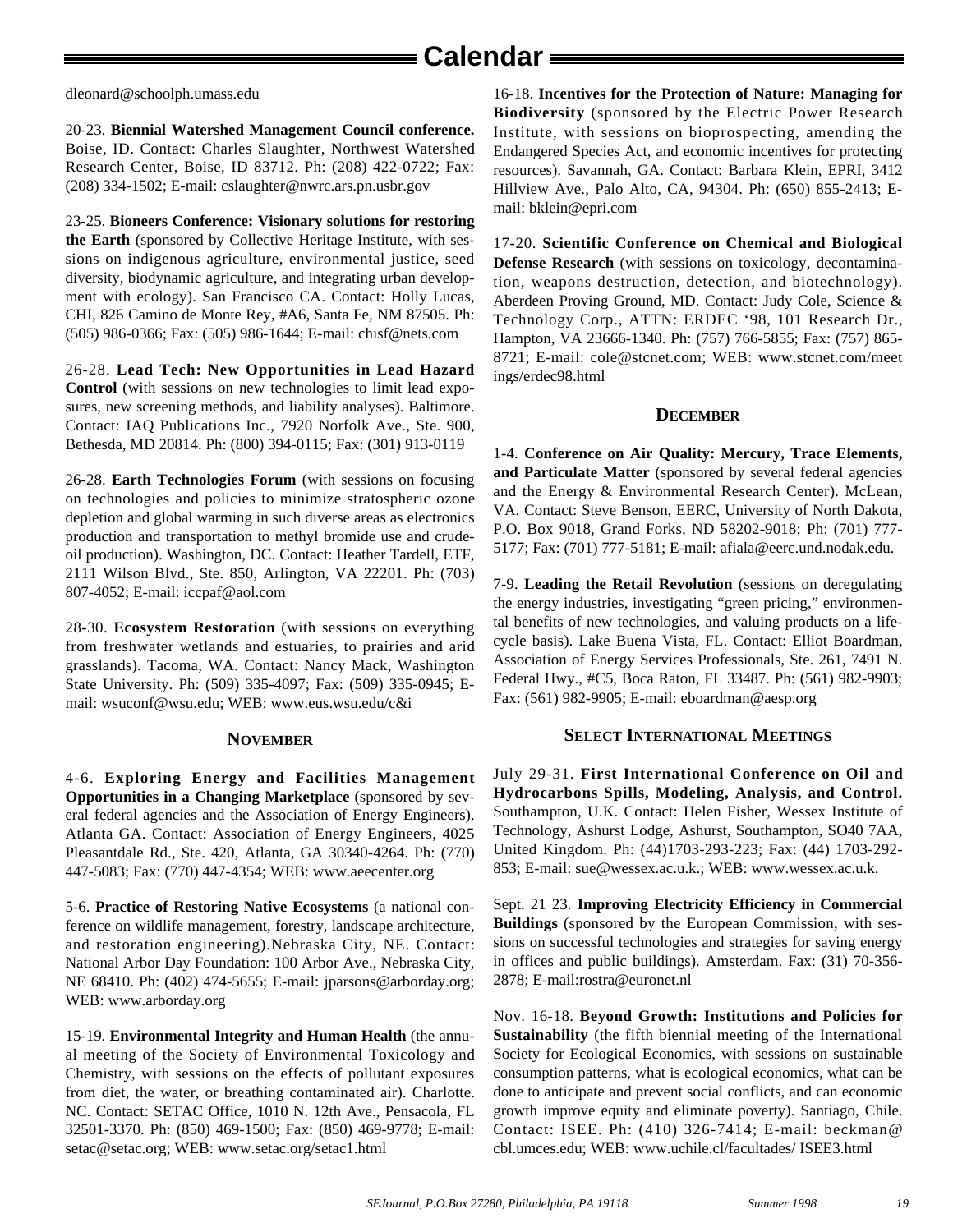dleonard@schoolph.umass.edu

20-23. **Biennial Watershed Management Council conference.** Boise, ID. Contact: Charles Slaughter, Northwest Watershed Research Center, Boise, ID 83712. Ph: (208) 422-0722; Fax: (208) 334-1502; E-mail: cslaughter@nwrc.ars.pn.usbr.gov

23-25. **Bioneers Conference: Visionary solutions for restoring the Earth** (sponsored by Collective Heritage Institute, with sessions on indigenous agriculture, environmental justice, seed diversity, biodynamic agriculture, and integrating urban development with ecology). San Francisco CA. Contact: Holly Lucas, CHI, 826 Camino de Monte Rey, #A6, Santa Fe, NM 87505. Ph: (505) 986-0366; Fax: (505) 986-1644; E-mail: chisf@nets.com

26-28. **Lead Tech: New Opportunities in Lead Hazard Control** (with sessions on new technologies to limit lead exposures, new screening methods, and liability analyses). Baltimore. Contact: IAQ Publications Inc., 7920 Norfolk Ave., Ste. 900, Bethesda, MD 20814. Ph: (800) 394-0115; Fax: (301) 913-0119

26-28. **Earth Technologies Forum** (with sessions on focusing on technologies and policies to minimize stratospheric ozone depletion and global warming in such diverse areas as electronics production and transportation to methyl bromide use and crudeoil production). Washington, DC. Contact: Heather Tardell, ETF, 2111 Wilson Blvd., Ste. 850, Arlington, VA 22201. Ph: (703) 807-4052; E-mail: iccpaf@aol.com

28-30. **Ecosystem Restoration** (with sessions on everything from freshwater wetlands and estuaries, to prairies and arid grasslands). Tacoma, WA. Contact: Nancy Mack, Washington State University. Ph: (509) 335-4097; Fax: (509) 335-0945; Email: wsuconf@wsu.edu; WEB: www.eus.wsu.edu/c&i

#### **NOVEMBER**

4-6. **Exploring Energy and Facilities Management Opportunities in a Changing Marketplace** (sponsored by several federal agencies and the Association of Energy Engineers). Atlanta GA. Contact: Association of Energy Engineers, 4025 Pleasantdale Rd., Ste. 420, Atlanta, GA 30340-4264. Ph: (770) 447-5083; Fax: (770) 447-4354; WEB: www.aeecenter.org

5-6. **Practice of Restoring Native Ecosystems** (a national conference on wildlife management, forestry, landscape architecture, and restoration engineering).Nebraska City, NE. Contact: National Arbor Day Foundation: 100 Arbor Ave., Nebraska City, NE 68410. Ph: (402) 474-5655; E-mail: jparsons@arborday.org; WEB: www.arborday.org

15-19. **Environmental Integrity and Human Health** (the annual meeting of the Society of Environmental Toxicology and Chemistry, with sessions on the effects of pollutant exposures from diet, the water, or breathing contaminated air). Charlotte. NC. Contact: SETAC Office, 1010 N. 12th Ave., Pensacola, FL 32501-3370. Ph: (850) 469-1500; Fax: (850) 469-9778; E-mail: setac@setac.org; WEB: www.setac.org/setac1.html

16-18. **Incentives for the Protection of Nature: Managing for Biodiversity** (sponsored by the Electric Power Research Institute, with sessions on bioprospecting, amending the Endangered Species Act, and economic incentives for protecting resources). Savannah, GA. Contact: Barbara Klein, EPRI, 3412 Hillview Ave., Palo Alto, CA, 94304. Ph: (650) 855-2413; Email: bklein@epri.com

17-20. **Scientific Conference on Chemical and Biological Defense Research** (with sessions on toxicology, decontamination, weapons destruction, detection, and biotechnology). Aberdeen Proving Ground, MD. Contact: Judy Cole, Science & Technology Corp., ATTN: ERDEC '98, 101 Research Dr., Hampton, VA 23666-1340. Ph: (757) 766-5855; Fax: (757) 865- 8721; E-mail: cole@stcnet.com; WEB: www.stcnet.com/meet ings/erdec98.html

#### **DECEMBER**

1-4. **Conference on Air Quality: Mercury, Trace Elements, and Particulate Matter** (sponsored by several federal agencies and the Energy & Environmental Research Center). McLean, VA. Contact: Steve Benson, EERC, University of North Dakota, P.O. Box 9018, Grand Forks, ND 58202-9018; Ph: (701) 777- 5177; Fax: (701) 777-5181; E-mail: afiala@eerc.und.nodak.edu.

7-9. **Leading the Retail Revolution** (sessions on deregulating the energy industries, investigating "green pricing," environmental benefits of new technologies, and valuing products on a lifecycle basis). Lake Buena Vista, FL. Contact: Elliot Boardman, Association of Energy Services Professionals, Ste. 261, 7491 N. Federal Hwy., #C5, Boca Raton, FL 33487. Ph: (561) 982-9903; Fax: (561) 982-9905; E-mail: eboardman@aesp.org

#### **SELECT INTERNATIONAL MEETINGS**

July 29-31. **First International Conference on Oil and Hydrocarbons Spills, Modeling, Analysis, and Control.** Southampton, U.K. Contact: Helen Fisher, Wessex Institute of Technology, Ashurst Lodge, Ashurst, Southampton, SO40 7AA, United Kingdom. Ph: (44)1703-293-223; Fax: (44) 1703-292- 853; E-mail: sue@wessex.ac.u.k.; WEB: www.wessex.ac.u.k.

Sept. 21 23. **Improving Electricity Efficiency in Commercial Buildings** (sponsored by the European Commission, with sessions on successful technologies and strategies for saving energy in offices and public buildings). Amsterdam. Fax: (31) 70-356- 2878; E-mail:rostra@euronet.nl

Nov. 16-18. **Beyond Growth: Institutions and Policies for Sustainability** (the fifth biennial meeting of the International Society for Ecological Economics, with sessions on sustainable consumption patterns, what is ecological economics, what can be done to anticipate and prevent social conflicts, and can economic growth improve equity and eliminate poverty). Santiago, Chile. Contact: ISEE. Ph: (410) 326-7414; E-mail: beckman@ cbl.umces.edu; WEB: www.uchile.cl/facultades/ ISEE3.html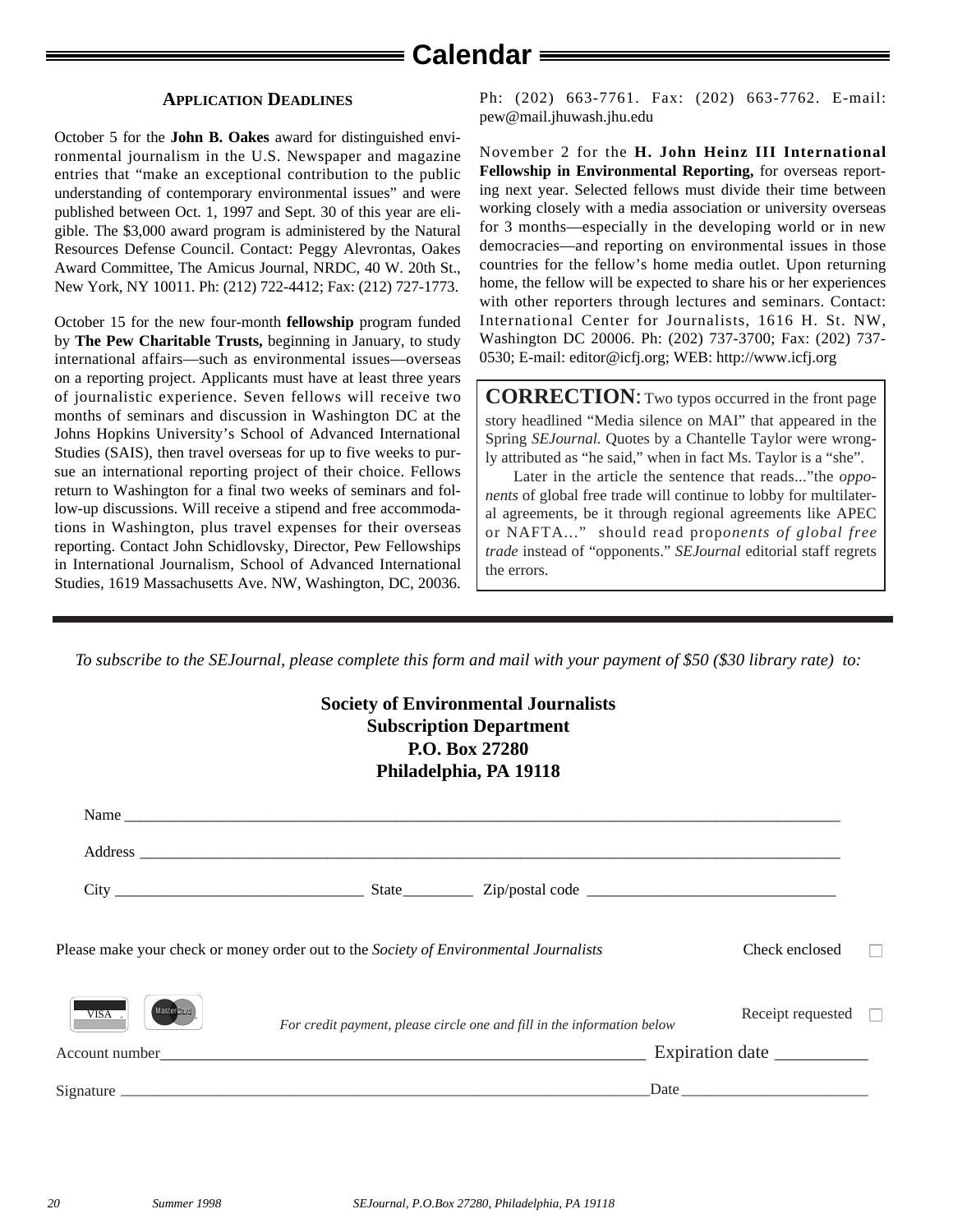#### **APPLICATION DEADLINES**

October 5 for the **John B. Oakes** award for distinguished environmental journalism in the U.S. Newspaper and magazine entries that "make an exceptional contribution to the public understanding of contemporary environmental issues" and were published between Oct. 1, 1997 and Sept. 30 of this year are eligible. The \$3,000 award program is administered by the Natural Resources Defense Council. Contact: Peggy Alevrontas, Oakes Award Committee, The Amicus Journal, NRDC, 40 W. 20th St., New York, NY 10011. Ph: (212) 722-4412; Fax: (212) 727-1773.

October 15 for the new four-month **fellowship** program funded by **The Pew Charitable Trusts,** beginning in January, to study international affairs—such as environmental issues—overseas on a reporting project. Applicants must have at least three years of journalistic experience. Seven fellows will receive two months of seminars and discussion in Washington DC at the Johns Hopkins University's School of Advanced International Studies (SAIS), then travel overseas for up to five weeks to pursue an international reporting project of their choice. Fellows return to Washington for a final two weeks of seminars and follow-up discussions. Will receive a stipend and free accommodations in Washington, plus travel expenses for their overseas reporting. Contact John Schidlovsky, Director, Pew Fellowships in International Journalism, School of Advanced International Studies, 1619 Massachusetts Ave. NW, Washington, DC, 20036.

Ph: (202) 663-7761. Fax: (202) 663-7762. E-mail: pew@mail.jhuwash.jhu.edu

November 2 for the **H. John Heinz III International Fellowship in Environmental Reporting,** for overseas reporting next year. Selected fellows must divide their time between working closely with a media association or university overseas for 3 months—especially in the developing world or in new democracies—and reporting on environmental issues in those countries for the fellow's home media outlet. Upon returning home, the fellow will be expected to share his or her experiences with other reporters through lectures and seminars. Contact: International Center for Journalists, 1616 H. St. NW, Washington DC 20006. Ph: (202) 737-3700; Fax: (202) 737- 0530; E-mail: editor@icfj.org; WEB: http://www.icfj.org

**CORRECTION**: Two typos occurred in the front page story headlined "Media silence on MAI" that appeared in the Spring *SEJournal.* Quotes by a Chantelle Taylor were wrongly attributed as "he said," when in fact Ms. Taylor is a "she".

Later in the article the sentence that reads..."the *opponents* of global free trade will continue to lobby for multilateral agreements, be it through regional agreements like APEC or NAFTA..." should read prop*onents of global free trade* instead of "opponents." *SEJournal* editorial staff regrets the errors.

*To subscribe to the SEJournal, please complete this form and mail with your payment of \$50 (\$30 library rate) to:*

#### **Society of Environmental Journalists Subscription Department P.O. Box 27280 Philadelphia, PA 19118**

| Name                                                                                                                                                                                                                           |                                                                         |                          |  |
|--------------------------------------------------------------------------------------------------------------------------------------------------------------------------------------------------------------------------------|-------------------------------------------------------------------------|--------------------------|--|
|                                                                                                                                                                                                                                |                                                                         |                          |  |
|                                                                                                                                                                                                                                |                                                                         |                          |  |
| Please make your check or money order out to the Society of Environmental Journalists                                                                                                                                          |                                                                         | Check enclosed           |  |
| <b>MasterCan</b><br>$VISA$ .                                                                                                                                                                                                   | For credit payment, please circle one and fill in the information below | Receipt requested $\Box$ |  |
| Account number and the state of the state of the state of the state of the state of the state of the state of the state of the state of the state of the state of the state of the state of the state of the state of the stat |                                                                         |                          |  |
|                                                                                                                                                                                                                                |                                                                         |                          |  |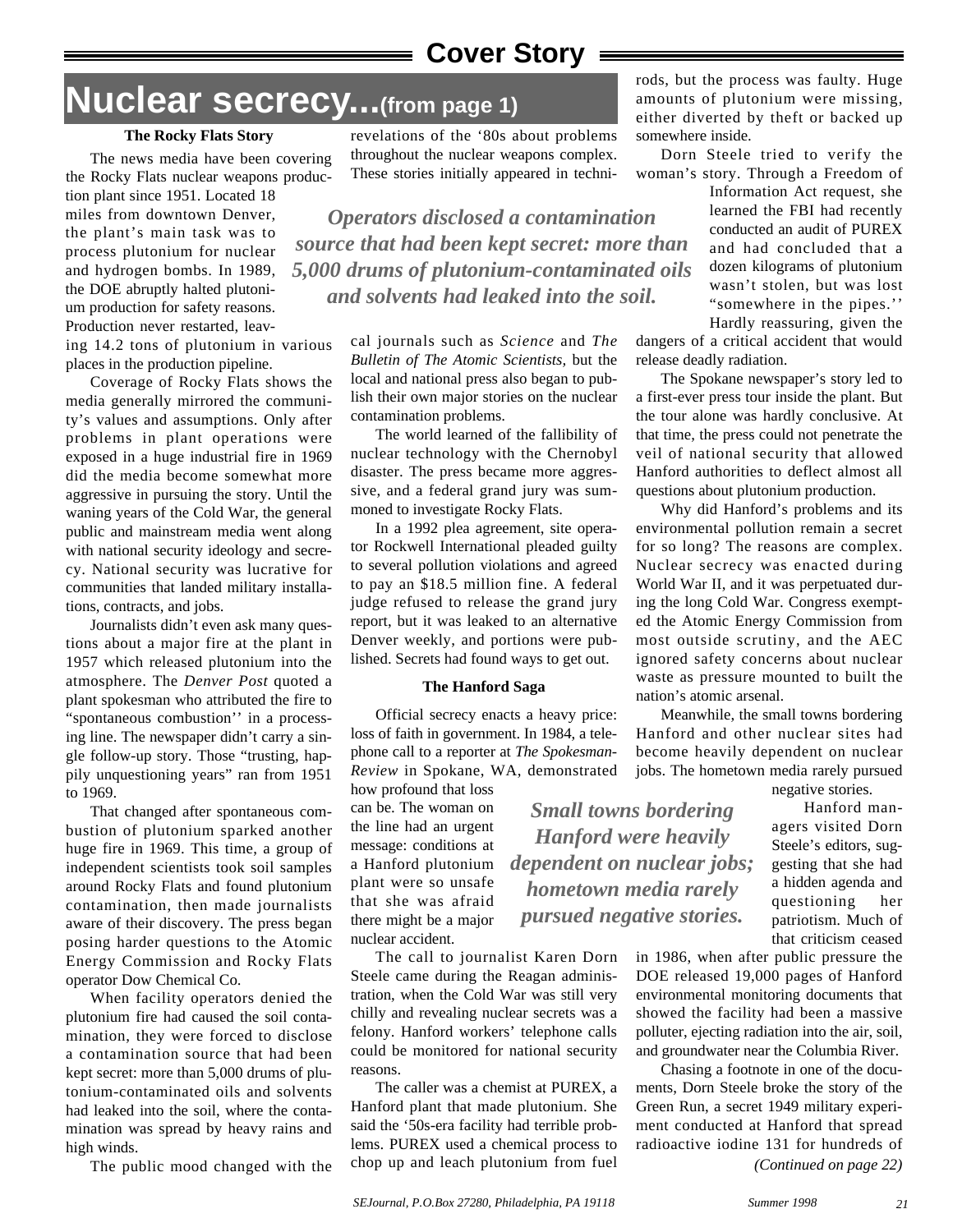## **Cover Story**

## **Nuclear secrecy...(from page 1)**

#### **The Rocky Flats Story**

The news media have been covering the Rocky Flats nuclear weapons production plant since 1951. Located 18 miles from downtown Denver, the plant's main task was to process plutonium for nuclear and hydrogen bombs. In 1989, the DOE abruptly halted plutonium production for safety reasons. Production never restarted, leav-

ing 14.2 tons of plutonium in various places in the production pipeline.

Coverage of Rocky Flats shows the media generally mirrored the community's values and assumptions. Only after problems in plant operations were exposed in a huge industrial fire in 1969 did the media become somewhat more aggressive in pursuing the story. Until the waning years of the Cold War, the general public and mainstream media went along with national security ideology and secrecy. National security was lucrative for communities that landed military installations, contracts, and jobs.

Journalists didn't even ask many questions about a major fire at the plant in 1957 which released plutonium into the atmosphere. The *Denver Post* quoted a plant spokesman who attributed the fire to "spontaneous combustion'' in a processing line. The newspaper didn't carry a single follow-up story. Those "trusting, happily unquestioning years" ran from 1951 to 1969.

That changed after spontaneous combustion of plutonium sparked another huge fire in 1969. This time, a group of independent scientists took soil samples around Rocky Flats and found plutonium contamination, then made journalists aware of their discovery. The press began posing harder questions to the Atomic Energy Commission and Rocky Flats operator Dow Chemical Co.

When facility operators denied the plutonium fire had caused the soil contamination, they were forced to disclose a contamination source that had been kept secret: more than 5,000 drums of plutonium-contaminated oils and solvents had leaked into the soil, where the contamination was spread by heavy rains and high winds.

The public mood changed with the

revelations of the '80s about problems throughout the nuclear weapons complex. These stories initially appeared in techni-

*Operators disclosed a contamination source that had been kept secret: more than 5,000 drums of plutonium-contaminated oils and solvents had leaked into the soil.*

> cal journals such as *Science* and *The Bulletin of The Atomic Scientists,* but the local and national press also began to publish their own major stories on the nuclear contamination problems.

The world learned of the fallibility of nuclear technology with the Chernobyl disaster. The press became more aggressive, and a federal grand jury was summoned to investigate Rocky Flats.

In a 1992 plea agreement, site operator Rockwell International pleaded guilty to several pollution violations and agreed to pay an \$18.5 million fine. A federal judge refused to release the grand jury report, but it was leaked to an alternative Denver weekly, and portions were published. Secrets had found ways to get out.

#### **The Hanford Saga**

Official secrecy enacts a heavy price: loss of faith in government. In 1984, a telephone call to a reporter at *The Spokesman-Review* in Spokane, WA, demonstrated

how profound that loss can be. The woman on the line had an urgent message: conditions at a Hanford plutonium plant were so unsafe that she was afraid there might be a major nuclear accident.

The call to journalist Karen Dorn Steele came during the Reagan administration, when the Cold War was still very chilly and revealing nuclear secrets was a felony. Hanford workers' telephone calls could be monitored for national security reasons.

The caller was a chemist at PUREX, a Hanford plant that made plutonium. She said the '50s-era facility had terrible problems. PUREX used a chemical process to chop up and leach plutonium from fuel

rods, but the process was faulty. Huge amounts of plutonium were missing, either diverted by theft or backed up somewhere inside.

Dorn Steele tried to verify the woman's story. Through a Freedom of

> Information Act request, she learned the FBI had recently conducted an audit of PUREX and had concluded that a dozen kilograms of plutonium wasn't stolen, but was lost "somewhere in the pipes.'' Hardly reassuring, given the

dangers of a critical accident that would release deadly radiation.

The Spokane newspaper's story led to a first-ever press tour inside the plant. But the tour alone was hardly conclusive. At that time, the press could not penetrate the veil of national security that allowed Hanford authorities to deflect almost all questions about plutonium production.

Why did Hanford's problems and its environmental pollution remain a secret for so long? The reasons are complex. Nuclear secrecy was enacted during World War II, and it was perpetuated during the long Cold War. Congress exempted the Atomic Energy Commission from most outside scrutiny, and the AEC ignored safety concerns about nuclear waste as pressure mounted to built the nation's atomic arsenal.

Meanwhile, the small towns bordering Hanford and other nuclear sites had become heavily dependent on nuclear jobs. The hometown media rarely pursued

*Small towns bordering Hanford were heavily dependent on nuclear jobs; hometown media rarely pursued negative stories.*

negative stories.

Hanford managers visited Dorn Steele's editors, suggesting that she had a hidden agenda and questioning her patriotism. Much of that criticism ceased

in 1986, when after public pressure the DOE released 19,000 pages of Hanford environmental monitoring documents that showed the facility had been a massive polluter, ejecting radiation into the air, soil, and groundwater near the Columbia River.

Chasing a footnote in one of the documents, Dorn Steele broke the story of the Green Run, a secret 1949 military experiment conducted at Hanford that spread radioactive iodine 131 for hundreds of *(Continued on page 22)*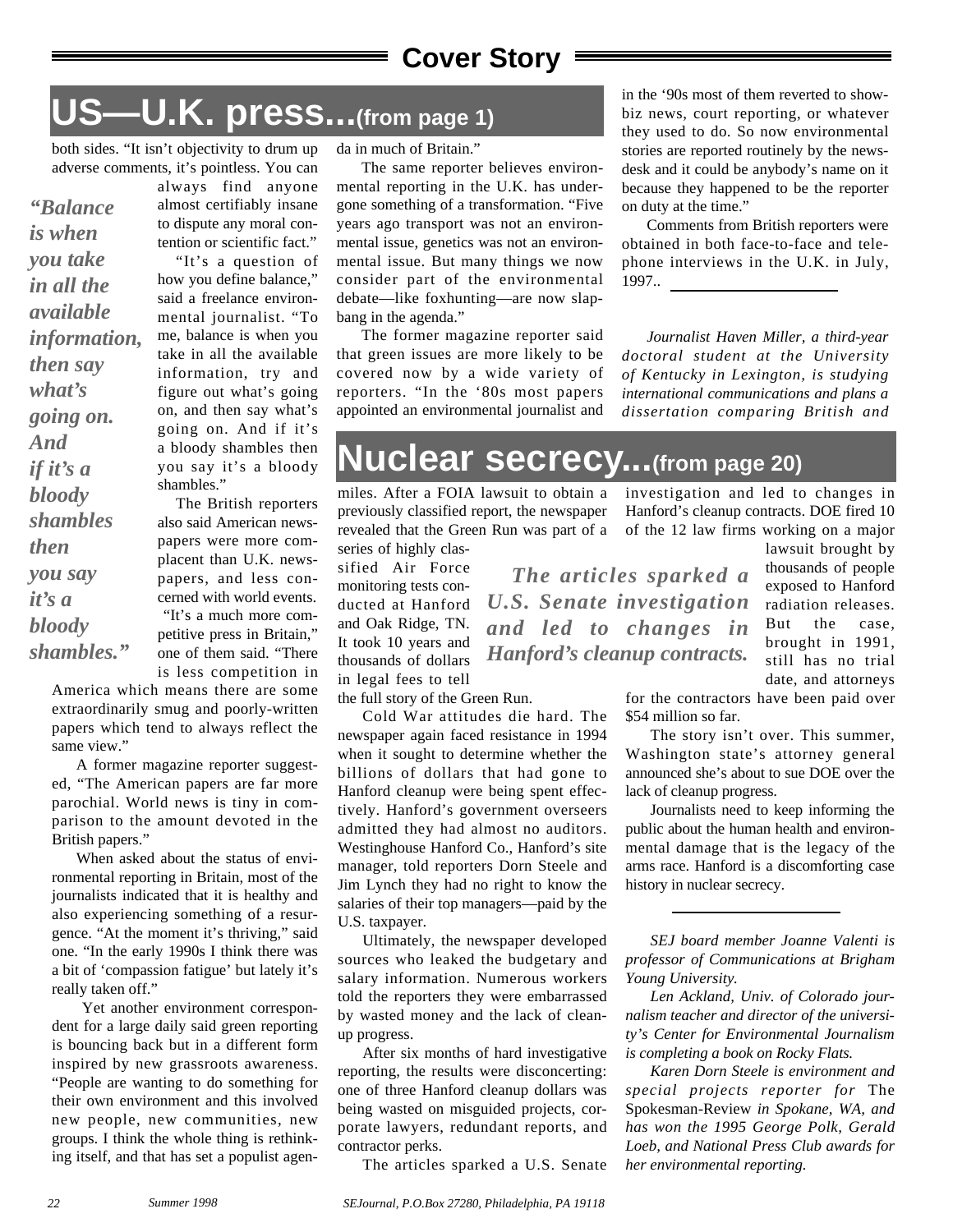## **Cover Story**

## **US—U.K. press...(from page 1)**

both sides. "It isn't objectivity to drum up adverse comments, it's pointless. You can

*"Balance is when you take in all the available information, then say what's going on. And if it's a bloody shambles then you say it's a bloody shambles."*

always find anyone almost certifiably insane to dispute any moral contention or scientific fact." "It's a question of how you define balance," said a freelance environmental journalist. "To me, balance is when you take in all the available information, try and figure out what's going on, and then say what's going on. And if it's a bloody shambles then you say it's a bloody shambles."

The British reporters also said American newspapers were more complacent than U.K. newspapers, and less concerned with world events. "It's a much more competitive press in Britain," one of them said. "There is less competition in

America which means there are some extraordinarily smug and poorly-written papers which tend to always reflect the same view."

A former magazine reporter suggested, "The American papers are far more parochial. World news is tiny in comparison to the amount devoted in the British papers."

When asked about the status of environmental reporting in Britain, most of the journalists indicated that it is healthy and also experiencing something of a resurgence. "At the moment it's thriving," said one. "In the early 1990s I think there was a bit of 'compassion fatigue' but lately it's really taken off."

Yet another environment correspondent for a large daily said green reporting is bouncing back but in a different form inspired by new grassroots awareness. "People are wanting to do something for their own environment and this involved new people, new communities, new groups. I think the whole thing is rethinking itself, and that has set a populist agenda in much of Britain."

The same reporter believes environmental reporting in the U.K. has undergone something of a transformation. "Five years ago transport was not an environmental issue, genetics was not an environmental issue. But many things we now consider part of the environmental debate—like foxhunting—are now slapbang in the agenda."

The former magazine reporter said that green issues are more likely to be covered now by a wide variety of reporters. "In the '80s most papers appointed an environmental journalist and in the '90s most of them reverted to showbiz news, court reporting, or whatever they used to do. So now environmental stories are reported routinely by the newsdesk and it could be anybody's name on it because they happened to be the reporter on duty at the time."

Comments from British reporters were obtained in both face-to-face and telephone interviews in the U.K. in July, 1997..

*Journalist Haven Miller, a third-year doctoral student at the University of Kentucky in Lexington, is studying international communications and plans a dissertation comparing British and*

## **Nuclear secrecy...(from page 20)**

miles. After a FOIA lawsuit to obtain a previously classified report, the newspaper revealed that the Green Run was part of a series of highly clas-

sified Air Force monitoring tests conducted at Hanford and Oak Ridge, TN. It took 10 years and thousands of dollars in legal fees to tell

the full story of the Green Run.

Cold War attitudes die hard. The newspaper again faced resistance in 1994 when it sought to determine whether the billions of dollars that had gone to Hanford cleanup were being spent effectively. Hanford's government overseers admitted they had almost no auditors. Westinghouse Hanford Co., Hanford's site manager, told reporters Dorn Steele and Jim Lynch they had no right to know the salaries of their top managers—paid by the U.S. taxpayer.

Ultimately, the newspaper developed sources who leaked the budgetary and salary information. Numerous workers told the reporters they were embarrassed by wasted money and the lack of cleanup progress.

After six months of hard investigative reporting, the results were disconcerting: one of three Hanford cleanup dollars was being wasted on misguided projects, corporate lawyers, redundant reports, and contractor perks.

The articles sparked a U.S. Senate

investigation and led to changes in Hanford's cleanup contracts. DOE fired 10 of the 12 law firms working on a major lawsuit brought by

thousands of people exposed to Hanford radiation releases. But the case, brought in 1991, still has no trial date, and attorneys *The articles sparked a U.S. Senate investigation and led to changes in Hanford's cleanup contracts.*

> for the contractors have been paid over \$54 million so far.

> The story isn't over. This summer, Washington state's attorney general announced she's about to sue DOE over the lack of cleanup progress.

> Journalists need to keep informing the public about the human health and environmental damage that is the legacy of the arms race. Hanford is a discomforting case history in nuclear secrecy.

> *SEJ board member Joanne Valenti is professor of Communications at Brigham Young University.*

> *Len Ackland, Univ. of Colorado journalism teacher and director of the university's Center for Environmental Journalism is completing a book on Rocky Flats.*

> *Karen Dorn Steele is environment and special projects reporter for* The Spokesman-Review *in Spokane, WA, and has won the 1995 George Polk, Gerald Loeb, and National Press Club awards for her environmental reporting.*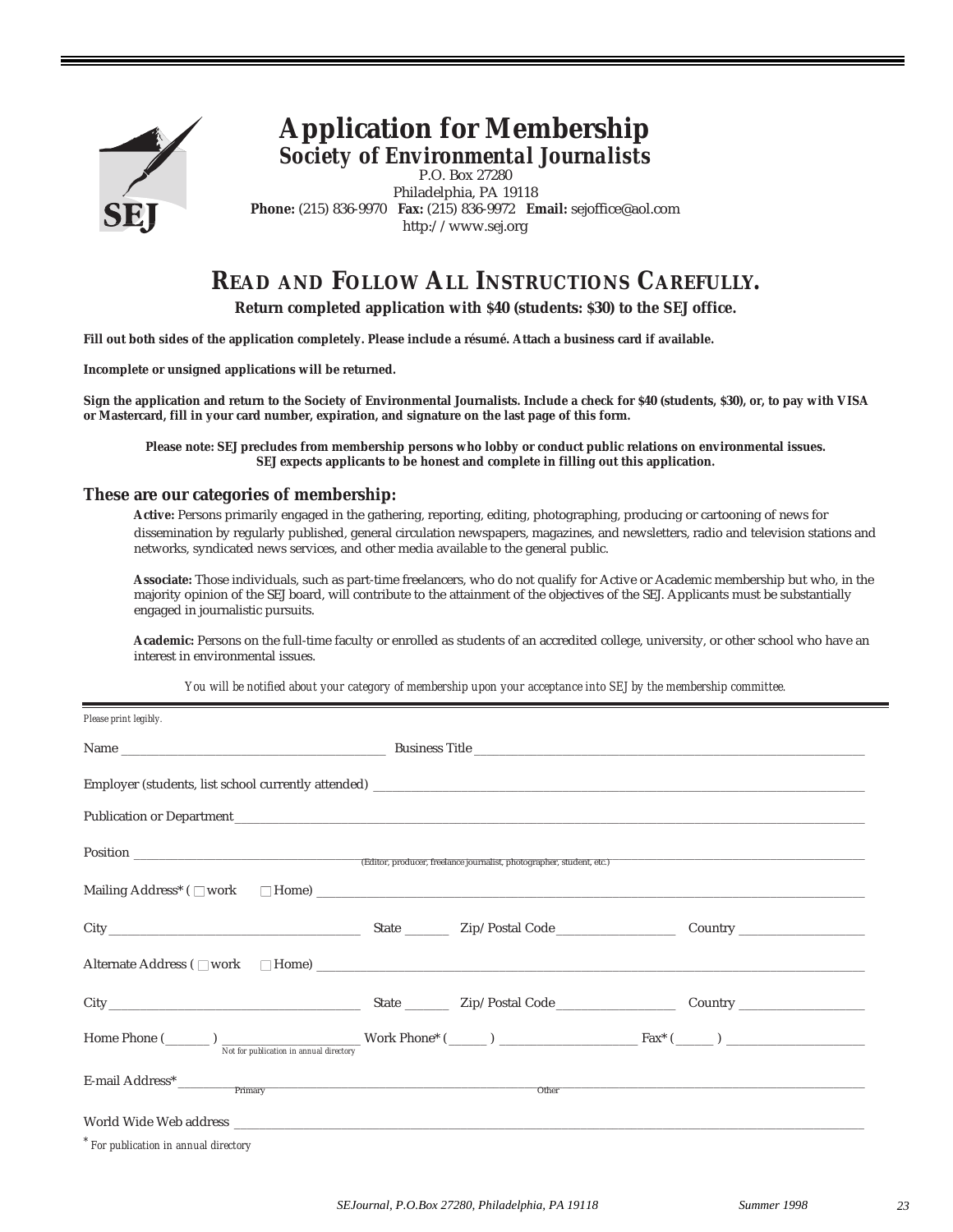

### **Application for Membership** *Society of Environmental Journalists*

P.O. Box 27280 Philadelphia, PA 19118 **Phone:** (215) 836-9970 **Fax:** (215) 836-9972 **Email:** sejoffice@aol.com http://www.sej.org

## **READ AND FOLLOW ALL INSTRUCTIONS CAREFULLY.**

**Return completed application with \$40 (students: \$30) to the SEJ office.**

**Fill out both sides of the application completely. Please include a résumé. Attach a business card if available.** 

**Incomplete or unsigned applications will be returned.**

**Sign the application and return to the Society of Environmental Journalists. Include a check for \$40 (students, \$30), or, to pay with VISA or Mastercard, fill in your card number, expiration, and signature on the last page of this form.**

**Please note: SEJ precludes from membership persons who lobby or conduct public relations on environmental issues. SEJ expects applicants to be honest and complete in filling out this application.**

#### **These are our categories of membership:**

**Active:** Persons primarily engaged in the gathering, reporting, editing, photographing, producing or cartooning of news for dissemination by regularly published, general circulation newspapers, magazines, and newsletters, radio and television stations and networks, syndicated news services, and other media available to the general public.

**Associate:** Those individuals, such as part-time freelancers, who do not qualify for Active or Academic membership but who, in the majority opinion of the SEJ board, will contribute to the attainment of the objectives of the SEJ. Applicants must be substantially engaged in journalistic pursuits.

**Academic:** Persons on the full-time faculty or enrolled as students of an accredited college, university, or other school who have an interest in environmental issues.

*You will be notified about your category of membership upon your acceptance into SEJ by the membership committee.*

| Please print legibly.                                                                                                                                                                                                          |       |  |
|--------------------------------------------------------------------------------------------------------------------------------------------------------------------------------------------------------------------------------|-------|--|
|                                                                                                                                                                                                                                |       |  |
|                                                                                                                                                                                                                                |       |  |
| Publication or Department                                                                                                                                                                                                      |       |  |
|                                                                                                                                                                                                                                |       |  |
|                                                                                                                                                                                                                                |       |  |
| City Curry Country Country Country Country Country Country Country Country Country Country Country Country Country Country Country Country Country Country Country Country Country Country Country Country Country Country Cou |       |  |
| Alternate Address ( $\square$ work $\square$ Home) $\square$                                                                                                                                                                   |       |  |
|                                                                                                                                                                                                                                |       |  |
|                                                                                                                                                                                                                                |       |  |
|                                                                                                                                                                                                                                | Other |  |
|                                                                                                                                                                                                                                |       |  |
| $*$ For publication in annual directory                                                                                                                                                                                        |       |  |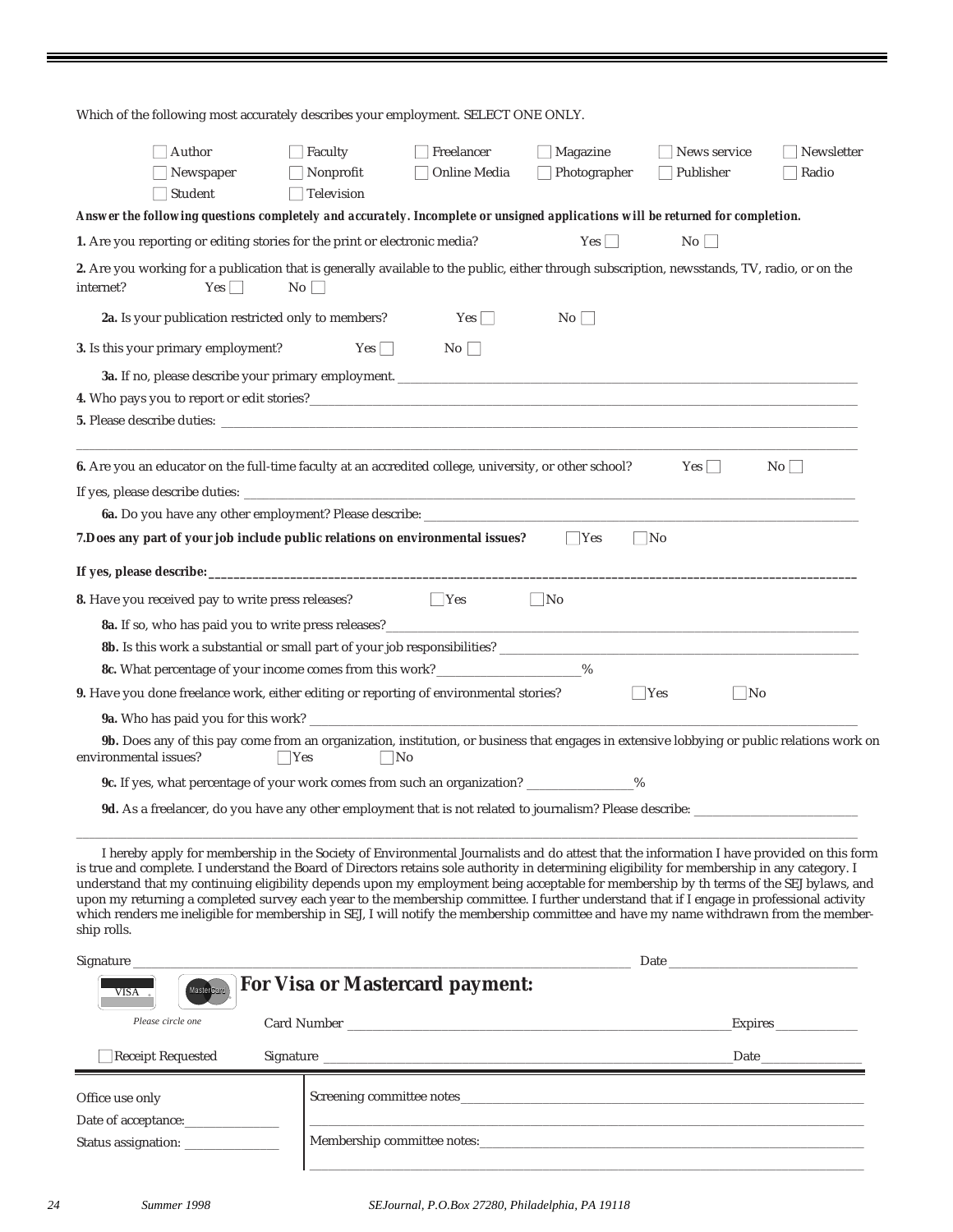| Which of the following most accurately describes your employment. SELECT ONE ONLY.                                                                                                                                                                                                                                                                                                                                                                                                                                                                                                                                                                                                                                                          |                                                         |                                                                                                                                                                                                                                |                                        |                                         |                                   |  |  |
|---------------------------------------------------------------------------------------------------------------------------------------------------------------------------------------------------------------------------------------------------------------------------------------------------------------------------------------------------------------------------------------------------------------------------------------------------------------------------------------------------------------------------------------------------------------------------------------------------------------------------------------------------------------------------------------------------------------------------------------------|---------------------------------------------------------|--------------------------------------------------------------------------------------------------------------------------------------------------------------------------------------------------------------------------------|----------------------------------------|-----------------------------------------|-----------------------------------|--|--|
| $\Box$ Author<br>$\Box$ Newspaper<br>$\Box$ Student                                                                                                                                                                                                                                                                                                                                                                                                                                                                                                                                                                                                                                                                                         | $\Box$ Faculty<br>$\Box$ Nonprofit<br>$\Box$ Television | $\Box$ Freelancer<br>Online Media                                                                                                                                                                                              | $\Box$ Magazine<br>$\Box$ Photographer | $\Box$ News service<br>$\Box$ Publisher | $\Box$ Newsletter<br>$\Box$ Radio |  |  |
| Answer the following questions completely and accurately. Incomplete or unsigned applications will be returned for completion.                                                                                                                                                                                                                                                                                                                                                                                                                                                                                                                                                                                                              |                                                         |                                                                                                                                                                                                                                |                                        |                                         |                                   |  |  |
| 1. Are you reporting or editing stories for the print or electronic media?                                                                                                                                                                                                                                                                                                                                                                                                                                                                                                                                                                                                                                                                  |                                                         |                                                                                                                                                                                                                                | $Yes \Box$                             | No                                      |                                   |  |  |
| 2. Are you working for a publication that is generally available to the public, either through subscription, newsstands, TV, radio, or on the<br>Yes<br>internet?                                                                                                                                                                                                                                                                                                                                                                                                                                                                                                                                                                           | No                                                      |                                                                                                                                                                                                                                |                                        |                                         |                                   |  |  |
| 2a. Is your publication restricted only to members?                                                                                                                                                                                                                                                                                                                                                                                                                                                                                                                                                                                                                                                                                         |                                                         | Yes                                                                                                                                                                                                                            | $\rm{No}$ $\Box$                       |                                         |                                   |  |  |
| 3. Is this your primary employment?                                                                                                                                                                                                                                                                                                                                                                                                                                                                                                                                                                                                                                                                                                         | $Yes \Box$                                              | No                                                                                                                                                                                                                             |                                        |                                         |                                   |  |  |
|                                                                                                                                                                                                                                                                                                                                                                                                                                                                                                                                                                                                                                                                                                                                             |                                                         |                                                                                                                                                                                                                                |                                        |                                         |                                   |  |  |
| 4. Who pays you to report or edit stories?<br><u> and</u> the summary contract the stories of the stories of the stories of the stories of the stories of the stories of the stories of the stories of the stories of the stories of                                                                                                                                                                                                                                                                                                                                                                                                                                                                                                        |                                                         |                                                                                                                                                                                                                                |                                        |                                         |                                   |  |  |
|                                                                                                                                                                                                                                                                                                                                                                                                                                                                                                                                                                                                                                                                                                                                             |                                                         |                                                                                                                                                                                                                                |                                        |                                         |                                   |  |  |
|                                                                                                                                                                                                                                                                                                                                                                                                                                                                                                                                                                                                                                                                                                                                             |                                                         |                                                                                                                                                                                                                                |                                        |                                         |                                   |  |  |
| 6. Are you an educator on the full-time faculty at an accredited college, university, or other school?                                                                                                                                                                                                                                                                                                                                                                                                                                                                                                                                                                                                                                      |                                                         |                                                                                                                                                                                                                                |                                        | Yes                                     | $No$ $\Box$                       |  |  |
|                                                                                                                                                                                                                                                                                                                                                                                                                                                                                                                                                                                                                                                                                                                                             |                                                         |                                                                                                                                                                                                                                |                                        |                                         |                                   |  |  |
|                                                                                                                                                                                                                                                                                                                                                                                                                                                                                                                                                                                                                                                                                                                                             |                                                         |                                                                                                                                                                                                                                |                                        |                                         |                                   |  |  |
| 7. Does any part of your job include public relations on environmental issues?                                                                                                                                                                                                                                                                                                                                                                                                                                                                                                                                                                                                                                                              |                                                         |                                                                                                                                                                                                                                | $\mathbf{Yes}$                         | $\Box$ No                               |                                   |  |  |
|                                                                                                                                                                                                                                                                                                                                                                                                                                                                                                                                                                                                                                                                                                                                             |                                                         |                                                                                                                                                                                                                                |                                        |                                         |                                   |  |  |
| 8. Have you received pay to write press releases?                                                                                                                                                                                                                                                                                                                                                                                                                                                                                                                                                                                                                                                                                           |                                                         | $\Box$ Yes                                                                                                                                                                                                                     | $\Box$ No                              |                                         |                                   |  |  |
| 8a. If so, who has paid you to write press releases?<br><u>equal to the set of the set of the set of the set of the set of the set of the set of the set of the set of the set of the set of the set of the set of the set of the </u>                                                                                                                                                                                                                                                                                                                                                                                                                                                                                                      |                                                         |                                                                                                                                                                                                                                |                                        |                                         |                                   |  |  |
|                                                                                                                                                                                                                                                                                                                                                                                                                                                                                                                                                                                                                                                                                                                                             |                                                         |                                                                                                                                                                                                                                |                                        |                                         |                                   |  |  |
| 8c. What percentage of your income comes from this work? _________________%                                                                                                                                                                                                                                                                                                                                                                                                                                                                                                                                                                                                                                                                 |                                                         |                                                                                                                                                                                                                                |                                        |                                         |                                   |  |  |
| 9. Have you done freelance work, either editing or reporting of environmental stories?                                                                                                                                                                                                                                                                                                                                                                                                                                                                                                                                                                                                                                                      |                                                         |                                                                                                                                                                                                                                |                                        | $\Box$ Yes<br>$\Box$ No                 |                                   |  |  |
|                                                                                                                                                                                                                                                                                                                                                                                                                                                                                                                                                                                                                                                                                                                                             |                                                         |                                                                                                                                                                                                                                |                                        |                                         |                                   |  |  |
| 9b. Does any of this pay come from an organization, institution, or business that engages in extensive lobbying or public relations work on<br>environmental issues?<br>Yes                                                                                                                                                                                                                                                                                                                                                                                                                                                                                                                                                                 | $\Box$ No                                               |                                                                                                                                                                                                                                |                                        |                                         |                                   |  |  |
| 9c. If yes, what percentage of your work comes from such an organization? ______________%                                                                                                                                                                                                                                                                                                                                                                                                                                                                                                                                                                                                                                                   |                                                         |                                                                                                                                                                                                                                |                                        |                                         |                                   |  |  |
| 9d. As a freelancer, do you have any other employment that is not related to journalism? Please describe: _                                                                                                                                                                                                                                                                                                                                                                                                                                                                                                                                                                                                                                 |                                                         |                                                                                                                                                                                                                                |                                        |                                         |                                   |  |  |
|                                                                                                                                                                                                                                                                                                                                                                                                                                                                                                                                                                                                                                                                                                                                             |                                                         |                                                                                                                                                                                                                                |                                        |                                         |                                   |  |  |
| I hereby apply for membership in the Society of Environmental Journalists and do attest that the information I have provided on this form<br>is true and complete. I understand the Board of Directors retains sole authority in determining eligibility for membership in any category. I<br>understand that my continuing eligibility depends upon my employment being acceptable for membership by th terms of the SEJ bylaws, and<br>upon my returning a completed survey each year to the membership committee. I further understand that if I engage in professional activity<br>which renders me ineligible for membership in SEJ, I will notify the membership committee and have my name withdrawn from the member-<br>ship rolls. |                                                         |                                                                                                                                                                                                                                |                                        |                                         |                                   |  |  |
| Signature                                                                                                                                                                                                                                                                                                                                                                                                                                                                                                                                                                                                                                                                                                                                   |                                                         |                                                                                                                                                                                                                                |                                        |                                         |                                   |  |  |
| MasterCard<br>VISA.                                                                                                                                                                                                                                                                                                                                                                                                                                                                                                                                                                                                                                                                                                                         |                                                         | <b>For Visa or Mastercard payment:</b>                                                                                                                                                                                         |                                        |                                         |                                   |  |  |
| Please circle one                                                                                                                                                                                                                                                                                                                                                                                                                                                                                                                                                                                                                                                                                                                           |                                                         |                                                                                                                                                                                                                                |                                        |                                         | Expires                           |  |  |
| $\Box$ Receipt Requested                                                                                                                                                                                                                                                                                                                                                                                                                                                                                                                                                                                                                                                                                                                    |                                                         | <u> 1989 - Johann Stein, marwolaethau a bhann an t-Amhair an t-Amhair an t-Amhair an t-Amhair an t-Amhair an t-A</u>                                                                                                           |                                        |                                         | Date                              |  |  |
| Office use only                                                                                                                                                                                                                                                                                                                                                                                                                                                                                                                                                                                                                                                                                                                             |                                                         | Screening committee notes                                                                                                                                                                                                      |                                        |                                         |                                   |  |  |
|                                                                                                                                                                                                                                                                                                                                                                                                                                                                                                                                                                                                                                                                                                                                             |                                                         | Membership committee notes: which is a state of the state of the state of the state of the state of the state of the state of the state of the state of the state of the state of the state of the state of the state of the s |                                        |                                         |                                   |  |  |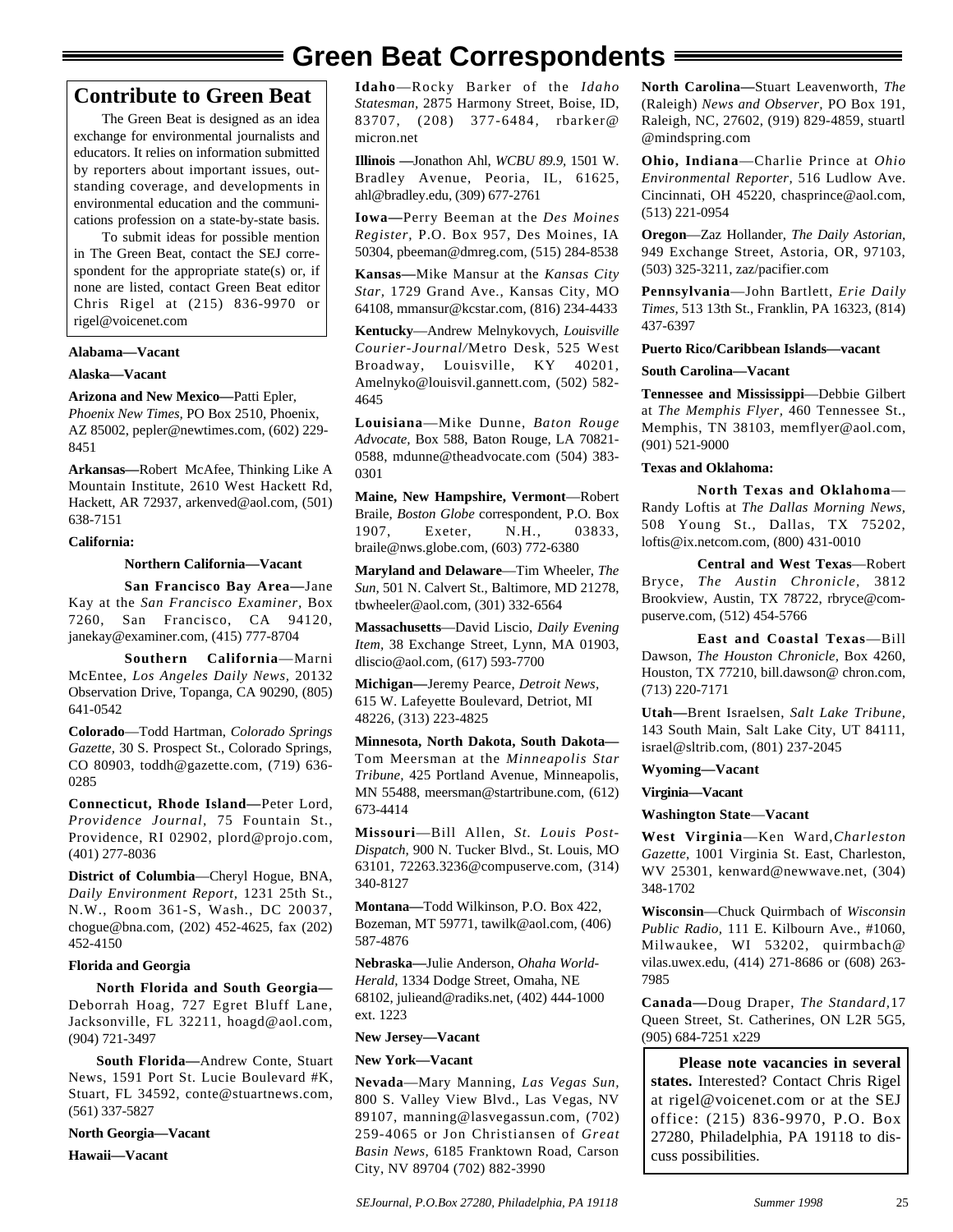## **Green Beat Correspondents**

#### **Contribute to Green Beat**

The Green Beat is designed as an idea exchange for environmental journalists and educators. It relies on information submitted by reporters about important issues, outstanding coverage, and developments in environmental education and the communications profession on a state-by-state basis.

To submit ideas for possible mention in The Green Beat, contact the SEJ correspondent for the appropriate state(s) or, if none are listed, contact Green Beat editor Chris Rigel at (215) 836-9970 or rigel@voicenet.com

#### **Alabama—Vacant**

#### **Alaska—Vacant**

#### **Arizona and New Mexico—**Patti Epler,

*Phoenix New Times,* PO Box 2510, Phoenix, AZ 85002, pepler@newtimes.com, (602) 229- 8451

**Arkansas—**Robert McAfee, Thinking Like A Mountain Institute, 2610 West Hackett Rd, Hackett, AR 72937, arkenved@aol.com, (501) 638-7151

#### **California:**

#### **Northern California—Vacant**

**San Francisco Bay Area—**Jane Kay at the *San Francisco Examiner,* Box 7260, San Francisco, CA 94120, janekay@examiner.com, (415) 777-8704

**Southern California**—Marni McEntee, *Los Angeles Daily News,* 20132 Observation Drive, Topanga, CA 90290, (805) 641-0542

**Colorado**—Todd Hartman, *Colorado Springs Gazette,* 30 S. Prospect St., Colorado Springs, CO 80903, toddh@gazette.com, (719) 636- 0285

**Connecticut, Rhode Island—**Peter Lord, *Providence Journal,* 75 Fountain St., Providence, RI 02902, plord@projo.com, (401) 277-8036

**District of Columbia**—Cheryl Hogue, BNA, *Daily Environment Report,* 1231 25th St., N.W., Room 361-S, Wash., DC 20037, chogue@bna.com, (202) 452-4625, fax (202) 452-4150

#### **Florida and Georgia**

**North Florida and South Georgia—** Deborrah Hoag, 727 Egret Bluff Lane, Jacksonville, FL 32211, hoagd@aol.com, (904) 721-3497

**South Florida—**Andrew Conte, Stuart News, 1591 Port St. Lucie Boulevard #K, Stuart, FL 34592, conte@stuartnews.com, (561) 337-5827

**North Georgia—Vacant Hawaii—Vacant**

**Idaho**—Rocky Barker of the *Idaho Statesman,* 2875 Harmony Street, Boise, ID, 83707, (208) 377-6484*,* rbarker@ micron.net

**Illinois —**Jonathon Ahl, *WCBU 89.9,* 1501 W. Bradley Avenue, Peoria, IL, 61625, ahl@bradley.edu, (309) 677-2761

**Iowa—**Perry Beeman at the *Des Moines Register,* P.O. Box 957, Des Moines, IA 50304, pbeeman@dmreg.com, (515) 284-8538

**Kansas—**Mike Mansur at the *Kansas City Star,* 1729 Grand Ave., Kansas City, MO 64108, mmansur@kcstar.com, (816) 234-4433

**Kentucky**—Andrew Melnykovych, *Louisville Courier-Journal/*Metro Desk, 525 West Broadway, Louisville, KY 40201, Amelnyko@louisvil.gannett.com, (502) 582- 4645

**Louisiana**—Mike Dunne, *Baton Rouge Advocate,* Box 588, Baton Rouge, LA 70821- 0588, mdunne@theadvocate.com (504) 383- 0301

**Maine, New Hampshire, Vermont**—Robert Braile, *Boston Globe* correspondent, P.O. Box 1907, Exeter, N.H., 03833, braile@nws.globe.com, (603) 772-6380

**Maryland and Delaware**—Tim Wheeler, *The Sun,* 501 N. Calvert St., Baltimore, MD 21278, tbwheeler@aol.com, (301) 332-6564

**Massachusetts**—David Liscio, *Daily Evening Item,* 38 Exchange Street, Lynn, MA 01903, dliscio@aol.com, (617) 593-7700

**Michigan—**Jeremy Pearce, *Detroit News,* 615 W. Lafeyette Boulevard, Detriot, MI 48226, (313) 223-4825

**Minnesota, North Dakota, South Dakota—** Tom Meersman at the *Minneapolis Star Tribune,* 425 Portland Avenue, Minneapolis, MN 55488, meersman@startribune.com, (612) 673-4414

**Missouri**—Bill Allen, *St. Louis Post-Dispatch,* 900 N. Tucker Blvd., St. Louis, MO 63101, 72263.3236@compuserve.com, (314) 340-8127

**Montana—**Todd Wilkinson, P.O. Box 422, Bozeman, MT 59771, tawilk@aol.com, (406) 587-4876

**Nebraska—**Julie Anderson, *Ohaha World-Herald,* 1334 Dodge Street, Omaha, NE 68102, julieand@radiks.net, (402) 444-1000 ext. 1223

#### **New Jersey—Vacant**

#### **New York—Vacant**

**Nevada**—Mary Manning, *Las Vegas Sun,* 800 S. Valley View Blvd., Las Vegas, NV 89107, manning@lasvegassun.com, (702) 259-4065 or Jon Christiansen of *Great Basin News,* 6185 Franktown Road, Carson City, NV 89704 (702) 882-3990

*SEJournal, P.O.Box 27280, Philadelphia, PA 19118 Summer 1998*

**North Carolina—**Stuart Leavenworth, *The* (Raleigh) *News and Observer,* PO Box 191, Raleigh, NC, 27602, (919) 829-4859, stuartl @mindspring.com

**Ohio, Indiana**—Charlie Prince at *Ohio Environmental Reporter,* 516 Ludlow Ave. Cincinnati, OH 45220, chasprince@aol.com, (513) 221-0954

**Oregon**—Zaz Hollander, *The Daily Astorian,* 949 Exchange Street, Astoria, OR, 97103, (503) 325-3211, zaz/pacifier.com

**Pennsylvania**—John Bartlett, *Erie Daily Times,* 513 13th St., Franklin, PA 16323, (814) 437-6397

#### **Puerto Rico/Caribbean Islands—vacant**

#### **South Carolina—Vacant**

**Tennessee and Mississippi**—Debbie Gilbert at *The Memphis Flyer,* 460 Tennessee St., Memphis, TN 38103, memflyer@aol.com, (901) 521-9000

#### **Texas and Oklahoma:**

**North Texas and Oklahoma**— Randy Loftis at *The Dallas Morning News,*  508 Young St., Dallas, TX 75202, loftis@ix.netcom.com, (800) 431-0010

**Central and West Texas**—Robert Bryce, *The Austin Chronicle,* 3812 Brookview, Austin, TX 78722, rbryce@compuserve.com, (512) 454-5766

**East and Coastal Texas**—Bill Dawson, *The Houston Chronicle,* Box 4260, Houston, TX 77210, bill.dawson@ chron.com, (713) 220-7171

**Utah—**Brent Israelsen, *Salt Lake Tribune,* 143 South Main, Salt Lake City, UT 84111, israel@sltrib.com, (801) 237-2045

**Wyoming—Vacant**

**Virginia—Vacant**

**Washington State**—**Vacant**

**West Virginia**—Ken Ward,*Charleston Gazette,* 1001 Virginia St. East, Charleston, WV 25301, kenward@newwave.net, (304) 348-1702

**Wisconsin**—Chuck Quirmbach of *Wisconsin Public Radio,* 111 E. Kilbourn Ave., #1060, Milwaukee, WI 53202, quirmbach@ vilas.uwex.edu, (414) 271-8686 or (608) 263- 7985

**Canada—**Doug Draper, *The Standard,*17 Queen Street, St. Catherines, ON L2R 5G5, (905) 684-7251 x229

**Please note vacancies in several states.** Interested? Contact Chris Rigel at rigel@voicenet.com or at the SEJ office: (215) 836-9970, P.O. Box 27280, Philadelphia, PA 19118 to discuss possibilities.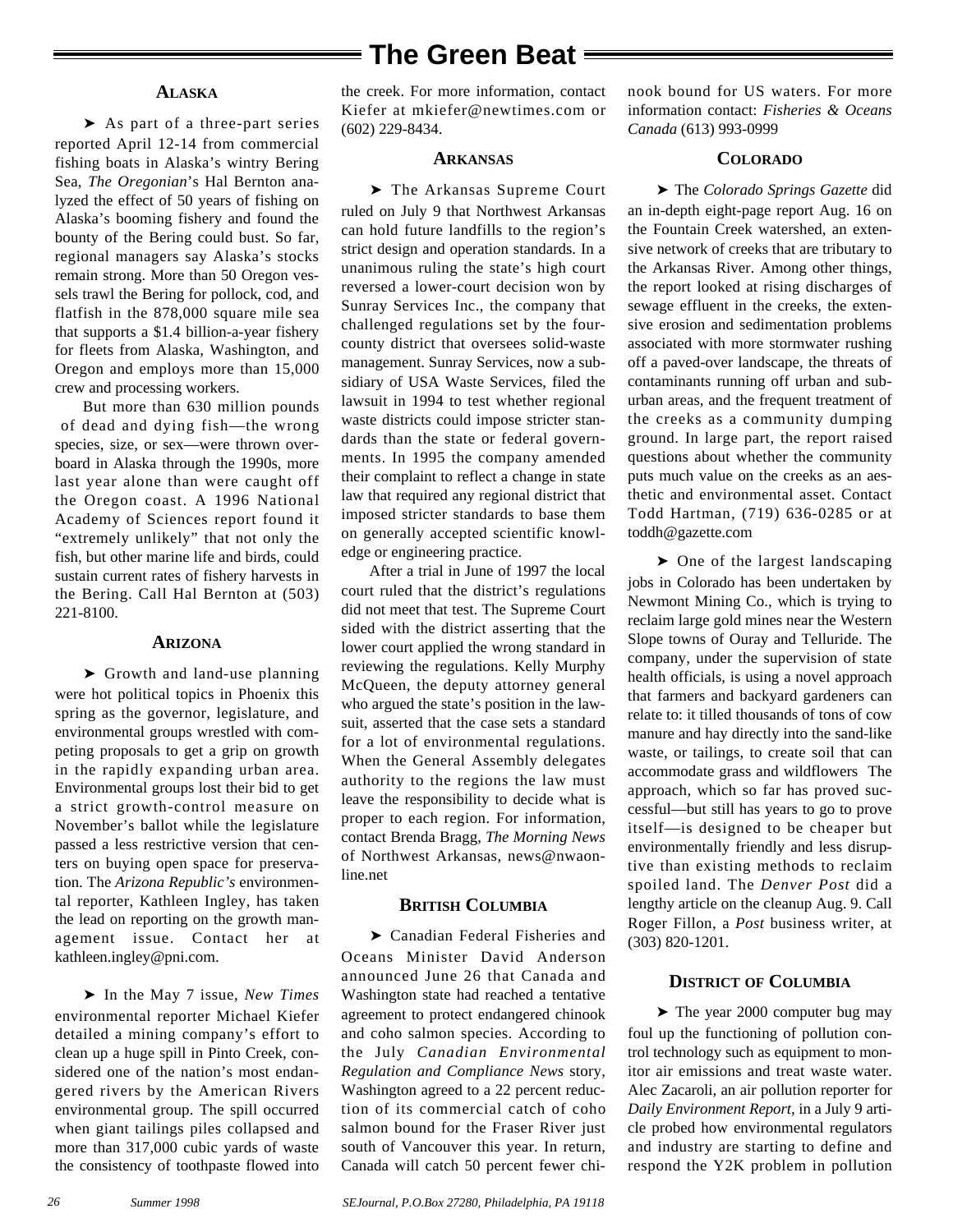#### **ALASKA**

➤ As part of a three-part series reported April 12-14 from commercial fishing boats in Alaska's wintry Bering Sea, *The Oregonian*'s Hal Bernton analyzed the effect of 50 years of fishing on Alaska's booming fishery and found the bounty of the Bering could bust. So far, regional managers say Alaska's stocks remain strong. More than 50 Oregon vessels trawl the Bering for pollock, cod, and flatfish in the 878,000 square mile sea that supports a \$1.4 billion-a-year fishery for fleets from Alaska, Washington, and Oregon and employs more than 15,000 crew and processing workers.

But more than 630 million pounds of dead and dying fish—the wrong species, size, or sex—were thrown overboard in Alaska through the 1990s, more last year alone than were caught off the Oregon coast. A 1996 National Academy of Sciences report found it "extremely unlikely" that not only the fish, but other marine life and birds, could sustain current rates of fishery harvests in the Bering. Call Hal Bernton at (503) 221-8100.

#### **ARIZONA**

➤ Growth and land-use planning were hot political topics in Phoenix this spring as the governor, legislature, and environmental groups wrestled with competing proposals to get a grip on growth in the rapidly expanding urban area. Environmental groups lost their bid to get a strict growth-control measure on November's ballot while the legislature passed a less restrictive version that centers on buying open space for preservation. The *Arizona Republic's* environmental reporter, Kathleen Ingley, has taken the lead on reporting on the growth management issue. Contact her at kathleen.ingley@pni.com.

➤ In the May 7 issue, *New Times* environmental reporter Michael Kiefer detailed a mining company's effort to clean up a huge spill in Pinto Creek, considered one of the nation's most endangered rivers by the American Rivers environmental group. The spill occurred when giant tailings piles collapsed and more than 317,000 cubic yards of waste the consistency of toothpaste flowed into the creek. For more information, contact Kiefer at mkiefer@newtimes.com or (602) 229-8434.

#### **ARKANSAS**

➤ The Arkansas Supreme Court ruled on July 9 that Northwest Arkansas can hold future landfills to the region's strict design and operation standards. In a unanimous ruling the state's high court reversed a lower-court decision won by Sunray Services Inc., the company that challenged regulations set by the fourcounty district that oversees solid-waste management. Sunray Services, now a subsidiary of USA Waste Services, filed the lawsuit in 1994 to test whether regional waste districts could impose stricter standards than the state or federal governments. In 1995 the company amended their complaint to reflect a change in state law that required any regional district that imposed stricter standards to base them on generally accepted scientific knowledge or engineering practice.

After a trial in June of 1997 the local court ruled that the district's regulations did not meet that test. The Supreme Court sided with the district asserting that the lower court applied the wrong standard in reviewing the regulations. Kelly Murphy McQueen, the deputy attorney general who argued the state's position in the lawsuit, asserted that the case sets a standard for a lot of environmental regulations. When the General Assembly delegates authority to the regions the law must leave the responsibility to decide what is proper to each region. For information, contact Brenda Bragg, *The Morning News* of Northwest Arkansas, news@nwaonline.net

#### **BRITISH COLUMBIA**

➤ Canadian Federal Fisheries and Oceans Minister David Anderson announced June 26 that Canada and Washington state had reached a tentative agreement to protect endangered chinook and coho salmon species. According to the July *Canadian Environmental Regulation and Compliance News* story, Washington agreed to a 22 percent reduction of its commercial catch of coho salmon bound for the Fraser River just south of Vancouver this year. In return, Canada will catch 50 percent fewer chinook bound for US waters. For more information contact: *Fisheries & Oceans Canada* (613) 993-0999

#### **COLORADO**

➤ The *Colorado Springs Gazette* did an in-depth eight-page report Aug. 16 on the Fountain Creek watershed, an extensive network of creeks that are tributary to the Arkansas River. Among other things, the report looked at rising discharges of sewage effluent in the creeks, the extensive erosion and sedimentation problems associated with more stormwater rushing off a paved-over landscape, the threats of contaminants running off urban and suburban areas, and the frequent treatment of the creeks as a community dumping ground. In large part, the report raised questions about whether the community puts much value on the creeks as an aesthetic and environmental asset. Contact Todd Hartman, (719) 636-0285 or at toddh@gazette.com

➤ One of the largest landscaping jobs in Colorado has been undertaken by Newmont Mining Co., which is trying to reclaim large gold mines near the Western Slope towns of Ouray and Telluride. The company, under the supervision of state health officials, is using a novel approach that farmers and backyard gardeners can relate to: it tilled thousands of tons of cow manure and hay directly into the sand-like waste, or tailings, to create soil that can accommodate grass and wildflowers The approach, which so far has proved successful—but still has years to go to prove itself—is designed to be cheaper but environmentally friendly and less disruptive than existing methods to reclaim spoiled land. The *Denver Post* did a lengthy article on the cleanup Aug. 9. Call Roger Fillon, a *Post* business writer, at (303) 820-1201.

#### **DISTRICT OF COLUMBIA**

➤ The year 2000 computer bug may foul up the functioning of pollution control technology such as equipment to monitor air emissions and treat waste water. Alec Zacaroli, an air pollution reporter for *Daily Environment Report,* in a July 9 article probed how environmental regulators and industry are starting to define and respond the Y2K problem in pollution

*26*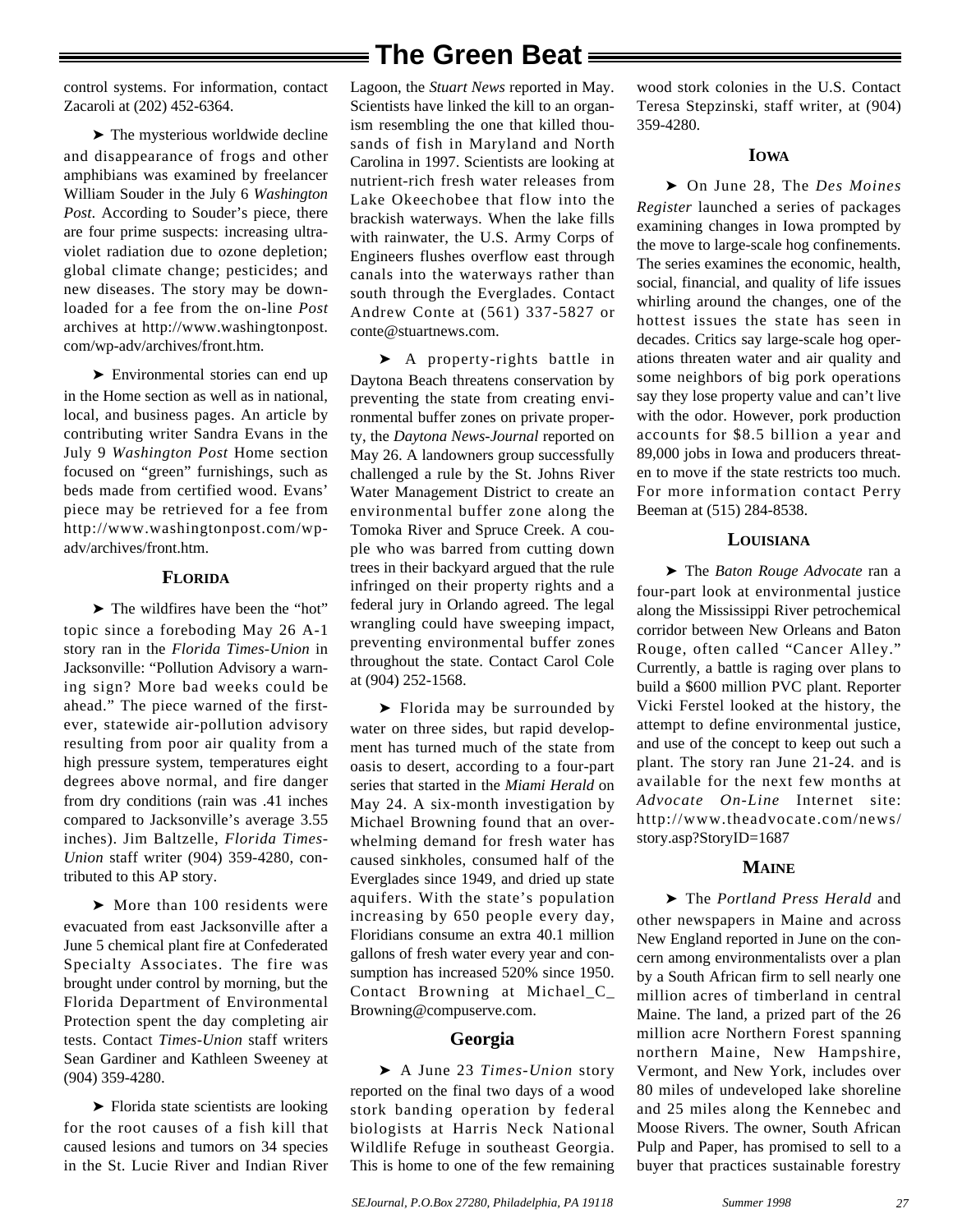control systems. For information, contact Zacaroli at (202) 452-6364.

➤ The mysterious worldwide decline and disappearance of frogs and other amphibians was examined by freelancer William Souder in the July 6 *Washington Post*. According to Souder's piece, there are four prime suspects: increasing ultraviolet radiation due to ozone depletion; global climate change; pesticides; and new diseases. The story may be downloaded for a fee from the on-line *Post* archives at http://www.washingtonpost. com/wp-adv/archives/front.htm.

➤ Environmental stories can end up in the Home section as well as in national, local, and business pages. An article by contributing writer Sandra Evans in the July 9 *Washington Post* Home section focused on "green" furnishings, such as beds made from certified wood. Evans' piece may be retrieved for a fee from http://www.washingtonpost.com/wpadv/archives/front.htm.

#### **FLORIDA**

➤ The wildfires have been the "hot" topic since a foreboding May 26 A-1 story ran in the *Florida Times-Union* in Jacksonville: "Pollution Advisory a warning sign? More bad weeks could be ahead." The piece warned of the firstever, statewide air-pollution advisory resulting from poor air quality from a high pressure system, temperatures eight degrees above normal, and fire danger from dry conditions (rain was .41 inches compared to Jacksonville's average 3.55 inches). Jim Baltzelle, *Florida Times-Union* staff writer (904) 359-4280, contributed to this AP story.

▶ More than 100 residents were evacuated from east Jacksonville after a June 5 chemical plant fire at Confederated Specialty Associates. The fire was brought under control by morning, but the Florida Department of Environmental Protection spent the day completing air tests. Contact *Times-Union* staff writers Sean Gardiner and Kathleen Sweeney at (904) 359-4280.

➤ Florida state scientists are looking for the root causes of a fish kill that caused lesions and tumors on 34 species in the St. Lucie River and Indian River

Lagoon, the *Stuart News* reported in May. Scientists have linked the kill to an organism resembling the one that killed thousands of fish in Maryland and North Carolina in 1997. Scientists are looking at nutrient-rich fresh water releases from Lake Okeechobee that flow into the brackish waterways. When the lake fills with rainwater, the U.S. Army Corps of Engineers flushes overflow east through canals into the waterways rather than south through the Everglades. Contact Andrew Conte at (561) 337-5827 or conte@stuartnews.com.

➤ A property-rights battle in Daytona Beach threatens conservation by preventing the state from creating environmental buffer zones on private property, the *Daytona News-Journal* reported on May 26. A landowners group successfully challenged a rule by the St. Johns River Water Management District to create an environmental buffer zone along the Tomoka River and Spruce Creek. A couple who was barred from cutting down trees in their backyard argued that the rule infringed on their property rights and a federal jury in Orlando agreed. The legal wrangling could have sweeping impact, preventing environmental buffer zones throughout the state. Contact Carol Cole at (904) 252-1568.

➤ Florida may be surrounded by water on three sides, but rapid development has turned much of the state from oasis to desert, according to a four-part series that started in the *Miami Herald* on May 24. A six-month investigation by Michael Browning found that an overwhelming demand for fresh water has caused sinkholes, consumed half of the Everglades since 1949, and dried up state aquifers. With the state's population increasing by 650 people every day, Floridians consume an extra 40.1 million gallons of fresh water every year and consumption has increased 520% since 1950. Contact Browning at Michael\_C\_ Browning@compuserve.com.

#### **Georgia**

➤ A June 23 *Times-Union* story reported on the final two days of a wood stork banding operation by federal biologists at Harris Neck National Wildlife Refuge in southeast Georgia. This is home to one of the few remaining

wood stork colonies in the U.S. Contact Teresa Stepzinski, staff writer, at (904) 359-4280.

#### **IOWA**

➤ On June 28, The *Des Moines Register* launched a series of packages examining changes in Iowa prompted by the move to large-scale hog confinements. The series examines the economic, health, social, financial, and quality of life issues whirling around the changes, one of the hottest issues the state has seen in decades. Critics say large-scale hog operations threaten water and air quality and some neighbors of big pork operations say they lose property value and can't live with the odor. However, pork production accounts for \$8.5 billion a year and 89,000 jobs in Iowa and producers threaten to move if the state restricts too much. For more information contact Perry Beeman at (515) 284-8538.

#### **LOUISIANA**

➤ The *Baton Rouge Advocate* ran a four-part look at environmental justice along the Mississippi River petrochemical corridor between New Orleans and Baton Rouge, often called "Cancer Alley." Currently, a battle is raging over plans to build a \$600 million PVC plant. Reporter Vicki Ferstel looked at the history, the attempt to define environmental justice, and use of the concept to keep out such a plant. The story ran June 21-24. and is available for the next few months at *Advocate On-Line* Internet site: http://www.theadvocate.com/news/ story.asp?StoryID=1687

#### **MAINE**

➤ The *Portland Press Herald* and other newspapers in Maine and across New England reported in June on the concern among environmentalists over a plan by a South African firm to sell nearly one million acres of timberland in central Maine. The land, a prized part of the 26 million acre Northern Forest spanning northern Maine, New Hampshire, Vermont, and New York, includes over 80 miles of undeveloped lake shoreline and 25 miles along the Kennebec and Moose Rivers. The owner, South African Pulp and Paper, has promised to sell to a buyer that practices sustainable forestry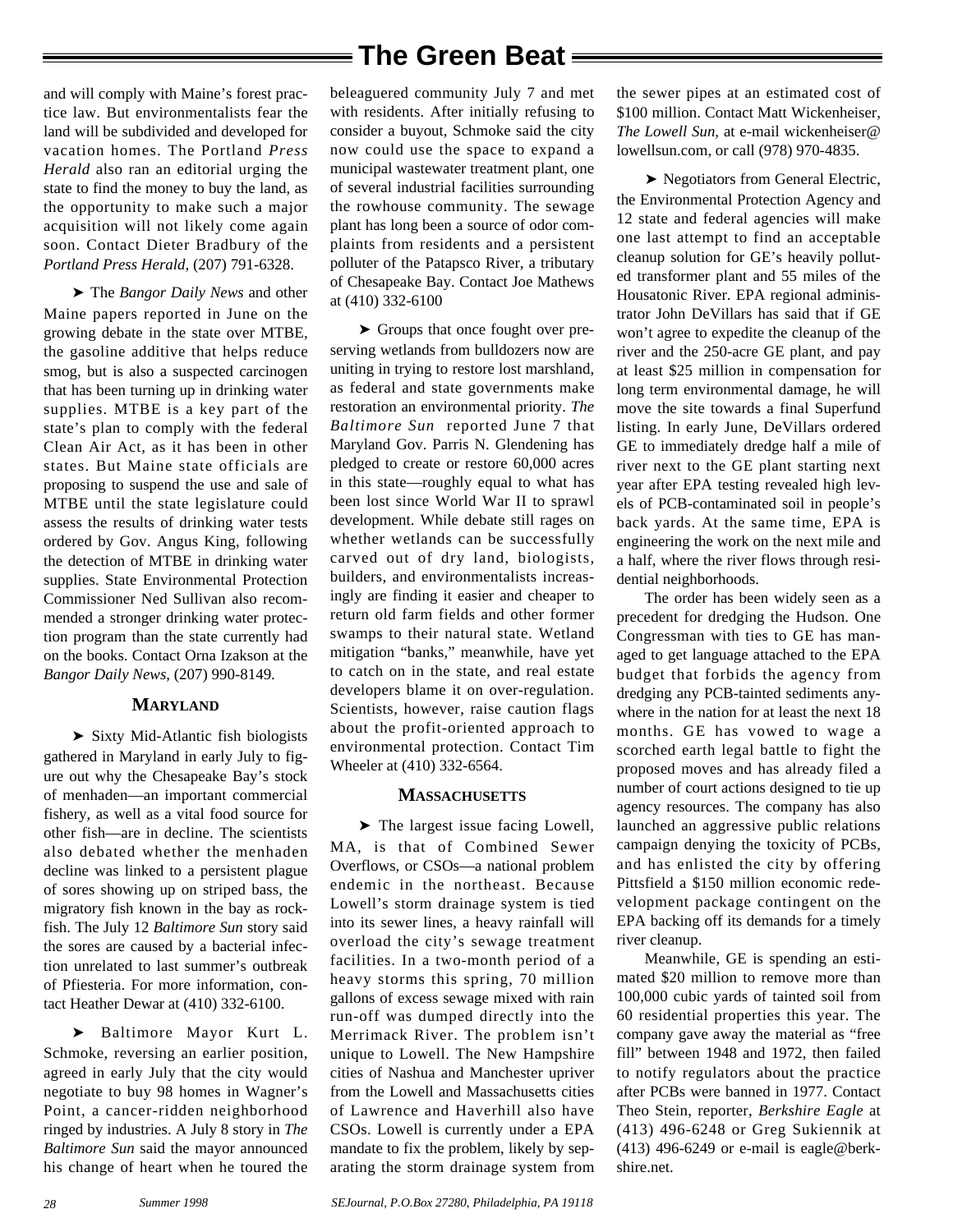and will comply with Maine's forest practice law. But environmentalists fear the land will be subdivided and developed for vacation homes. The Portland *Press Herald* also ran an editorial urging the state to find the money to buy the land, as the opportunity to make such a major acquisition will not likely come again soon. Contact Dieter Bradbury of the *Portland Press Herald*, (207) 791-6328.

➤ The *Bangor Daily News* and other Maine papers reported in June on the growing debate in the state over MTBE, the gasoline additive that helps reduce smog, but is also a suspected carcinogen that has been turning up in drinking water supplies. MTBE is a key part of the state's plan to comply with the federal Clean Air Act, as it has been in other states. But Maine state officials are proposing to suspend the use and sale of MTBE until the state legislature could assess the results of drinking water tests ordered by Gov. Angus King, following the detection of MTBE in drinking water supplies. State Environmental Protection Commissioner Ned Sullivan also recommended a stronger drinking water protection program than the state currently had on the books. Contact Orna Izakson at the *Bangor Daily News*, (207) 990-8149.

#### **MARYLAND**

➤ Sixty Mid-Atlantic fish biologists gathered in Maryland in early July to figure out why the Chesapeake Bay's stock of menhaden—an important commercial fishery, as well as a vital food source for other fish—are in decline. The scientists also debated whether the menhaden decline was linked to a persistent plague of sores showing up on striped bass, the migratory fish known in the bay as rockfish. The July 12 *Baltimore Sun* story said the sores are caused by a bacterial infection unrelated to last summer's outbreak of Pfiesteria. For more information, contact Heather Dewar at (410) 332-6100.

➤ Baltimore Mayor Kurt L. Schmoke, reversing an earlier position, agreed in early July that the city would negotiate to buy 98 homes in Wagner's Point, a cancer-ridden neighborhood ringed by industries. A July 8 story in *The Baltimore Sun* said the mayor announced his change of heart when he toured the

beleaguered community July 7 and met with residents. After initially refusing to consider a buyout, Schmoke said the city now could use the space to expand a municipal wastewater treatment plant, one of several industrial facilities surrounding the rowhouse community. The sewage plant has long been a source of odor complaints from residents and a persistent polluter of the Patapsco River, a tributary of Chesapeake Bay. Contact Joe Mathews at (410) 332-6100

➤ Groups that once fought over preserving wetlands from bulldozers now are uniting in trying to restore lost marshland, as federal and state governments make restoration an environmental priority. *The Baltimore Sun* reported June 7 that Maryland Gov. Parris N. Glendening has pledged to create or restore 60,000 acres in this state—roughly equal to what has been lost since World War II to sprawl development. While debate still rages on whether wetlands can be successfully carved out of dry land, biologists, builders, and environmentalists increasingly are finding it easier and cheaper to return old farm fields and other former swamps to their natural state. Wetland mitigation "banks," meanwhile, have yet to catch on in the state, and real estate developers blame it on over-regulation. Scientists, however, raise caution flags about the profit-oriented approach to environmental protection. Contact Tim Wheeler at (410) 332-6564.

#### **MASSACHUSETTS**

➤ The largest issue facing Lowell, MA, is that of Combined Sewer Overflows, or CSOs—a national problem endemic in the northeast. Because Lowell's storm drainage system is tied into its sewer lines, a heavy rainfall will overload the city's sewage treatment facilities. In a two-month period of a heavy storms this spring, 70 million gallons of excess sewage mixed with rain run-off was dumped directly into the Merrimack River. The problem isn't unique to Lowell. The New Hampshire cities of Nashua and Manchester upriver from the Lowell and Massachusetts cities of Lawrence and Haverhill also have CSOs. Lowell is currently under a EPA mandate to fix the problem, likely by separating the storm drainage system from

the sewer pipes at an estimated cost of \$100 million. Contact Matt Wickenheiser, *The Lowell Sun,* at e-mail wickenheiser@ lowellsun.com, or call (978) 970-4835.

➤ Negotiators from General Electric, the Environmental Protection Agency and 12 state and federal agencies will make one last attempt to find an acceptable cleanup solution for GE's heavily polluted transformer plant and 55 miles of the Housatonic River. EPA regional administrator John DeVillars has said that if GE won't agree to expedite the cleanup of the river and the 250-acre GE plant, and pay at least \$25 million in compensation for long term environmental damage, he will move the site towards a final Superfund listing. In early June, DeVillars ordered GE to immediately dredge half a mile of river next to the GE plant starting next year after EPA testing revealed high levels of PCB-contaminated soil in people's back yards. At the same time, EPA is engineering the work on the next mile and a half, where the river flows through residential neighborhoods.

The order has been widely seen as a precedent for dredging the Hudson. One Congressman with ties to GE has managed to get language attached to the EPA budget that forbids the agency from dredging any PCB-tainted sediments anywhere in the nation for at least the next 18 months. GE has vowed to wage a scorched earth legal battle to fight the proposed moves and has already filed a number of court actions designed to tie up agency resources. The company has also launched an aggressive public relations campaign denying the toxicity of PCBs, and has enlisted the city by offering Pittsfield a \$150 million economic redevelopment package contingent on the EPA backing off its demands for a timely river cleanup.

Meanwhile, GE is spending an estimated \$20 million to remove more than 100,000 cubic yards of tainted soil from 60 residential properties this year. The company gave away the material as "free fill" between 1948 and 1972, then failed to notify regulators about the practice after PCBs were banned in 1977. Contact Theo Stein, reporter, *Berkshire Eagle* at (413) 496-6248 or Greg Sukiennik at (413) 496-6249 or e-mail is eagle@berkshire.net.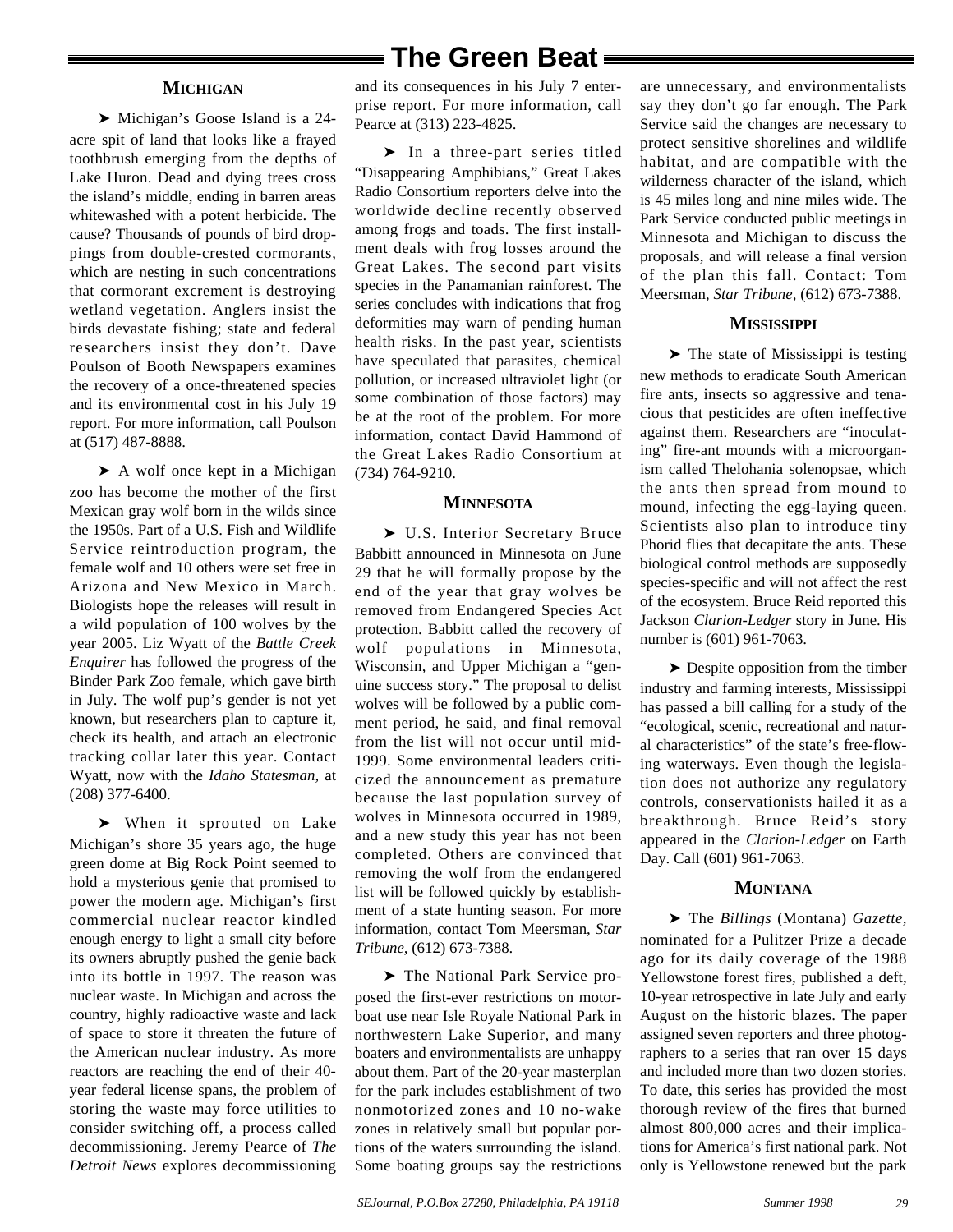#### **MICHIGAN**

➤ Michigan's Goose Island is a 24 acre spit of land that looks like a frayed toothbrush emerging from the depths of Lake Huron. Dead and dying trees cross the island's middle, ending in barren areas whitewashed with a potent herbicide. The cause? Thousands of pounds of bird droppings from double-crested cormorants, which are nesting in such concentrations that cormorant excrement is destroying wetland vegetation. Anglers insist the birds devastate fishing; state and federal researchers insist they don't. Dave Poulson of Booth Newspapers examines the recovery of a once-threatened species and its environmental cost in his July 19 report. For more information, call Poulson at (517) 487-8888.

► A wolf once kept in a Michigan zoo has become the mother of the first Mexican gray wolf born in the wilds since the 1950s. Part of a U.S. Fish and Wildlife Service reintroduction program, the female wolf and 10 others were set free in Arizona and New Mexico in March. Biologists hope the releases will result in a wild population of 100 wolves by the year 2005. Liz Wyatt of the *Battle Creek Enquirer* has followed the progress of the Binder Park Zoo female, which gave birth in July. The wolf pup's gender is not yet known, but researchers plan to capture it, check its health, and attach an electronic tracking collar later this year. Contact Wyatt, now with the *Idaho Statesman,* at (208) 377-6400.

➤ When it sprouted on Lake Michigan's shore 35 years ago, the huge green dome at Big Rock Point seemed to hold a mysterious genie that promised to power the modern age. Michigan's first commercial nuclear reactor kindled enough energy to light a small city before its owners abruptly pushed the genie back into its bottle in 1997. The reason was nuclear waste. In Michigan and across the country, highly radioactive waste and lack of space to store it threaten the future of the American nuclear industry. As more reactors are reaching the end of their 40 year federal license spans, the problem of storing the waste may force utilities to consider switching off, a process called decommissioning. Jeremy Pearce of *The Detroit News* explores decommissioning

and its consequences in his July 7 enterprise report. For more information, call Pearce at (313) 223-4825.

➤ In a three-part series titled "Disappearing Amphibians," Great Lakes Radio Consortium reporters delve into the worldwide decline recently observed among frogs and toads. The first installment deals with frog losses around the Great Lakes. The second part visits species in the Panamanian rainforest. The series concludes with indications that frog deformities may warn of pending human health risks. In the past year, scientists have speculated that parasites, chemical pollution, or increased ultraviolet light (or some combination of those factors) may be at the root of the problem. For more information, contact David Hammond of the Great Lakes Radio Consortium at (734) 764-9210.

#### **MINNESOTA**

➤ U.S. Interior Secretary Bruce Babbitt announced in Minnesota on June 29 that he will formally propose by the end of the year that gray wolves be removed from Endangered Species Act protection. Babbitt called the recovery of wolf populations in Minnesota, Wisconsin, and Upper Michigan a "genuine success story." The proposal to delist wolves will be followed by a public comment period, he said, and final removal from the list will not occur until mid-1999. Some environmental leaders criticized the announcement as premature because the last population survey of wolves in Minnesota occurred in 1989, and a new study this year has not been completed. Others are convinced that removing the wolf from the endangered list will be followed quickly by establishment of a state hunting season. For more information, contact Tom Meersman, *Star Tribune,* (612) 673-7388.

➤ The National Park Service proposed the first-ever restrictions on motorboat use near Isle Royale National Park in northwestern Lake Superior, and many boaters and environmentalists are unhappy about them. Part of the 20-year masterplan for the park includes establishment of two nonmotorized zones and 10 no-wake zones in relatively small but popular portions of the waters surrounding the island. Some boating groups say the restrictions

are unnecessary, and environmentalists say they don't go far enough. The Park Service said the changes are necessary to protect sensitive shorelines and wildlife habitat, and are compatible with the wilderness character of the island, which is 45 miles long and nine miles wide. The Park Service conducted public meetings in Minnesota and Michigan to discuss the proposals, and will release a final version of the plan this fall. Contact: Tom Meersman, *Star Tribune,* (612) 673-7388.

#### **MISSISSIPPI**

➤ The state of Mississippi is testing new methods to eradicate South American fire ants, insects so aggressive and tenacious that pesticides are often ineffective against them. Researchers are "inoculating" fire-ant mounds with a microorganism called Thelohania solenopsae, which the ants then spread from mound to mound, infecting the egg-laying queen. Scientists also plan to introduce tiny Phorid flies that decapitate the ants. These biological control methods are supposedly species-specific and will not affect the rest of the ecosystem. Bruce Reid reported this Jackson *Clarion-Ledger* story in June. His number is (601) 961-7063.

➤ Despite opposition from the timber industry and farming interests, Mississippi has passed a bill calling for a study of the "ecological, scenic, recreational and natural characteristics" of the state's free-flowing waterways. Even though the legislation does not authorize any regulatory controls, conservationists hailed it as a breakthrough. Bruce Reid's story appeared in the *Clarion-Ledger* on Earth Day. Call (601) 961-7063.

#### **MONTANA**

➤ The *Billings* (Montana) *Gazette,* nominated for a Pulitzer Prize a decade ago for its daily coverage of the 1988 Yellowstone forest fires, published a deft, 10-year retrospective in late July and early August on the historic blazes. The paper assigned seven reporters and three photographers to a series that ran over 15 days and included more than two dozen stories. To date, this series has provided the most thorough review of the fires that burned almost 800,000 acres and their implications for America's first national park. Not only is Yellowstone renewed but the park

*29*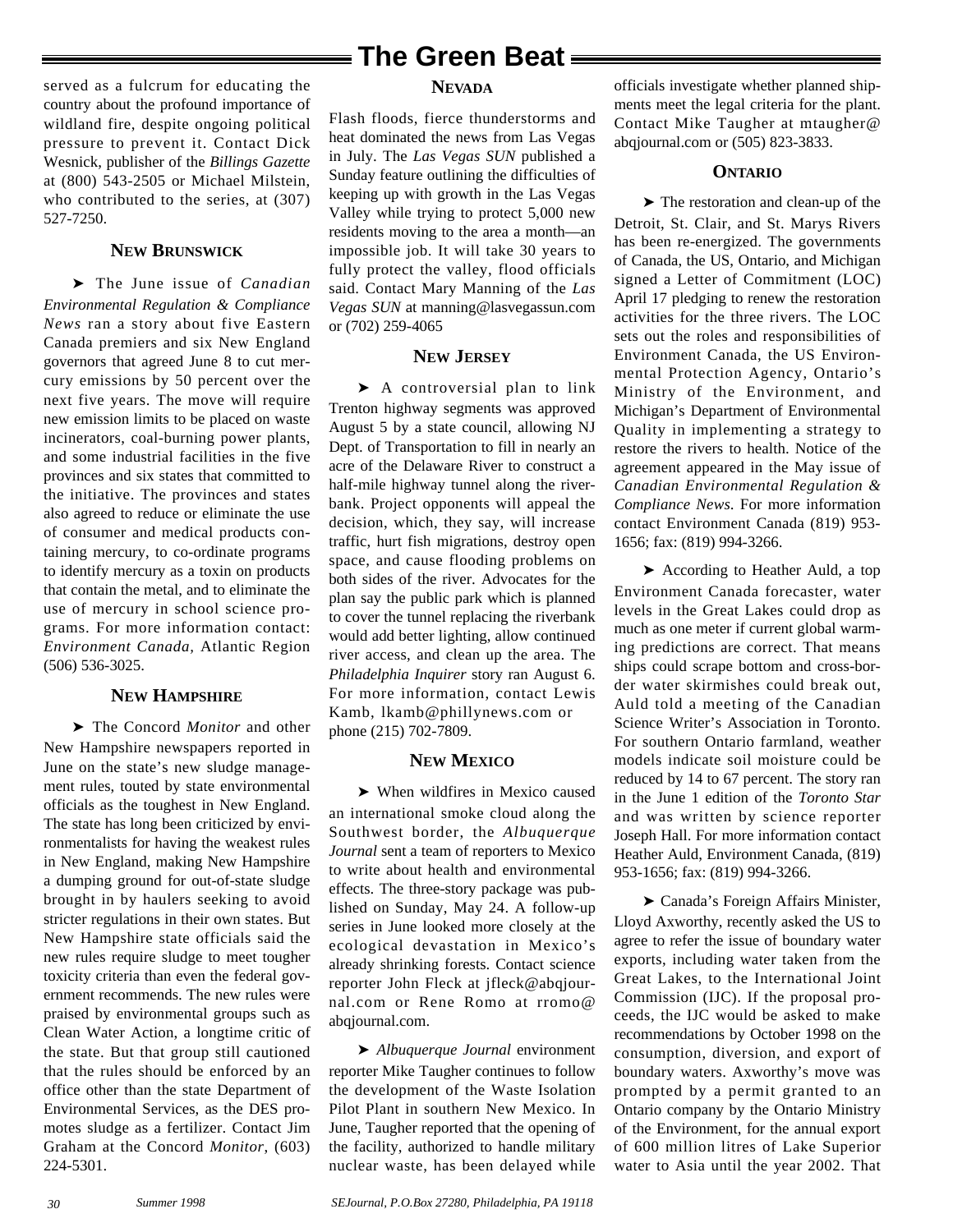served as a fulcrum for educating the country about the profound importance of wildland fire, despite ongoing political pressure to prevent it. Contact Dick Wesnick, publisher of the *Billings Gazette* at (800) 543-2505 or Michael Milstein, who contributed to the series, at  $(307)$ 527-7250.

#### **NEW BRUNSWICK**

➤ The June issue of *Canadian Environmental Regulation & Compliance News* ran a story about five Eastern Canada premiers and six New England governors that agreed June 8 to cut mercury emissions by 50 percent over the next five years. The move will require new emission limits to be placed on waste incinerators, coal-burning power plants, and some industrial facilities in the five provinces and six states that committed to the initiative. The provinces and states also agreed to reduce or eliminate the use of consumer and medical products containing mercury, to co-ordinate programs to identify mercury as a toxin on products that contain the metal, and to eliminate the use of mercury in school science programs. For more information contact: *Environment Canada,* Atlantic Region (506) 536-3025.

#### **NEW HAMPSHIRE**

➤ The Concord *Monitor* and other New Hampshire newspapers reported in June on the state's new sludge management rules, touted by state environmental officials as the toughest in New England. The state has long been criticized by environmentalists for having the weakest rules in New England, making New Hampshire a dumping ground for out-of-state sludge brought in by haulers seeking to avoid stricter regulations in their own states. But New Hampshire state officials said the new rules require sludge to meet tougher toxicity criteria than even the federal government recommends. The new rules were praised by environmental groups such as Clean Water Action, a longtime critic of the state. But that group still cautioned that the rules should be enforced by an office other than the state Department of Environmental Services, as the DES promotes sludge as a fertilizer. Contact Jim Graham at the Concord *Monitor*, (603) 224-5301.

## **The Green Beat**

#### **NEVADA**

Flash floods, fierce thunderstorms and heat dominated the news from Las Vegas in July. The *Las Vegas SUN* published a Sunday feature outlining the difficulties of keeping up with growth in the Las Vegas Valley while trying to protect 5,000 new residents moving to the area a month—an impossible job. It will take 30 years to fully protect the valley, flood officials said. Contact Mary Manning of the *Las Vegas SUN* at manning@lasvegassun.com or (702) 259-4065

#### **NEW JERSEY**

▶ A controversial plan to link Trenton highway segments was approved August 5 by a state council, allowing NJ Dept. of Transportation to fill in nearly an acre of the Delaware River to construct a half-mile highway tunnel along the riverbank. Project opponents will appeal the decision, which, they say, will increase traffic, hurt fish migrations, destroy open space, and cause flooding problems on both sides of the river. Advocates for the plan say the public park which is planned to cover the tunnel replacing the riverbank would add better lighting, allow continued river access, and clean up the area. The *Philadelphia Inquirer* story ran August 6. For more information, contact Lewis Kamb, lkamb@phillynews.com or phone (215) 702-7809.

#### **NEW MEXICO**

➤ When wildfires in Mexico caused an international smoke cloud along the Southwest border, the *Albuquerque Journal* sent a team of reporters to Mexico to write about health and environmental effects. The three-story package was published on Sunday, May 24. A follow-up series in June looked more closely at the ecological devastation in Mexico's already shrinking forests. Contact science reporter John Fleck at jfleck@abqjournal.com or Rene Romo at rromo@ abqjournal.com.

➤ *Albuquerque Journal* environment reporter Mike Taugher continues to follow the development of the Waste Isolation Pilot Plant in southern New Mexico. In June, Taugher reported that the opening of the facility, authorized to handle military nuclear waste, has been delayed while officials investigate whether planned shipments meet the legal criteria for the plant. Contact Mike Taugher at mtaugher@ abqjournal.com or (505) 823-3833.

#### **ONTARIO**

➤ The restoration and clean-up of the Detroit, St. Clair, and St. Marys Rivers has been re-energized. The governments of Canada, the US, Ontario, and Michigan signed a Letter of Commitment (LOC) April 17 pledging to renew the restoration activities for the three rivers. The LOC sets out the roles and responsibilities of Environment Canada, the US Environmental Protection Agency, Ontario's Ministry of the Environment, and Michigan's Department of Environmental Quality in implementing a strategy to restore the rivers to health. Notice of the agreement appeared in the May issue of *Canadian Environmental Regulation & Compliance News*. For more information contact Environment Canada (819) 953- 1656; fax: (819) 994-3266.

➤ According to Heather Auld, a top Environment Canada forecaster, water levels in the Great Lakes could drop as much as one meter if current global warming predictions are correct. That means ships could scrape bottom and cross-border water skirmishes could break out, Auld told a meeting of the Canadian Science Writer's Association in Toronto. For southern Ontario farmland, weather models indicate soil moisture could be reduced by 14 to 67 percent. The story ran in the June 1 edition of the *Toronto Star* and was written by science reporter Joseph Hall. For more information contact Heather Auld, Environment Canada, (819) 953-1656; fax: (819) 994-3266.

➤ Canada's Foreign Affairs Minister, Lloyd Axworthy, recently asked the US to agree to refer the issue of boundary water exports, including water taken from the Great Lakes, to the International Joint Commission (IJC). If the proposal proceeds, the IJC would be asked to make recommendations by October 1998 on the consumption, diversion, and export of boundary waters. Axworthy's move was prompted by a permit granted to an Ontario company by the Ontario Ministry of the Environment, for the annual export of 600 million litres of Lake Superior water to Asia until the year 2002. That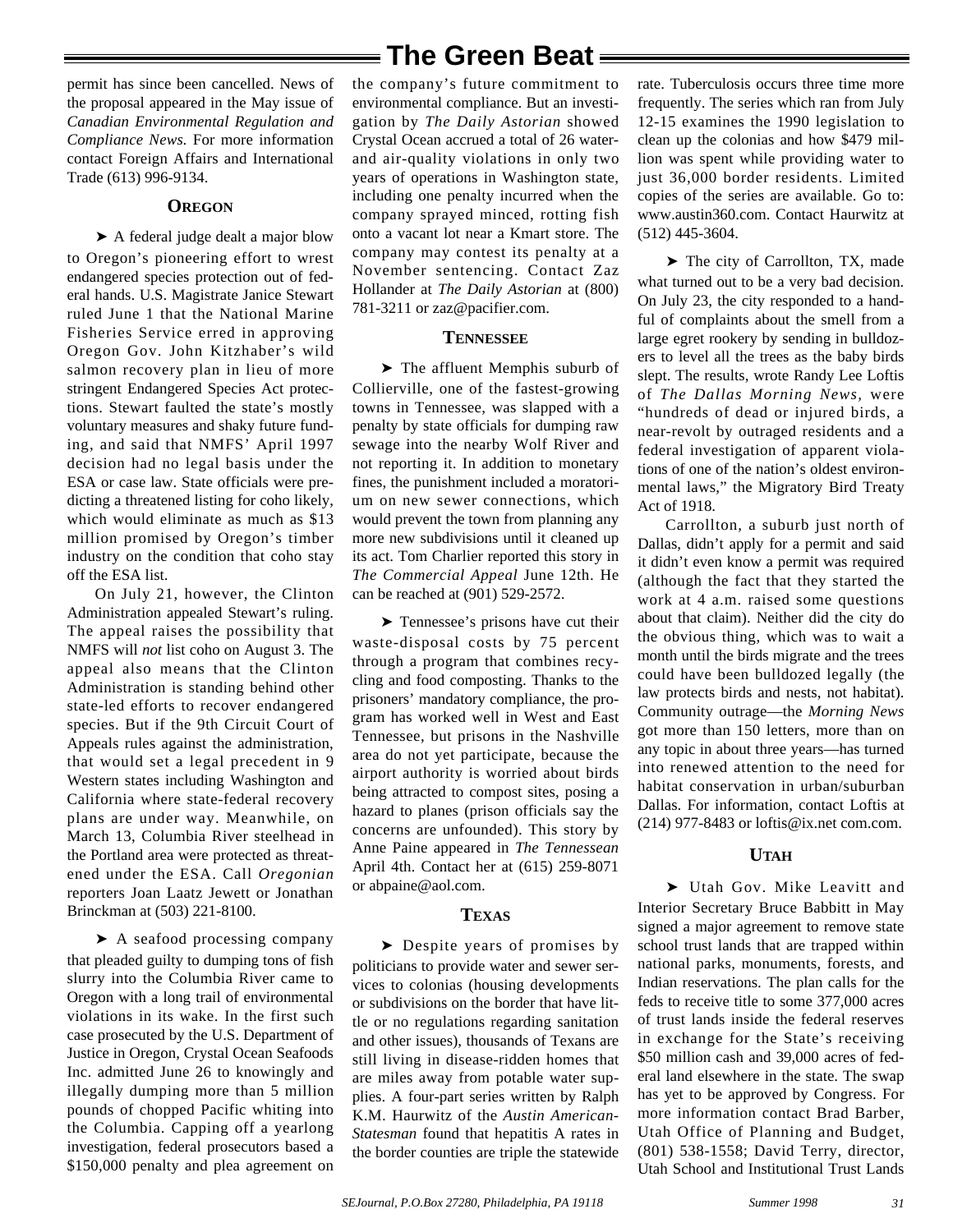permit has since been cancelled. News of the proposal appeared in the May issue of *Canadian Environmental Regulation and Compliance News.* For more information contact Foreign Affairs and International Trade (613) 996-9134.

#### **OREGON**

➤ A federal judge dealt a major blow to Oregon's pioneering effort to wrest endangered species protection out of federal hands. U.S. Magistrate Janice Stewart ruled June 1 that the National Marine Fisheries Service erred in approving Oregon Gov. John Kitzhaber's wild salmon recovery plan in lieu of more stringent Endangered Species Act protections. Stewart faulted the state's mostly voluntary measures and shaky future funding, and said that NMFS' April 1997 decision had no legal basis under the ESA or case law. State officials were predicting a threatened listing for coho likely, which would eliminate as much as \$13 million promised by Oregon's timber industry on the condition that coho stay off the ESA list.

On July 21, however, the Clinton Administration appealed Stewart's ruling. The appeal raises the possibility that NMFS will *not* list coho on August 3. The appeal also means that the Clinton Administration is standing behind other state-led efforts to recover endangered species. But if the 9th Circuit Court of Appeals rules against the administration, that would set a legal precedent in 9 Western states including Washington and California where state-federal recovery plans are under way. Meanwhile, on March 13, Columbia River steelhead in the Portland area were protected as threatened under the ESA. Call *Oregonian* reporters Joan Laatz Jewett or Jonathan Brinckman at (503) 221-8100.

➤ A seafood processing company that pleaded guilty to dumping tons of fish slurry into the Columbia River came to Oregon with a long trail of environmental violations in its wake. In the first such case prosecuted by the U.S. Department of Justice in Oregon, Crystal Ocean Seafoods Inc. admitted June 26 to knowingly and illegally dumping more than 5 million pounds of chopped Pacific whiting into the Columbia. Capping off a yearlong investigation, federal prosecutors based a \$150,000 penalty and plea agreement on

## **The Green Beat**

the company's future commitment to environmental compliance. But an investigation by *The Daily Astorian* showed Crystal Ocean accrued a total of 26 waterand air-quality violations in only two years of operations in Washington state, including one penalty incurred when the company sprayed minced, rotting fish onto a vacant lot near a Kmart store. The company may contest its penalty at a November sentencing. Contact Zaz Hollander at *The Daily Astorian* at (800) 781-3211 or zaz@pacifier.com.

#### **TENNESSEE**

➤ The affluent Memphis suburb of Collierville, one of the fastest-growing towns in Tennessee, was slapped with a penalty by state officials for dumping raw sewage into the nearby Wolf River and not reporting it. In addition to monetary fines, the punishment included a moratorium on new sewer connections, which would prevent the town from planning any more new subdivisions until it cleaned up its act. Tom Charlier reported this story in *The Commercial Appeal* June 12th. He can be reached at (901) 529-2572.

➤ Tennessee's prisons have cut their waste-disposal costs by 75 percent through a program that combines recycling and food composting. Thanks to the prisoners' mandatory compliance, the program has worked well in West and East Tennessee, but prisons in the Nashville area do not yet participate, because the airport authority is worried about birds being attracted to compost sites, posing a hazard to planes (prison officials say the concerns are unfounded). This story by Anne Paine appeared in *The Tennessean* April 4th. Contact her at (615) 259-8071 or abpaine@aol.com.

#### **TEXAS**

➤ Despite years of promises by politicians to provide water and sewer services to colonias (housing developments or subdivisions on the border that have little or no regulations regarding sanitation and other issues), thousands of Texans are still living in disease-ridden homes that are miles away from potable water supplies. A four-part series written by Ralph K.M. Haurwitz of the *Austin American-Statesman* found that hepatitis A rates in the border counties are triple the statewide

rate. Tuberculosis occurs three time more frequently. The series which ran from July 12-15 examines the 1990 legislation to clean up the colonias and how \$479 million was spent while providing water to just 36,000 border residents. Limited copies of the series are available. Go to: www.austin360.com. Contact Haurwitz at (512) 445-3604.

➤ The city of Carrollton, TX, made what turned out to be a very bad decision. On July 23, the city responded to a handful of complaints about the smell from a large egret rookery by sending in bulldozers to level all the trees as the baby birds slept. The results, wrote Randy Lee Loftis of *The Dallas Morning News,* were "hundreds of dead or injured birds, a near-revolt by outraged residents and a federal investigation of apparent violations of one of the nation's oldest environmental laws," the Migratory Bird Treaty Act of 1918.

Carrollton, a suburb just north of Dallas, didn't apply for a permit and said it didn't even know a permit was required (although the fact that they started the work at 4 a.m. raised some questions about that claim). Neither did the city do the obvious thing, which was to wait a month until the birds migrate and the trees could have been bulldozed legally (the law protects birds and nests, not habitat). Community outrage—the *Morning News* got more than 150 letters, more than on any topic in about three years—has turned into renewed attention to the need for habitat conservation in urban/suburban Dallas. For information, contact Loftis at (214) 977-8483 or loftis@ix.net com.com.

#### **UTAH**

➤ Utah Gov. Mike Leavitt and Interior Secretary Bruce Babbitt in May signed a major agreement to remove state school trust lands that are trapped within national parks, monuments, forests, and Indian reservations. The plan calls for the feds to receive title to some 377,000 acres of trust lands inside the federal reserves in exchange for the State's receiving \$50 million cash and 39,000 acres of federal land elsewhere in the state. The swap has yet to be approved by Congress. For more information contact Brad Barber, Utah Office of Planning and Budget, (801) 538-1558; David Terry, director, Utah School and Institutional Trust Lands